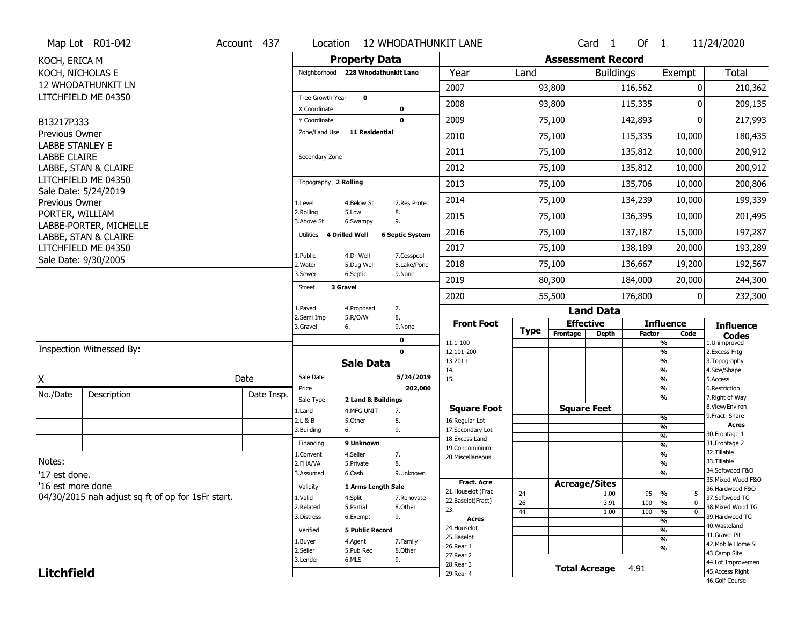|                        | Map Lot R01-042                                   | Account 437 | Location                     |                                    |                           | <b>12 WHODATHUNKIT LANE</b>         |             |          | Card <sub>1</sub>        | Of $1$        |                          | 11/24/2020                            |
|------------------------|---------------------------------------------------|-------------|------------------------------|------------------------------------|---------------------------|-------------------------------------|-------------|----------|--------------------------|---------------|--------------------------|---------------------------------------|
| KOCH, ERICA M          |                                                   |             |                              | <b>Property Data</b>               |                           |                                     |             |          | <b>Assessment Record</b> |               |                          |                                       |
| KOCH, NICHOLAS E       |                                                   |             |                              | Neighborhood 228 Whodathunkit Lane |                           | Year                                | Land        |          | <b>Buildings</b>         |               | Exempt                   | <b>Total</b>                          |
|                        | <b>12 WHODATHUNKIT LN</b>                         |             |                              |                                    |                           | 2007                                |             | 93,800   |                          | 116,562       | 0                        | 210,362                               |
|                        | LITCHFIELD ME 04350                               |             | Tree Growth Year             | $\mathbf 0$                        |                           | 2008                                |             | 93,800   |                          | 115,335       | ŋ                        | 209,135                               |
| B13217P333             |                                                   |             | X Coordinate<br>Y Coordinate |                                    | 0<br>$\mathbf 0$          | 2009                                |             | 75,100   |                          | 142,893       | O                        | 217,993                               |
| Previous Owner         |                                                   |             | Zone/Land Use                | <b>11 Residential</b>              |                           | 2010                                |             | 75,100   |                          | 115,335       | 10,000                   | 180,435                               |
| <b>LABBE STANLEY E</b> |                                                   |             |                              |                                    |                           |                                     |             |          |                          |               |                          |                                       |
| <b>LABBE CLAIRE</b>    |                                                   |             | Secondary Zone               |                                    |                           | 2011                                |             | 75,100   |                          | 135,812       | 10,000                   | 200,912                               |
|                        | LABBE, STAN & CLAIRE                              |             |                              |                                    |                           | 2012                                |             | 75,100   |                          | 135,812       | 10,000                   | 200,912                               |
|                        | LITCHFIELD ME 04350<br>Sale Date: 5/24/2019       |             | Topography 2 Rolling         |                                    |                           | 2013                                |             | 75,100   |                          | 135,706       | 10,000                   | 200,806                               |
| Previous Owner         |                                                   |             | 1.Level                      | 4.Below St                         | 7.Res Protec              | 2014                                |             | 75,100   |                          | 134,239       | 10,000                   | 199,339                               |
| PORTER, WILLIAM        |                                                   |             | 2.Rolling<br>3.Above St      | 5.Low<br>6.Swampy                  | 8.<br>9.                  | 2015                                |             | 75,100   |                          | 136,395       | 10,000                   | 201,495                               |
|                        | LABBE-PORTER, MICHELLE<br>LABBE, STAN & CLAIRE    |             | Utilities                    | 4 Drilled Well                     | <b>6 Septic System</b>    | 2016                                |             | 75,100   |                          | 137,187       | 15,000                   | 197,287                               |
|                        | LITCHFIELD ME 04350                               |             |                              |                                    |                           | 2017                                |             | 75,100   |                          | 138,189       | 20,000                   | 193,289                               |
|                        | Sale Date: 9/30/2005                              |             | 1.Public<br>2. Water         | 4.Dr Well<br>5.Dug Well            | 7.Cesspool<br>8.Lake/Pond | 2018                                |             | 75,100   |                          | 136,667       | 19,200                   | 192,567                               |
|                        |                                                   |             | 3.Sewer                      | 6.Septic                           | 9.None                    | 2019                                |             | 80,300   |                          | 184,000       | 20,000                   | 244,300                               |
|                        |                                                   |             | 3 Gravel<br><b>Street</b>    |                                    |                           | 2020                                |             | 55,500   |                          | 176,800       | 0                        | 232,300                               |
|                        |                                                   |             | 1.Paved                      | 4.Proposed                         | 7.                        |                                     |             |          | <b>Land Data</b>         |               |                          |                                       |
|                        |                                                   |             | 2.Semi Imp<br>3.Gravel       | 5.R/O/W<br>6.                      | 8.<br>9.None              | <b>Front Foot</b>                   | <b>Type</b> |          | <b>Effective</b>         |               | <b>Influence</b>         | <b>Influence</b>                      |
|                        |                                                   |             |                              |                                    | 0                         | 11.1-100                            |             | Frontage | <b>Depth</b>             | <b>Factor</b> | Code<br>%                | <b>Codes</b><br>1.Unimproved          |
|                        | Inspection Witnessed By:                          |             |                              |                                    | $\mathbf 0$               | 12.101-200                          |             |          |                          |               | %                        | 2.Excess Frtg                         |
|                        |                                                   |             |                              | <b>Sale Data</b>                   |                           | $13.201+$<br>14.                    |             |          |                          |               | %<br>%                   | 3. Topography<br>4.Size/Shape         |
| X                      |                                                   | Date        | Sale Date                    |                                    | 5/24/2019                 | 15.                                 |             |          |                          |               | %                        | 5.Access                              |
| No./Date               | Description                                       | Date Insp.  | Price<br>Sale Type           | 2 Land & Buildings                 | 202,000                   |                                     |             |          |                          |               | %<br>%                   | 6.Restriction<br>7. Right of Way      |
|                        |                                                   |             | 1.Land                       | 4.MFG UNIT                         | 7.                        | <b>Square Foot</b>                  |             |          | <b>Square Feet</b>       |               |                          | 8.View/Environ                        |
|                        |                                                   |             | 2.L & B                      | 5.Other                            | 8.                        | 16.Regular Lot                      |             |          |                          |               | %                        | 9. Fract Share<br><b>Acres</b>        |
|                        |                                                   |             | 3.Building                   | 6.                                 | 9.                        | 17.Secondary Lot<br>18. Excess Land |             |          |                          |               | %<br>$\frac{9}{6}$       | 30.Frontage 1                         |
|                        |                                                   |             | Financing                    | 9 Unknown                          |                           |                                     |             |          |                          |               | $\overline{\frac{9}{6}}$ | 31. Frontage 2                        |
|                        |                                                   |             |                              |                                    |                           | 19.Condominium                      |             |          |                          |               |                          | 32.Tillable                           |
|                        |                                                   |             | 1.Convent                    | 4.Seller                           | 7.                        | 20.Miscellaneous                    |             |          |                          |               | $\frac{9}{6}$            |                                       |
| Notes:                 |                                                   |             | 2.FHA/VA                     | 5.Private                          | 8.                        |                                     |             |          |                          |               | $\frac{9}{6}$            | 33.Tillable                           |
| '17 est done.          |                                                   |             | 3.Assumed                    | 6.Cash                             | 9.Unknown                 |                                     |             |          |                          |               | $\frac{9}{6}$            | 34.Softwood F&O<br>35. Mixed Wood F&O |
| '16 est more done      |                                                   |             | Validity                     | 1 Arms Length Sale                 |                           | <b>Fract. Acre</b>                  |             |          | <b>Acreage/Sites</b>     |               |                          | 36.Hardwood F&O                       |
|                        | 04/30/2015 nah adjust sq ft of op for 1sFr start. |             | 1.Valid                      | 4.Split                            | 7.Renovate                | 21. Houselot (Frac                  | 24          |          | 1.00                     | 95            | %<br>5                   | 37.Softwood TG                        |
|                        |                                                   |             | 2.Related                    | 5.Partial                          | 8.Other                   | 22.Baselot(Fract)<br>23.            | 26          |          | 3.91                     | 100           | %<br>$\mathbf 0$         | 38. Mixed Wood TG                     |
|                        |                                                   |             | 3.Distress                   | 6.Exempt                           | 9.                        | <b>Acres</b>                        | 44          |          | 1.00                     | 100           | %<br>$\mathbf 0$<br>%    | 39.Hardwood TG                        |
|                        |                                                   |             | Verified                     | <b>5 Public Record</b>             |                           | 24. Houselot                        |             |          |                          |               | %                        | 40. Wasteland                         |
|                        |                                                   |             | 1.Buyer                      | 4.Agent                            | 7.Family                  | 25.Baselot                          |             |          |                          |               | %                        | 41.Gravel Pit                         |
|                        |                                                   |             | 2.Seller                     | 5.Pub Rec                          | 8.Other                   | 26.Rear 1                           |             |          |                          |               | %                        | 42. Mobile Home Si<br>43.Camp Site    |
|                        |                                                   |             | 3.Lender                     | 6.MLS                              | 9.                        | 27.Rear 2                           |             |          |                          |               |                          | 44.Lot Improvemen                     |
| <b>Litchfield</b>      |                                                   |             |                              |                                    |                           | 28. Rear 3<br>29. Rear 4            |             |          | <b>Total Acreage</b>     | 4.91          |                          | 45.Access Right<br>46.Golf Course     |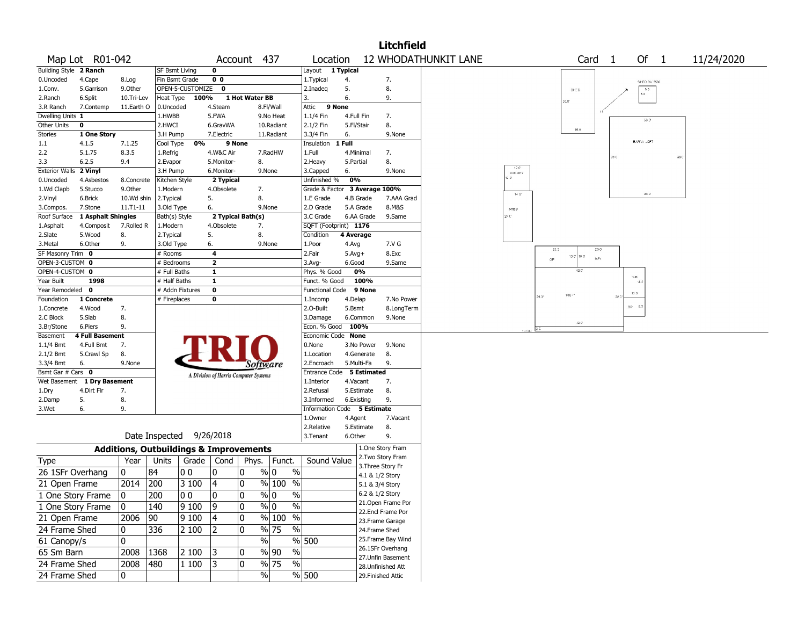|                                |                                      |                                                   |                      |                  |                                       |                   |                                |                                    |                 |                 | <b>Litchfield</b>  |                             |                |                |                |                   |              |            |
|--------------------------------|--------------------------------------|---------------------------------------------------|----------------------|------------------|---------------------------------------|-------------------|--------------------------------|------------------------------------|-----------------|-----------------|--------------------|-----------------------------|----------------|----------------|----------------|-------------------|--------------|------------|
| Map Lot R01-042                |                                      |                                                   |                      |                  |                                       | Account 437       |                                | Location                           |                 |                 |                    | <b>12 WHODATHUNKIT LANE</b> |                |                |                | Card <sub>1</sub> | Of 1         | 11/24/2020 |
| Building Style 2 Ranch         |                                      |                                                   | SF Bsmt Living       |                  | 0                                     |                   |                                | Layout 1 Typical                   |                 |                 |                    |                             |                |                |                |                   |              |            |
| 0.Uncoded<br>4.Cape            |                                      | 8.Log                                             | Fin Bsmt Grade       |                  | 0 <sub>0</sub>                        |                   |                                | 1. Typical                         | 4.              |                 | 7.                 |                             |                |                |                |                   | SHED SV 3500 |            |
| 1.Conv.                        | 5.Garrison                           | 9.Other                                           |                      | OPEN-5-CUSTOMIZE | 0                                     |                   |                                | 2.Inadeq                           | 5.              |                 | 8.                 |                             |                |                | SHED           |                   | B, D<br>B.3  |            |
| 2.Ranch<br>6.Split             |                                      | 10.Tri-Lev                                        | <b>Heat Type</b>     | 100%             |                                       | 1 Hot Water BB    |                                | 3.                                 | 6.              |                 | 9.                 |                             |                |                | 0 <sup>o</sup> |                   |              |            |
| 3.R Ranch                      | 7.Contemp                            | 11.Earth O                                        | 0.Uncoded            |                  | 4.Steam                               |                   | 8.Fl/Wall                      | 9 None<br>Attic                    |                 |                 |                    |                             |                |                |                |                   |              |            |
| Dwelling Units 1               |                                      |                                                   | 1.HWBB               |                  | 5.FWA                                 |                   | 9.No Heat                      | 1.1/4 Fin                          | 4.Full Fin      |                 | 7.                 |                             |                |                |                |                   | 38.3'        |            |
| Other Units<br>0               |                                      |                                                   | 2.HWCI               |                  | 6.GravWA                              |                   | 10.Radiant                     | 2.1/2 Fin                          | 5.Fl/Stair      |                 | 8.                 |                             |                |                | 16.0           |                   |              |            |
| <b>Stories</b>                 | 1 One Story                          |                                                   | 3.H Pump             |                  | 7.Electric                            |                   | 11.Radiant                     | 3.3/4 Fin                          | 6.              |                 | 9.None             |                             |                |                |                |                   | BARN / LOFT  |            |
| 4.1.5<br>1.1                   |                                      | 7.1.25                                            | Cool Type            | 0%               |                                       | 9 None            |                                | Insulation 1 Full                  |                 |                 |                    |                             |                |                |                |                   |              |            |
| 2.2<br>5.1.75<br>6.2.5         |                                      | 8.3.5                                             | 1.Refrig             |                  | 4.W&C Air                             |                   | 7.RadHW                        | 1.Full                             |                 | 4.Minimal       | 7.                 |                             |                |                |                |                   |              | 38 C       |
| 3.3<br>Exterior Walls 2 Vinyl  |                                      | 9.4                                               | 2.Evapor<br>3.H Pump |                  | 5.Monitor-<br>6.Monitor-              | 8.                | 9.None                         | 2. Heavy<br>3.Capped               | 5.Partial<br>6. |                 | 8.<br>9.None       |                             | 12.0"          |                |                |                   |              |            |
| 0.Uncoded                      | 4.Asbestos                           | 8.Concrete                                        | Kitchen Style        |                  | 2 Typical                             |                   |                                | Unfinished %                       | 0%              |                 |                    |                             | CANOPY<br>2.01 |                |                |                   |              |            |
| 1.Wd Clapb<br>5.Stucco         |                                      | 9.0ther                                           | 1.Modern             |                  | 4.Obsolete                            | 7.                |                                | Grade & Factor 3 Average 100%      |                 |                 |                    |                             |                |                |                |                   |              |            |
| 6.Brick<br>2.Vinyl             |                                      | 10.Wd shin                                        | 2.Typical            |                  | 5.                                    | 8.                |                                | 1.E Grade                          |                 | 4.B Grade       | 7.AAA Grad         |                             | 140            |                |                |                   | 36.3'        |            |
| 7.Stone<br>3.Compos.           |                                      | 11.T1-11                                          | 3.Old Type           |                  | 6.                                    |                   | 9.None                         | 2.D Grade                          |                 | 5.A Grade       | 8.M&S              |                             | SHED           |                |                |                   |              |            |
| Roof Surface                   | 1 Asphalt Shingles                   |                                                   | Bath(s) Style        |                  |                                       | 2 Typical Bath(s) |                                | 3.C Grade                          |                 | 6.AA Grade      | 9.Same             |                             | $2 - C$        |                |                |                   |              |            |
| 1.Asphalt                      | 4.Composit                           | 7.Rolled R                                        | 1.Modern             |                  | 4.Obsolete                            | 7.                |                                | SQFT (Footprint) 1176              |                 |                 |                    |                             |                |                |                |                   |              |            |
| 2.Slate<br>5.Wood              |                                      | 8.                                                | 2. Typical           |                  | 5.                                    | 8.                |                                | Condition                          | 4 Average       |                 |                    |                             |                |                |                |                   |              |            |
| 3.Metal<br>6.Other             |                                      | 9.                                                | 3.Old Type           |                  | 6.                                    |                   | 9.None                         | 1.Poor                             | 4.Avg           |                 | 7.V G              |                             |                |                |                |                   |              |            |
| SF Masonry Trim 0              |                                      |                                                   | # Rooms              |                  | 4                                     |                   |                                | 2.Fair                             | $5.Avg+$        |                 | 8.Exc              |                             |                | 20.0           | $13.0$ 10.0    | 200<br>1sEr       |              |            |
| OPEN-3-CUSTOM 0                |                                      |                                                   | # Bedrooms           |                  | $\overline{2}$                        |                   |                                | 3.Avg-                             | 6.Good          |                 | 9.Same             |                             |                | op             |                |                   |              |            |
| OPEN-4-CUSTOM 0                |                                      |                                                   | # Full Baths         |                  | 1                                     |                   |                                | Phys. % Good                       |                 | 0%              |                    |                             |                |                | 42.0           |                   | 1s Fr        |            |
| Year Built                     | 1998                                 |                                                   | # Half Baths         |                  | $\mathbf{1}$                          |                   |                                | Funct. % Good                      |                 | 100%            |                    |                             |                |                |                |                   | $-4.$        |            |
| Year Remodeled<br>$\mathbf{o}$ |                                      |                                                   | # Addn Fixtures      |                  | $\pmb{0}$                             |                   |                                | Functional Code                    |                 | 9 None          |                    |                             |                | $28.3^{\circ}$ | $15E =$        | 28.0              | $13.3 -$     |            |
| Foundation                     | 1 Concrete                           |                                                   | # Fireplaces         |                  | 0                                     |                   |                                | 1.Incomp                           | 4.Delap         |                 | 7.No Power         |                             |                |                |                |                   | $OP = 9.3$   |            |
| 1.Concrete<br>4.Wood           |                                      | 7.                                                |                      |                  |                                       |                   |                                | 2.0-Built                          | 5.Bsmt          |                 | 8.LongTerm         |                             |                |                |                |                   |              |            |
| 5.Slab<br>2.C Block            |                                      | 8.                                                |                      |                  |                                       |                   |                                | 3.Damage                           |                 | 6.Common        | 9.None             |                             |                |                | $42.0^\circ$   |                   |              |            |
| 3.Br/Stone<br>6.Piers          |                                      | 9.                                                |                      |                  |                                       |                   |                                | Econ. % Good<br>Economic Code None | 100%            |                 |                    |                             |                |                |                |                   |              |            |
| Basement<br>$1.1/4$ Bmt        | <b>4 Full Basement</b><br>4.Full Bmt | 7.                                                |                      |                  |                                       |                   |                                | 0.None                             |                 | 3.No Power      | 9.None             |                             |                |                |                |                   |              |            |
| 2.1/2 Bmt                      | 5.Crawl Sp                           | 8.                                                |                      |                  |                                       |                   |                                | 1.Location                         |                 | 4.Generate      | 8.                 |                             |                |                |                |                   |              |            |
| 3.3/4 Bmt<br>6.                |                                      | 9.None                                            |                      |                  |                                       |                   |                                | 2.Encroach                         |                 | 5.Multi-Fa      | 9.                 |                             |                |                |                |                   |              |            |
| Bsmt Gar # Cars 0              |                                      |                                                   |                      |                  |                                       |                   | Software                       | Entrance Code 5 Estimated          |                 |                 |                    |                             |                |                |                |                   |              |            |
| Wet Basement 1 Dry Basement    |                                      |                                                   |                      |                  | A Division of Harris Computer Systems |                   |                                | 1.Interior                         | 4.Vacant        |                 | 7.                 |                             |                |                |                |                   |              |            |
| 4.Dirt Flr<br>1.Dry            |                                      | 7.                                                |                      |                  |                                       |                   |                                | 2.Refusal                          |                 | 5.Estimate      | 8.                 |                             |                |                |                |                   |              |            |
| 5.<br>2.Damp                   |                                      | 8.                                                |                      |                  |                                       |                   |                                | 3.Informed                         |                 | 6.Existing      | 9.                 |                             |                |                |                |                   |              |            |
| 3.Wet<br>6.                    |                                      | 9.                                                |                      |                  |                                       |                   |                                | Information Code 5 Estimate        |                 |                 |                    |                             |                |                |                |                   |              |            |
|                                |                                      |                                                   |                      |                  |                                       |                   |                                | 1.Owner                            | 4.Agent         |                 | 7.Vacant           |                             |                |                |                |                   |              |            |
|                                |                                      |                                                   |                      |                  |                                       |                   |                                | 2.Relative                         |                 | 5.Estimate      | 8.                 |                             |                |                |                |                   |              |            |
|                                |                                      | Date Inspected                                    |                      |                  | 9/26/2018                             |                   |                                | 3.Tenant                           | 6.Other         |                 | 9.                 |                             |                |                |                |                   |              |            |
|                                |                                      | <b>Additions, Outbuildings &amp; Improvements</b> |                      |                  |                                       |                   |                                |                                    |                 |                 | 1.One Story Fram   |                             |                |                |                |                   |              |            |
| <b>Type</b>                    |                                      | Year                                              | Units                |                  | Grade   Cond                          | Phys.             | Funct.                         | Sound Value                        |                 |                 | 2. Two Story Fram  |                             |                |                |                |                   |              |            |
| 26 1SFr Overhang               |                                      | 0                                                 | 84                   | l 0 0            | 10                                    | 0                 | $\frac{0}{0}$<br>% 0           |                                    |                 | 4.1 & 1/2 Story | 3. Three Story Fr  |                             |                |                |                |                   |              |            |
| 21 Open Frame                  |                                      | 2014                                              | 200                  | 3 100            | 4                                     | 0                 | % 100<br>$\%$                  |                                    |                 | 5.1 & 3/4 Story |                    |                             |                |                |                |                   |              |            |
|                                |                                      | 0                                                 | 200                  | 00               | 0                                     | 0                 | $\frac{9}{0}$<br>$\%$          |                                    |                 |                 | 6.2 & 1/2 Story    |                             |                |                |                |                   |              |            |
| 1 One Story Frame              |                                      |                                                   |                      |                  |                                       |                   |                                |                                    |                 |                 | 21. Open Frame Por |                             |                |                |                |                   |              |            |
| 1 One Story Frame              |                                      | 0                                                 | 140                  | 9100             | 9                                     | 0                 | $\%$<br>% 0                    |                                    |                 |                 | 22.Encl Frame Por  |                             |                |                |                |                   |              |            |
| 21 Open Frame                  |                                      | 2006<br>$ 90\rangle$                              |                      | 9 100            | 4                                     | 0                 | % 100 %                        |                                    |                 |                 | 23. Frame Garage   |                             |                |                |                |                   |              |            |
| 24 Frame Shed                  |                                      | 0                                                 | 336                  | 2 100            | 12                                    | 0                 | % 75<br>$\%$                   |                                    |                 | 24.Frame Shed   |                    |                             |                |                |                |                   |              |            |
| 61 Canopy/s                    |                                      | 0                                                 |                      |                  |                                       |                   | $\frac{0}{6}$                  | $\sqrt{8}$ 500                     |                 |                 | 25. Frame Bay Wind |                             |                |                |                |                   |              |            |
| 65 Sm Barn                     |                                      | 2008                                              | 1368                 | 2 100            | 3                                     | 0                 | % 90<br>$\%$                   |                                    |                 |                 | 26.1SFr Overhang   |                             |                |                |                |                   |              |            |
| 24 Frame Shed                  |                                      | 2008                                              | 480                  | 1 100            | 13                                    | 0                 | $\frac{9}{6}$ 75<br>$\sqrt{6}$ |                                    |                 |                 | 27. Unfin Basement |                             |                |                |                |                   |              |            |
|                                |                                      |                                                   |                      |                  |                                       |                   |                                |                                    |                 |                 | 28. Unfinished Att |                             |                |                |                |                   |              |            |
| 24 Frame Shed                  |                                      | 0                                                 |                      |                  |                                       |                   | $\%$                           | % 500                              |                 |                 | 29. Finished Attic |                             |                |                |                |                   |              |            |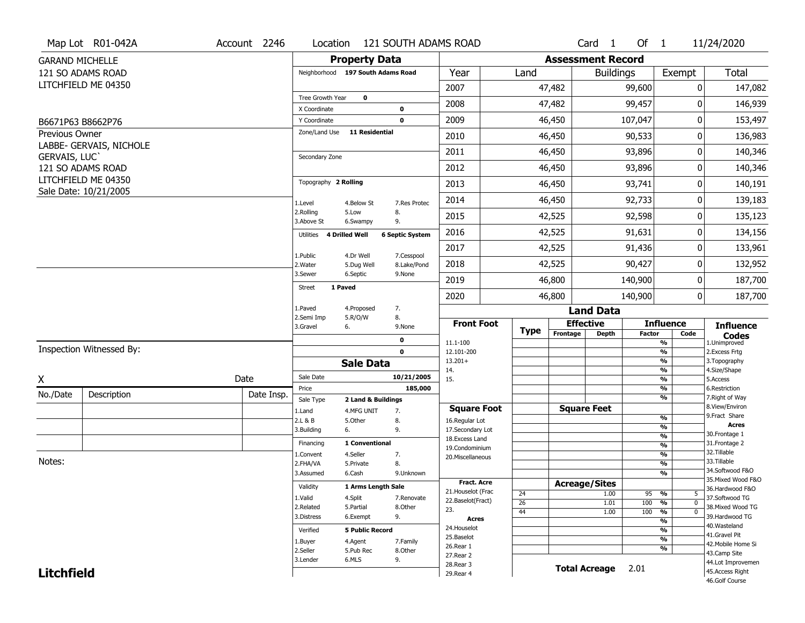|                        | Map Lot R01-042A                         | Account 2246 | Location                     | 121 SOUTH ADAMS ROAD              |                                         |                 |                          | Card <sub>1</sub>    | Of $1$        |                                                   | 11/24/2020                            |
|------------------------|------------------------------------------|--------------|------------------------------|-----------------------------------|-----------------------------------------|-----------------|--------------------------|----------------------|---------------|---------------------------------------------------|---------------------------------------|
| <b>GARAND MICHELLE</b> |                                          |              |                              | <b>Property Data</b>              |                                         |                 | <b>Assessment Record</b> |                      |               |                                                   |                                       |
|                        | 121 SO ADAMS ROAD                        |              |                              | Neighborhood 197 South Adams Road | Year                                    | Land            |                          | <b>Buildings</b>     |               | Exempt                                            | <b>Total</b>                          |
|                        | LITCHFIELD ME 04350                      |              |                              |                                   | 2007                                    |                 | 47,482                   |                      | 99,600        | 0                                                 | 147,082                               |
|                        |                                          |              | Tree Growth Year             | $\mathbf 0$                       | 2008                                    |                 | 47,482                   |                      | 99,457        | 0                                                 | 146,939                               |
|                        | B6671P63 B8662P76                        |              | X Coordinate<br>Y Coordinate | 0<br>$\mathbf 0$                  | 2009                                    |                 | 46,450                   |                      | 107,047       | 0                                                 | 153,497                               |
| Previous Owner         |                                          |              | Zone/Land Use                | <b>11 Residential</b>             | 2010                                    |                 | 46,450                   |                      | 90,533        | 0                                                 | 136,983                               |
|                        | LABBE- GERVAIS, NICHOLE                  |              |                              |                                   |                                         |                 |                          |                      |               |                                                   |                                       |
| GERVAIS, LUC'          |                                          |              | Secondary Zone               |                                   | 2011                                    |                 | 46,450                   |                      | 93,896        | 0                                                 | 140,346                               |
|                        | 121 SO ADAMS ROAD<br>LITCHFIELD ME 04350 |              |                              |                                   | 2012                                    |                 | 46,450                   |                      | 93,896        | 0                                                 | 140,346                               |
|                        | Sale Date: 10/21/2005                    |              | Topography 2 Rolling         |                                   | 2013                                    |                 | 46,450                   |                      | 93,741        | 0                                                 | 140,191                               |
|                        |                                          |              | 1.Level                      | 7.Res Protec<br>4.Below St        | 2014                                    |                 | 46,450                   |                      | 92,733        | 0                                                 | 139,183                               |
|                        |                                          |              | 2.Rolling<br>3.Above St      | 5.Low<br>8.<br>9.<br>6.Swampy     | 2015                                    |                 | 42,525                   |                      | 92,598        | 0                                                 | 135,123                               |
|                        |                                          |              | 4 Drilled Well<br>Utilities  | <b>6 Septic System</b>            | 2016                                    |                 | 42,525                   |                      | 91,631        | 0                                                 | 134,156                               |
|                        |                                          |              | 1.Public                     | 4.Dr Well<br>7.Cesspool           | 2017                                    |                 | 42,525                   |                      | 91,436        | 0                                                 | 133,961                               |
|                        |                                          |              | 2. Water                     | 8.Lake/Pond<br>5.Dug Well         | 2018                                    |                 | 42,525                   |                      | 90,427        | 0                                                 | 132,952                               |
|                        |                                          |              | 3.Sewer                      | 6.Septic<br>9.None                | 2019                                    |                 | 46,800                   |                      | 140,900       | 0                                                 | 187,700                               |
|                        |                                          |              | 1 Paved<br>Street            |                                   | 2020                                    |                 | 46,800                   |                      | 140,900       | $\mathbf 0$                                       | 187,700                               |
|                        |                                          |              | 1.Paved                      | 7.<br>4.Proposed                  |                                         |                 |                          | <b>Land Data</b>     |               |                                                   |                                       |
|                        |                                          |              | 2.Semi Imp<br>3.Gravel<br>6. | 8.<br>5.R/O/W<br>9.None           | <b>Front Foot</b>                       | <b>Type</b>     | <b>Effective</b>         |                      |               | <b>Influence</b>                                  | <b>Influence</b>                      |
|                        |                                          |              |                              | $\mathbf 0$                       | 11.1-100                                |                 | Frontage                 | <b>Depth</b>         | <b>Factor</b> | Code<br>%                                         | <b>Codes</b><br>1.Unimproved          |
|                        | Inspection Witnessed By:                 |              |                              | $\mathbf 0$                       | 12.101-200                              |                 |                          |                      |               | $\frac{9}{6}$                                     | 2. Excess Frtg                        |
|                        |                                          |              |                              | <b>Sale Data</b>                  | $13.201+$<br>14.                        |                 |                          |                      |               | $\frac{9}{6}$<br>$\frac{9}{6}$                    | 3. Topography<br>4.Size/Shape         |
| X                      |                                          | Date         | Sale Date                    | 10/21/2005                        | 15.                                     |                 |                          |                      |               | $\frac{9}{6}$                                     | 5.Access                              |
| No./Date               | Description                              | Date Insp.   | Price<br>Sale Type           | 185,000<br>2 Land & Buildings     |                                         |                 |                          |                      |               | %<br>%                                            | 6.Restriction<br>7. Right of Way      |
|                        |                                          |              | 1.Land                       | 7.<br>4.MFG UNIT                  | <b>Square Foot</b>                      |                 |                          | <b>Square Feet</b>   |               |                                                   | 8.View/Environ                        |
|                        |                                          |              | 2.L & B                      | 5.Other<br>8.                     | 16.Regular Lot                          |                 |                          |                      |               | $\frac{9}{6}$                                     | 9. Fract Share<br><b>Acres</b>        |
|                        |                                          |              | 3.Building<br>6.             | 9.                                | 17.Secondary Lot                        |                 |                          |                      |               | $\frac{9}{6}$<br>$\frac{9}{6}$                    | 30.Frontage 1                         |
|                        |                                          |              | Financing                    | 1 Conventional                    | 18. Excess Land<br>19.Condominium       |                 |                          |                      |               | $\frac{9}{6}$                                     | 31. Frontage 2                        |
|                        |                                          |              | 1.Convent                    | 4.Seller<br>7.                    | 20.Miscellaneous                        |                 |                          |                      |               | $\frac{9}{6}$                                     | 32.Tillable                           |
| Notes:                 |                                          |              | 2.FHA/VA                     | 8.<br>5.Private                   |                                         |                 |                          |                      |               | $\frac{9}{6}$                                     | 33.Tillable                           |
|                        |                                          |              | 3.Assumed                    | 6.Cash<br>9.Unknown               |                                         |                 |                          |                      |               | $\overline{\frac{9}{6}}$                          | 34.Softwood F&O<br>35. Mixed Wood F&O |
|                        |                                          |              | Validity                     | 1 Arms Length Sale                | <b>Fract. Acre</b>                      |                 | <b>Acreage/Sites</b>     |                      |               |                                                   | 36.Hardwood F&O                       |
|                        |                                          |              | 1.Valid                      | 4.Split<br>7.Renovate             | 21. Houselot (Frac<br>22.Baselot(Fract) | 24              |                          | 1.00                 | 95            | %<br>5                                            | 37.Softwood TG                        |
|                        |                                          |              | 2.Related                    | 5.Partial<br>8.Other              | 23.                                     | $\overline{26}$ |                          | 1.01                 | 100           | %<br>$\mathbf{0}$<br>$\frac{9}{6}$<br>$\mathbf 0$ | 38. Mixed Wood TG                     |
|                        |                                          |              | 3.Distress                   | 6.Exempt<br>9.                    | <b>Acres</b>                            | 44              |                          | 1.00                 | 100           | $\overline{\frac{9}{6}}$                          | 39.Hardwood TG                        |
|                        |                                          |              | Verified                     | <b>5 Public Record</b>            | 24. Houselot                            |                 |                          |                      |               | %                                                 | 40. Wasteland                         |
|                        |                                          |              | 1.Buyer                      | 4.Agent<br>7.Family               | 25.Baselot                              |                 |                          |                      |               | $\frac{9}{6}$                                     | 41.Gravel Pit                         |
|                        |                                          |              | 2.Seller                     | 5.Pub Rec<br>8.Other              | 26.Rear 1                               |                 |                          |                      |               | %                                                 | 42. Mobile Home Si                    |
|                        |                                          |              |                              |                                   | 27. Rear 2                              |                 |                          |                      |               |                                                   | 43.Camp Site                          |
|                        |                                          |              | 3.Lender                     | 6.MLS                             |                                         |                 |                          |                      |               |                                                   |                                       |
| <b>Litchfield</b>      |                                          |              |                              | 9.                                | 28. Rear 3<br>29. Rear 4                |                 |                          | <b>Total Acreage</b> | 2.01          |                                                   | 44.Lot Improvemen<br>45.Access Right  |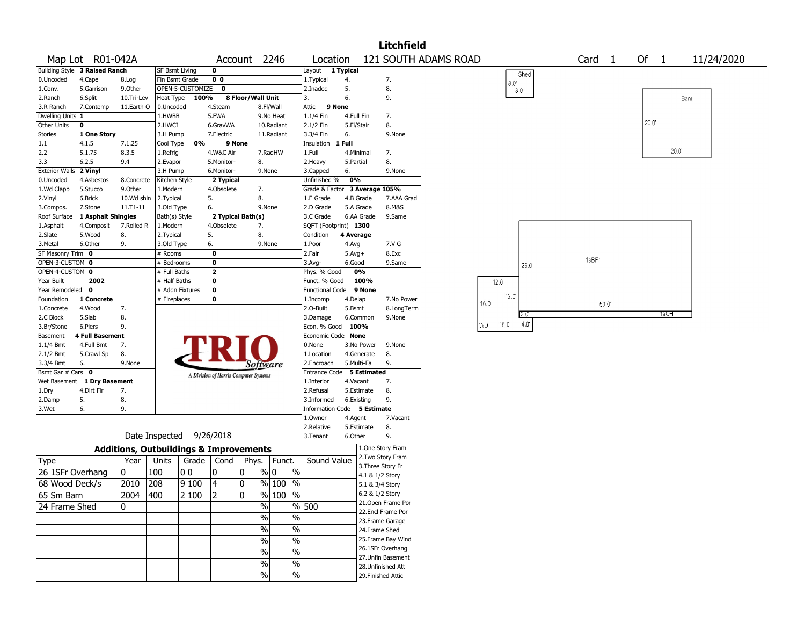|                        |                               |            |                                                   |                  |                                       |                   |                                    |                               |            |             | <b>Litchfield</b>                    |                      |                |               |                   |        |       |            |
|------------------------|-------------------------------|------------|---------------------------------------------------|------------------|---------------------------------------|-------------------|------------------------------------|-------------------------------|------------|-------------|--------------------------------------|----------------------|----------------|---------------|-------------------|--------|-------|------------|
|                        | Map Lot R01-042A              |            |                                                   |                  |                                       | Account 2246      |                                    | Location                      |            |             |                                      | 121 SOUTH ADAMS ROAD |                |               | Card <sub>1</sub> | Of $1$ |       | 11/24/2020 |
|                        | Building Style 3 Raised Ranch |            | SF Bsmt Living                                    |                  | 0                                     |                   |                                    | Layout 1 Typical              |            |             |                                      |                      |                | Shed          |                   |        |       |            |
| 0.Uncoded              | 4.Cape                        | 8.Log      | Fin Bsmt Grade                                    |                  | 0 <sub>0</sub>                        |                   |                                    | 1.Typical                     | 4.         |             | 7.                                   |                      | $8.0^\circ$    |               |                   |        |       |            |
| 1.Conv.                | 5.Garrison                    | 9.0ther    |                                                   | OPEN-5-CUSTOMIZE | 0                                     |                   |                                    | 2.Inadeg                      | 5.         |             | 8.                                   |                      |                | $8.0^{\circ}$ |                   |        |       |            |
| 2.Ranch                | 6.Split                       | 10.Tri-Lev | Heat Type                                         | 100%             |                                       | 8 Floor/Wall Unit |                                    | 3.                            | 6.         |             | 9.                                   |                      |                |               |                   |        | Bam   |            |
| 3.R Ranch              | 7.Contemp                     | 11.Earth O | 0.Uncoded                                         |                  | 4.Steam                               |                   | 8.Fl/Wall                          | Attic                         | 9 None     |             |                                      |                      |                |               |                   |        |       |            |
| Dwelling Units 1       |                               |            | 1.HWBB                                            |                  | 5.FWA                                 |                   | 9.No Heat                          | 1.1/4 Fin                     | 4.Full Fin |             | 7.                                   |                      |                |               |                   |        |       |            |
| Other Units            | 0                             |            | 2.HWCI                                            |                  | 6.GravWA                              |                   | 10.Radiant                         | 2.1/2 Fin                     | 5.Fl/Stair |             | 8.                                   |                      |                |               |                   | 20.0"  |       |            |
| Stories                | 1 One Story                   |            | 3.H Pump                                          |                  | 7.Electric                            |                   | 11.Radiant                         | 3.3/4 Fin                     | 6.         |             | 9.None                               |                      |                |               |                   |        |       |            |
| 1.1                    | 4.1.5                         | 7.1.25     | Cool Type                                         | 0%               |                                       | 9 None            |                                    | Insulation                    | 1 Full     |             |                                      |                      |                |               |                   |        |       |            |
| 2.2                    | 5.1.75                        | 8.3.5      | 1.Refrig                                          |                  | 4.W&C Air                             |                   | 7.RadHW                            | 1.Full                        | 4.Minimal  |             | 7.                                   |                      |                |               |                   |        | 20.0" |            |
| 3.3                    | 6.2.5                         | 9.4        | 2.Evapor                                          |                  | 5.Monitor-                            | 8.                |                                    | 2. Heavy                      | 5.Partial  |             | 8.                                   |                      |                |               |                   |        |       |            |
| Exterior Walls 2 Vinyl |                               |            | 3.H Pump                                          |                  | 6.Monitor-                            |                   | 9.None                             | 3.Capped                      | 6.         |             | 9.None                               |                      |                |               |                   |        |       |            |
| 0.Uncoded              | 4.Asbestos                    | 8.Concrete | Kitchen Style                                     |                  | 2 Typical                             |                   |                                    | Unfinished %                  | 0%         |             |                                      |                      |                |               |                   |        |       |            |
| 1.Wd Clapb             | 5.Stucco                      | 9.Other    | 1.Modern                                          |                  | 4.Obsolete                            |                   | 7.                                 | Grade & Factor 3 Average 105% |            |             |                                      |                      |                |               |                   |        |       |            |
| 2.Vinyl                | 6.Brick                       | 10.Wd shin | 2. Typical                                        |                  | 5.                                    | 8.                |                                    | 1.E Grade                     |            | 4.B Grade   | 7.AAA Grad                           |                      |                |               |                   |        |       |            |
| 3.Compos.              | 7.Stone                       | 11.T1-11   | 3.Old Type                                        |                  | 6.                                    |                   | 9.None                             | 2.D Grade                     |            | 5.A Grade   | 8.M&S                                |                      |                |               |                   |        |       |            |
| Roof Surface           | 1 Asphalt Shingles            |            | Bath(s) Style                                     |                  | 2 Typical Bath(s)                     |                   |                                    | 3.C Grade                     |            | 6.AA Grade  | 9.Same                               |                      |                |               |                   |        |       |            |
| 1.Asphalt              | 4.Composit                    | 7.Rolled R | 1.Modern                                          |                  | 4.Obsolete                            | 7.                |                                    | SQFT (Footprint) 1300         |            |             |                                      |                      |                |               |                   |        |       |            |
| 2.Slate                | 5.Wood                        | 8.         | 2. Typical                                        |                  | 5.                                    | 8.                |                                    | Condition                     | 4 Average  |             |                                      |                      |                |               |                   |        |       |            |
| 3.Metal                | 6.Other                       | 9.         | 3.Old Type                                        |                  | 6.                                    |                   | 9.None                             | 1.Poor                        | 4.Avg      |             | 7.V G                                |                      |                |               |                   |        |       |            |
| SF Masonry Trim 0      |                               |            | # Rooms                                           |                  | $\bf o$                               |                   |                                    | 2.Fair                        | $5.Avg+$   |             | 8.Exc                                |                      |                |               |                   |        |       |            |
| OPEN-3-CUSTOM 0        |                               |            | # Bedrooms                                        |                  | $\bf o$                               |                   |                                    | $3.$ Avg-                     | 6.Good     |             | 9.Same                               |                      |                |               | 1sBFr             |        |       |            |
| OPEN-4-CUSTOM 0        |                               |            | # Full Baths                                      |                  | $\mathbf{2}$                          |                   |                                    | Phys. % Good                  |            | 0%          |                                      |                      |                | 26.0          |                   |        |       |            |
| Year Built             | 2002                          |            | # Half Baths                                      |                  | $\bf o$                               |                   |                                    | Funct. % Good                 |            | 100%        |                                      |                      | 12.0'          |               |                   |        |       |            |
| Year Remodeled 0       |                               |            | # Addn Fixtures                                   |                  | $\pmb{0}$                             |                   |                                    | Functional Code               |            | 9 None      |                                      |                      |                |               |                   |        |       |            |
| Foundation             | 1 Concrete                    |            | # Fireplaces                                      |                  | $\bf o$                               |                   |                                    | 1.Incomp                      | 4.Delap    |             | 7.No Power                           |                      | 12.0'          |               |                   |        |       |            |
| 1.Concrete             | 4.Wood                        | 7.         |                                                   |                  |                                       |                   |                                    | 2.0-Built                     | 5.Bsmt     |             | 8.LongTerm                           |                      | $16.0^{\circ}$ |               | 50.0              |        |       |            |
| 2.C Block              | 5.Slab                        | 8.         |                                                   |                  |                                       |                   |                                    | 3.Damage                      |            | 6.Common    | 9.None                               |                      |                |               |                   |        | 1sOH  |            |
| 3.Br/Stone             | 6.Piers                       | 9.         |                                                   |                  |                                       |                   |                                    | Econ. % Good                  | 100%       |             |                                      |                      | 16.0<br>WD     | $4.0^{\circ}$ |                   |        |       |            |
| Basement               | <b>4 Full Basement</b>        |            |                                                   |                  |                                       |                   |                                    | Economic Code None            |            |             |                                      |                      |                |               |                   |        |       |            |
| 1.1/4 Bmt              | 4.Full Bmt                    | 7.         |                                                   |                  |                                       |                   |                                    | 0.None                        |            | 3.No Power  | 9.None                               |                      |                |               |                   |        |       |            |
| 2.1/2 Bmt              | 5.Crawl Sp                    | 8.         |                                                   |                  |                                       |                   |                                    | 1.Location                    |            | 4.Generate  | 8.                                   |                      |                |               |                   |        |       |            |
| 3.3/4 Bmt              | 6.                            | 9.None     |                                                   |                  |                                       |                   |                                    | 2.Encroach                    |            | 5.Multi-Fa  | 9.                                   |                      |                |               |                   |        |       |            |
| Bsmt Gar $#$ Cars $0$  |                               |            |                                                   |                  |                                       |                   | Software                           | <b>Entrance Code</b>          |            | 5 Estimated |                                      |                      |                |               |                   |        |       |            |
| Wet Basement           | 1 Dry Basement                |            |                                                   |                  | A Division of Harris Computer Systems |                   |                                    | 1.Interior                    | 4.Vacant   |             | 7.                                   |                      |                |               |                   |        |       |            |
| 1.Dry                  | 4.Dirt Flr                    | 7.         |                                                   |                  |                                       |                   |                                    | 2.Refusal                     |            | 5.Estimate  | 8.                                   |                      |                |               |                   |        |       |            |
|                        | 5.                            | 8.         |                                                   |                  |                                       |                   |                                    | 3.Informed                    | 6.Existing |             | 9.                                   |                      |                |               |                   |        |       |            |
| 2.Damp<br>3.Wet        | 6.                            | 9.         |                                                   |                  |                                       |                   |                                    | Information Code 5 Estimate   |            |             |                                      |                      |                |               |                   |        |       |            |
|                        |                               |            |                                                   |                  |                                       |                   |                                    | 1.0wner                       | 4.Agent    |             | 7.Vacant                             |                      |                |               |                   |        |       |            |
|                        |                               |            |                                                   |                  |                                       |                   |                                    | 2.Relative                    |            | 5.Estimate  | 8.                                   |                      |                |               |                   |        |       |            |
|                        |                               |            | Date Inspected 9/26/2018                          |                  |                                       |                   |                                    | 3.Tenant                      | 6.Other    |             | 9.                                   |                      |                |               |                   |        |       |            |
|                        |                               |            |                                                   |                  |                                       |                   |                                    |                               |            |             |                                      |                      |                |               |                   |        |       |            |
|                        |                               |            | <b>Additions, Outbuildings &amp; Improvements</b> |                  |                                       |                   |                                    |                               |            |             | 1.One Story Fram<br>2.Two Story Fram |                      |                |               |                   |        |       |            |
| <b>Type</b>            |                               | Year       | Units                                             |                  | Grade $\vert$ Cond $\vert$            | Phys.             | Funct.                             | Sound Value                   |            |             | 3. Three Story Fr                    |                      |                |               |                   |        |       |            |
| 26 1SFr Overhang       |                               | 0          | 100                                               | 00               | 0                                     | 10                | $\%$ <sub>0</sub><br>$\frac{0}{0}$ |                               |            |             | 4.1 & 1/2 Story                      |                      |                |               |                   |        |       |            |
| 68 Wood Deck/s         |                               | 2010       | 208                                               | 9100             | 4                                     | 0                 | $%100$ %                           |                               |            |             | 5.1 & 3/4 Story                      |                      |                |               |                   |        |       |            |
| 65 Sm Barn             |                               | 2004       | 400                                               | 2100             | 12                                    | ۱o                | % 100 %                            |                               |            |             | 6.2 & 1/2 Story                      |                      |                |               |                   |        |       |            |
|                        |                               |            |                                                   |                  |                                       |                   |                                    |                               |            |             | 21. Open Frame Por                   |                      |                |               |                   |        |       |            |
| 24 Frame Shed          |                               | 0          |                                                   |                  |                                       |                   | %                                  | % 500                         |            |             | 22.Encl Frame Por                    |                      |                |               |                   |        |       |            |
|                        |                               |            |                                                   |                  |                                       |                   | $\%$<br>$\%$                       |                               |            |             | 23. Frame Garage                     |                      |                |               |                   |        |       |            |
|                        |                               |            |                                                   |                  |                                       |                   | $\sqrt{6}$<br>$\%$                 |                               |            |             | 24.Frame Shed                        |                      |                |               |                   |        |       |            |
|                        |                               |            |                                                   |                  |                                       |                   | $\sqrt{6}$                         |                               |            |             | 25. Frame Bay Wind                   |                      |                |               |                   |        |       |            |
|                        |                               |            |                                                   |                  |                                       |                   | $\%$                               |                               |            |             | 26.1SFr Overhang                     |                      |                |               |                   |        |       |            |
|                        |                               |            |                                                   |                  |                                       |                   | $\frac{9}{6}$<br>$\%$              |                               |            |             | 27. Unfin Basement                   |                      |                |               |                   |        |       |            |
|                        |                               |            |                                                   |                  |                                       |                   | $\sqrt{6}$<br>$\%$                 |                               |            |             | 28.Unfinished Att                    |                      |                |               |                   |        |       |            |
|                        |                               |            |                                                   |                  |                                       |                   | $\sqrt{6}$<br>$\%$                 |                               |            |             | 29. Finished Attic                   |                      |                |               |                   |        |       |            |
|                        |                               |            |                                                   |                  |                                       |                   |                                    |                               |            |             |                                      |                      |                |               |                   |        |       |            |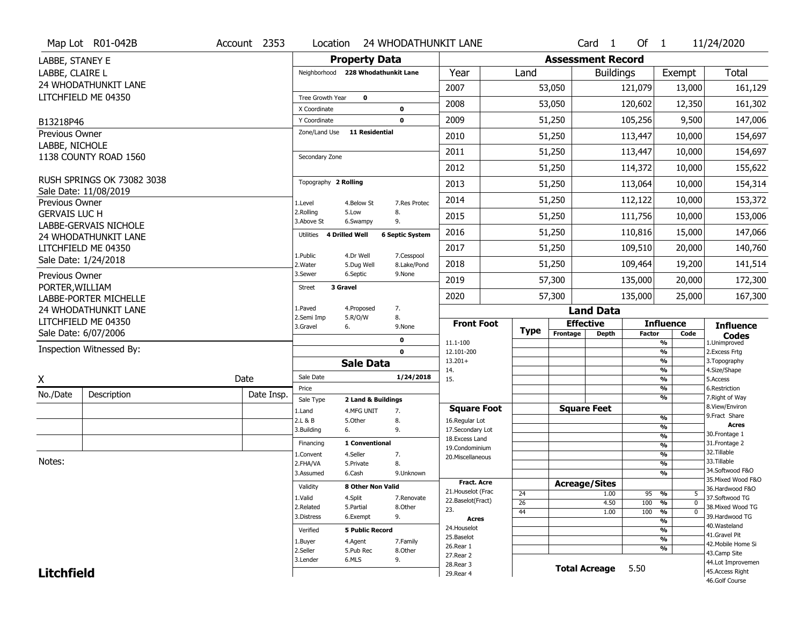|                             | Map Lot R01-042B                                     | Account 2353 | Location                           |                         | 24 WHODATHUNKIT LANE       |                                         |                       |                          | $Card \t1$           | Of $1$        |                                                                    | 11/24/2020                            |
|-----------------------------|------------------------------------------------------|--------------|------------------------------------|-------------------------|----------------------------|-----------------------------------------|-----------------------|--------------------------|----------------------|---------------|--------------------------------------------------------------------|---------------------------------------|
| LABBE, STANEY E             |                                                      |              |                                    | <b>Property Data</b>    |                            |                                         |                       | <b>Assessment Record</b> |                      |               |                                                                    |                                       |
| LABBE, CLAIRE L             |                                                      |              | Neighborhood 228 Whodathunkit Lane |                         |                            | Year                                    | Land                  |                          | <b>Buildings</b>     |               | Exempt                                                             | <b>Total</b>                          |
|                             | 24 WHODATHUNKIT LANE                                 |              |                                    |                         |                            | 2007                                    |                       | 53,050                   |                      | 121,079       | 13,000                                                             | 161,129                               |
|                             | LITCHFIELD ME 04350                                  |              | Tree Growth Year                   | $\mathbf 0$             |                            | 2008                                    |                       | 53,050                   |                      | 120,602       | 12,350                                                             | 161,302                               |
|                             |                                                      |              | X Coordinate                       |                         | $\mathbf 0$<br>$\mathbf 0$ | 2009                                    |                       | 51,250                   |                      |               |                                                                    |                                       |
| B13218P46<br>Previous Owner |                                                      |              | Y Coordinate<br>Zone/Land Use      | <b>11 Residential</b>   |                            |                                         |                       |                          |                      | 105,256       | 9,500                                                              | 147,006                               |
| LABBE, NICHOLE              |                                                      |              |                                    |                         |                            | 2010                                    |                       | 51,250                   |                      | 113,447       | 10,000                                                             | 154,697                               |
|                             | 1138 COUNTY ROAD 1560                                |              | Secondary Zone                     |                         |                            | 2011                                    |                       | 51,250                   |                      | 113,447       | 10,000                                                             | 154,697                               |
|                             |                                                      |              |                                    |                         |                            | 2012                                    |                       | 51,250                   |                      | 114,372       | 10,000                                                             | 155,622                               |
|                             | RUSH SPRINGS OK 73082 3038                           |              | Topography 2 Rolling               |                         |                            | 2013                                    |                       | 51,250                   |                      | 113,064       | 10,000                                                             | 154,314                               |
| Previous Owner              | Sale Date: 11/08/2019                                |              | 1.Level                            | 4.Below St              | 7.Res Protec               | 2014                                    |                       | 51,250                   |                      | 112,122       | 10,000                                                             | 153,372                               |
| <b>GERVAIS LUC H</b>        |                                                      |              | 2.Rolling<br>3.Above St            | 5.Low<br>6.Swampy       | 8.<br>9.                   | 2015                                    |                       | 51,250                   |                      | 111,756       | 10,000                                                             | 153,006                               |
|                             | <b>LABBE-GERVAIS NICHOLE</b><br>24 WHODATHUNKIT LANE |              | Utilities                          | <b>4 Drilled Well</b>   | <b>6 Septic System</b>     | 2016                                    |                       | 51,250                   |                      | 110,816       | 15,000                                                             | 147,066                               |
|                             | LITCHFIELD ME 04350                                  |              |                                    |                         |                            | 2017                                    |                       | 51,250                   |                      | 109,510       | 20,000                                                             | 140,760                               |
|                             | Sale Date: 1/24/2018                                 |              | 1.Public<br>2. Water               | 4.Dr Well<br>5.Dug Well | 7.Cesspool<br>8.Lake/Pond  | 2018                                    |                       | 51,250                   |                      | 109,464       | 19,200                                                             | 141,514                               |
| Previous Owner              |                                                      |              | 3.Sewer                            | 6.Septic                | 9.None                     | 2019                                    |                       | 57,300                   |                      | 135,000       | 20,000                                                             | 172,300                               |
| PORTER, WILLIAM             | <b>LABBE-PORTER MICHELLE</b>                         |              | 3 Gravel<br><b>Street</b>          |                         |                            | 2020                                    |                       | 57,300                   |                      | 135,000       | 25,000                                                             | 167,300                               |
|                             | 24 WHODATHUNKIT LANE                                 |              | 1.Paved                            | 4.Proposed              | 7.                         |                                         |                       |                          | <b>Land Data</b>     |               |                                                                    |                                       |
|                             | LITCHFIELD ME 04350                                  |              | 2.Semi Imp<br>3.Gravel             | 5.R/O/W<br>6.           | 8.<br>9.None               | <b>Front Foot</b>                       |                       | <b>Effective</b>         |                      |               | <b>Influence</b>                                                   | <b>Influence</b>                      |
|                             | Sale Date: 6/07/2006                                 |              |                                    |                         | $\mathbf 0$                |                                         | <b>Type</b>           | Frontage                 | Depth                | <b>Factor</b> | Code                                                               | <b>Codes</b>                          |
|                             | Inspection Witnessed By:                             |              |                                    |                         | $\mathbf 0$                | 11.1-100<br>12.101-200                  |                       |                          |                      |               | %<br>$\overline{\frac{9}{6}}$                                      | 1.Unimproved<br>2.Excess Frtg         |
|                             |                                                      |              |                                    | <b>Sale Data</b>        |                            | $13.201+$                               |                       |                          |                      |               | $\overline{\frac{9}{6}}$                                           | 3. Topography                         |
| X                           |                                                      | Date         | Sale Date                          |                         | 1/24/2018                  | 14.<br>15.                              |                       |                          |                      |               | $\overline{\frac{9}{6}}$<br>$\overline{\frac{9}{6}}$               | 4.Size/Shape<br>5.Access              |
| No./Date                    | Description                                          | Date Insp.   | Price                              |                         |                            |                                         |                       |                          |                      |               | %                                                                  | 6.Restriction                         |
|                             |                                                      |              | Sale Type                          | 2 Land & Buildings      |                            | <b>Square Foot</b>                      |                       | <b>Square Feet</b>       |                      |               | $\overline{\frac{9}{6}}$                                           | 7. Right of Way<br>8.View/Environ     |
|                             |                                                      |              | 1.Land<br>2.L & B                  | 4.MFG UNIT<br>5.Other   | 7.<br>8.                   | 16.Regular Lot                          |                       |                          |                      |               | %                                                                  | 9. Fract Share                        |
|                             |                                                      |              | 3.Building                         | 6.                      | 9.                         | 17.Secondary Lot                        |                       |                          |                      |               | %                                                                  | <b>Acres</b>                          |
|                             |                                                      |              | Financing                          | 1 Conventional          |                            | 18.Excess Land                          |                       |                          |                      |               | %<br>$\overline{\frac{9}{6}}$                                      | 30. Frontage 1<br>31. Frontage 2      |
|                             |                                                      |              | 1.Convent                          | 4.Seller                | 7.                         | 19.Condominium<br>20.Miscellaneous      |                       |                          |                      |               | %                                                                  | 32.Tillable                           |
| Notes:                      |                                                      |              | 2.FHA/VA                           | 5.Private               | 8.                         |                                         |                       |                          |                      |               | %                                                                  | 33.Tillable                           |
|                             |                                                      |              | 3.Assumed                          | 6.Cash                  | 9.Unknown                  |                                         |                       |                          |                      |               | %                                                                  | 34.Softwood F&O<br>35. Mixed Wood F&O |
|                             |                                                      |              | Validity                           | 8 Other Non Valid       |                            | <b>Fract. Acre</b>                      |                       | <b>Acreage/Sites</b>     |                      |               |                                                                    | 36.Hardwood F&O                       |
|                             |                                                      |              | 1.Valid                            | 4.Split                 | 7.Renovate                 | 21. Houselot (Frac<br>22.Baselot(Fract) | 24                    |                          | 1.00                 | 95            | %<br>5                                                             | 37.Softwood TG                        |
|                             |                                                      |              | 2.Related                          | 5.Partial               | 8.Other                    | 23.                                     | $\overline{26}$<br>44 |                          | 4.50<br>1.00         | 100<br>100    | $\overline{0}$<br>$\frac{9}{6}$<br>$\frac{9}{6}$<br>$\overline{0}$ | 38. Mixed Wood TG                     |
|                             |                                                      |              | 3.Distress                         | 6.Exempt                | 9.                         | Acres                                   |                       |                          |                      |               | $\overline{\frac{9}{6}}$                                           | 39.Hardwood TG                        |
|                             |                                                      |              | Verified                           | <b>5 Public Record</b>  |                            | 24. Houselot                            |                       |                          |                      |               | $\overline{\frac{9}{6}}$                                           | 40. Wasteland                         |
|                             |                                                      |              | 1.Buyer                            | 4.Agent                 | 7.Family                   | 25.Baselot                              |                       |                          |                      |               | $\overline{\frac{9}{6}}$                                           | 41.Gravel Pit<br>42. Mobile Home Si   |
|                             |                                                      |              | 2.Seller                           | 5.Pub Rec               | 8.Other                    | 26.Rear 1                               |                       |                          |                      |               | %                                                                  | 43.Camp Site                          |
|                             |                                                      |              | 3.Lender                           | 6.MLS                   | 9.                         | 27. Rear 2                              |                       |                          |                      |               |                                                                    |                                       |
|                             |                                                      |              |                                    |                         |                            |                                         |                       |                          |                      |               |                                                                    | 44.Lot Improvemen                     |
| <b>Litchfield</b>           |                                                      |              |                                    |                         |                            | 28. Rear 3<br>29. Rear 4                |                       |                          | <b>Total Acreage</b> | 5.50          |                                                                    | 45.Access Right                       |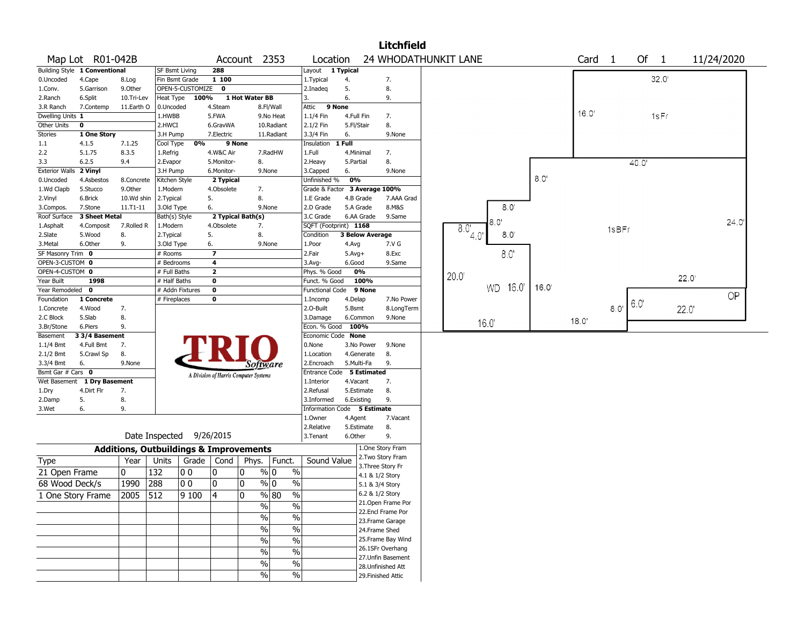|                               |                               |            |                                                   |                  |                                       |                |                                   |                                    |                   |                                    | <b>Litchfield</b>    |      |                |               |      |       |                   |       |       |       |            |  |
|-------------------------------|-------------------------------|------------|---------------------------------------------------|------------------|---------------------------------------|----------------|-----------------------------------|------------------------------------|-------------------|------------------------------------|----------------------|------|----------------|---------------|------|-------|-------------------|-------|-------|-------|------------|--|
|                               | Map Lot R01-042B              |            |                                                   |                  |                                       |                | Account 2353                      | Location                           |                   |                                    | 24 WHODATHUNKIT LANE |      |                |               |      |       | Card <sub>1</sub> |       | Of 1  |       | 11/24/2020 |  |
|                               | Building Style 1 Conventional |            | SF Bsmt Living                                    |                  | 288                                   |                |                                   | Layout 1 Typical                   |                   |                                    |                      |      |                |               |      |       |                   |       |       |       |            |  |
| 0.Uncoded                     | 4.Cape                        | 8.Log      | Fin Bsmt Grade                                    |                  | 1 100                                 |                |                                   | 1.Typical                          | 4.                |                                    | 7.                   |      |                |               |      |       |                   |       | 32.0' |       |            |  |
| 1.Conv.                       | 5.Garrison                    | 9.Other    |                                                   | OPEN-5-CUSTOMIZE | $\mathbf 0$                           |                |                                   | 2.Inadeg                           | 5.                |                                    | 8.                   |      |                |               |      |       |                   |       |       |       |            |  |
| 2.Ranch                       | 6.Split                       | 10.Tri-Lev | Heat Type                                         | 100%             |                                       | 1 Hot Water BB |                                   | 3.                                 | 6.                |                                    | 9.                   |      |                |               |      |       |                   |       |       |       |            |  |
| 3.R Ranch                     | 7.Contemp                     | 11.Earth O | 0.Uncoded                                         |                  | 4.Steam                               |                | 8.Fl/Wall                         | Attic                              | 9 None            |                                    |                      |      |                |               |      | 16.0' |                   |       |       |       |            |  |
| Dwelling Units 1              |                               |            | 1.HWBB                                            |                  | 5.FWA                                 |                | 9.No Heat                         | 1.1/4 Fin                          | 4.Full Fin        |                                    | 7.                   |      |                |               |      |       |                   |       | 1sFr  |       |            |  |
| Other Units                   | $\mathbf 0$                   |            | 2.HWCI                                            |                  | 6.GravWA                              |                | 10.Radiant                        | 2.1/2 Fin                          | 5.Fl/Stair        |                                    | 8.                   |      |                |               |      |       |                   |       |       |       |            |  |
| Stories                       | 1 One Story                   |            | 3.H Pump                                          |                  | 7.Electric                            |                | 11.Radiant                        | 3.3/4 Fin                          | 6.                |                                    | 9.None               |      |                |               |      |       |                   |       |       |       |            |  |
| 1.1                           | 4.1.5                         | 7.1.25     | Cool Type                                         | 0%               |                                       | 9 None         |                                   | Insulation                         | 1 Full            |                                    |                      |      |                |               |      |       |                   |       |       |       |            |  |
| 2.2                           | 5.1.75                        | 8.3.5      | 1.Refrig                                          |                  | 4.W&C Air                             |                | 7.RadHW                           | 1.Full                             | 4.Minimal         |                                    | 7.                   |      |                |               |      |       |                   |       |       |       |            |  |
| 3.3                           | 6.2.5                         | 9.4        | 2.Evapor                                          |                  | 5.Monitor-                            |                | 8.                                | 2. Heavy                           | 5.Partial         |                                    | 8.                   |      |                |               |      |       |                   | 40.0' |       |       |            |  |
| Exterior Walls 2 Vinyl        |                               |            | 3.H Pump                                          |                  | 6.Monitor-                            |                | 9.None                            | 3.Capped                           | 6.                |                                    | 9.None               |      |                |               | 8.0  |       |                   |       |       |       |            |  |
| 0.Uncoded                     | 4.Asbestos                    | 8.Concrete | Kitchen Style                                     |                  | 2 Typical                             |                |                                   | Unfinished %                       | 0%                |                                    |                      |      |                |               |      |       |                   |       |       |       |            |  |
| 1.Wd Clapb                    | 5.Stucco                      | 9.0ther    | 1.Modern                                          |                  | 4.Obsolete                            |                | 7.                                | Grade & Factor 3 Average 100%      |                   |                                    |                      |      |                |               |      |       |                   |       |       |       |            |  |
| 2.Vinyl                       | 6.Brick                       | 10.Wd shin | 2. Typical                                        |                  | 5.                                    |                | 8.                                | 1.E Grade                          | 4.B Grade         |                                    | 7.AAA Grad           |      |                |               |      |       |                   |       |       |       |            |  |
| 3.Compos.                     | 7.Stone                       | 11.T1-11   | 3.Old Type                                        |                  | 6.                                    |                | 9.None                            | 2.D Grade                          | 5.A Grade         |                                    | 8.M&S                |      |                | $8.0^{\circ}$ |      |       |                   |       |       |       |            |  |
| Roof Surface                  | 3 Sheet Metal                 |            | Bath(s) Style                                     |                  | 2 Typical Bath(s)                     |                |                                   | 3.C Grade                          |                   | 6.AA Grade                         | 9.Same               |      | 8.0            |               |      |       |                   |       |       |       | 24.0'      |  |
| 1.Asphalt                     | 4.Composit                    | 7.Rolled R | 1.Modern                                          |                  | 4.Obsolete                            |                | 7.                                | SQFT (Footprint) 1168              |                   |                                    |                      | 8.0  |                |               |      |       | 1sBFr             |       |       |       |            |  |
| 2.Slate                       | 5.Wood                        | 8.         | 2. Typical                                        |                  | 5.                                    |                | 8.                                | Condition                          |                   | <b>3 Below Average</b>             |                      |      | 4 <sub>0</sub> | 8,0'          |      |       |                   |       |       |       |            |  |
| 3.Metal                       | 6.Other                       | 9.         | 3.Old Type                                        |                  | 6.                                    |                | 9.None                            | 1.Poor                             | 4.Avg             |                                    | 7.V G                |      |                |               |      |       |                   |       |       |       |            |  |
| SF Masonry Trim 0             |                               |            | # Rooms                                           |                  |                                       |                |                                   | 2.Fair                             | $5.Avg+$          |                                    | 8.Exc                |      |                | 8.0'          |      |       |                   |       |       |       |            |  |
| OPEN-3-CUSTOM 0               |                               |            | # Bedrooms                                        |                  | 4                                     |                |                                   | 3.Avg-                             | 6.Good            |                                    | 9.Same               |      |                |               |      |       |                   |       |       |       |            |  |
| OPEN-4-CUSTOM 0<br>Year Built | 1998                          |            | # Full Baths                                      |                  | $\overline{\mathbf{2}}$<br>0          |                |                                   | Phys. % Good                       | 0%                | 100%                               |                      | 20.0 |                |               |      |       |                   |       |       | 22.0' |            |  |
| Year Remodeled 0              |                               |            | # Half Baths                                      |                  | 0                                     |                |                                   | Funct. % Good                      |                   | 9 None                             |                      |      | <b>WD</b>      | 16.0'         | 16.0 |       |                   |       |       |       |            |  |
| Foundation                    | 1 Concrete                    |            | # Addn Fixtures                                   |                  | 0                                     |                |                                   | <b>Functional Code</b><br>1.Incomp |                   |                                    | 7.No Power           |      |                |               |      |       |                   |       |       |       | OP         |  |
|                               | 4.Wood                        | 7.         | # Fireplaces                                      |                  |                                       |                |                                   | 2.O-Built                          | 4.Delap<br>5.Bsmt |                                    |                      |      |                |               |      |       | 8.0               | 6.0'  |       |       |            |  |
| 1.Concrete<br>2.C Block       | 5.Slab                        | 8.         |                                                   |                  |                                       |                |                                   | 3.Damage                           |                   | 6.Common                           | 8.LongTerm<br>9.None |      |                |               |      |       |                   |       |       | 22.0' |            |  |
| 3.Br/Stone                    | 6.Piers                       | 9.         |                                                   |                  |                                       |                |                                   | Econ. % Good                       | 100%              |                                    |                      |      | 16.0           |               |      | 18.0' |                   |       |       |       |            |  |
| Basement                      | 3 3/4 Basement                |            |                                                   |                  |                                       |                |                                   | Economic Code None                 |                   |                                    |                      |      |                |               |      |       |                   |       |       |       |            |  |
| $1.1/4$ Bmt                   | 4.Full Bmt                    | 7.         |                                                   |                  |                                       |                |                                   | 0.None                             |                   | 3.No Power                         | 9.None               |      |                |               |      |       |                   |       |       |       |            |  |
| 2.1/2 Bmt                     | 5.Crawl Sp                    | 8.         |                                                   |                  |                                       |                |                                   | 1.Location                         |                   | 4.Generate                         | 8.                   |      |                |               |      |       |                   |       |       |       |            |  |
| 3.3/4 Bmt                     | 6.                            | 9.None     |                                                   |                  |                                       |                |                                   | 2.Encroach                         | 5.Multi-Fa        |                                    | 9.                   |      |                |               |      |       |                   |       |       |       |            |  |
| Bsmt Gar # Cars 0             |                               |            |                                                   |                  |                                       |                | Software                          | Entrance Code 5 Estimated          |                   |                                    |                      |      |                |               |      |       |                   |       |       |       |            |  |
|                               | Wet Basement 1 Dry Basement   |            |                                                   |                  | A Division of Harris Computer Systems |                |                                   | 1.Interior                         | 4.Vacant          |                                    | 7.                   |      |                |               |      |       |                   |       |       |       |            |  |
| 1.Dry                         | 4.Dirt Flr                    | 7.         |                                                   |                  |                                       |                |                                   | 2.Refusal                          |                   | 5.Estimate                         | 8.                   |      |                |               |      |       |                   |       |       |       |            |  |
| 2.Damp                        | 5.                            | 8.         |                                                   |                  |                                       |                |                                   | 3.Informed                         | 6.Existing        |                                    | 9.                   |      |                |               |      |       |                   |       |       |       |            |  |
| 3.Wet                         | 6.                            | 9.         |                                                   |                  |                                       |                |                                   | Information Code 5 Estimate        |                   |                                    |                      |      |                |               |      |       |                   |       |       |       |            |  |
|                               |                               |            |                                                   |                  |                                       |                |                                   | 1.Owner                            | 4.Agent           |                                    | 7.Vacant             |      |                |               |      |       |                   |       |       |       |            |  |
|                               |                               |            |                                                   |                  |                                       |                |                                   | 2.Relative                         | 5.Estimate        |                                    | 8.                   |      |                |               |      |       |                   |       |       |       |            |  |
|                               |                               |            | Date Inspected                                    |                  | 9/26/2015                             |                |                                   | 3. Tenant                          | 6.Other           |                                    | 9.                   |      |                |               |      |       |                   |       |       |       |            |  |
|                               |                               |            | <b>Additions, Outbuildings &amp; Improvements</b> |                  |                                       |                |                                   |                                    |                   |                                    | 1.One Story Fram     |      |                |               |      |       |                   |       |       |       |            |  |
| Type                          |                               | Year       | Units                                             |                  | Grade   Cond                          | Phys.          | Funct.                            | Sound Value                        |                   |                                    | 2. Two Story Fram    |      |                |               |      |       |                   |       |       |       |            |  |
| 21 Open Frame                 |                               | 0          | 132                                               | 00               | 10                                    | 0              | $\frac{9}{0}$ 0<br>$\%$           |                                    |                   |                                    | 3. Three Story Fr    |      |                |               |      |       |                   |       |       |       |            |  |
| 68 Wood Deck/s                |                               | 1990       | 288                                               | 00               | 10                                    | 0              | $\frac{9}{0}$ 0<br>$\frac{0}{0}$  |                                    |                   | 4.1 & 1/2 Story<br>5.1 & 3/4 Story |                      |      |                |               |      |       |                   |       |       |       |            |  |
|                               |                               |            |                                                   |                  | 14                                    |                |                                   |                                    |                   | 6.2 & 1/2 Story                    |                      |      |                |               |      |       |                   |       |       |       |            |  |
|                               | 1 One Story Frame             | 2005 512   |                                                   | 9100             |                                       | $\Omega$       | $\frac{9}{6}$ 80<br>$\frac{1}{2}$ |                                    |                   |                                    | 21. Open Frame Por   |      |                |               |      |       |                   |       |       |       |            |  |
|                               |                               |            |                                                   |                  |                                       |                | $\frac{9}{0}$<br>$\%$             |                                    |                   |                                    | 22.Encl Frame Por    |      |                |               |      |       |                   |       |       |       |            |  |
|                               |                               |            |                                                   |                  |                                       |                | $\%$<br>%                         |                                    |                   |                                    | 23. Frame Garage     |      |                |               |      |       |                   |       |       |       |            |  |
|                               |                               |            |                                                   |                  |                                       |                | $\frac{1}{2}$<br>$\frac{0}{0}$    |                                    |                   | 24.Frame Shed                      |                      |      |                |               |      |       |                   |       |       |       |            |  |
|                               |                               |            |                                                   |                  |                                       |                | $\frac{1}{2}$                     |                                    |                   |                                    | 25. Frame Bay Wind   |      |                |               |      |       |                   |       |       |       |            |  |
|                               |                               |            |                                                   |                  |                                       |                | $\%$                              |                                    |                   |                                    | 26.1SFr Overhang     |      |                |               |      |       |                   |       |       |       |            |  |
|                               |                               |            |                                                   |                  |                                       |                | $\frac{1}{2}$<br>$\frac{0}{0}$    |                                    |                   |                                    | 27.Unfin Basement    |      |                |               |      |       |                   |       |       |       |            |  |
|                               |                               |            |                                                   |                  |                                       |                | $\%$<br>$\%$                      |                                    |                   |                                    | 28. Unfinished Att   |      |                |               |      |       |                   |       |       |       |            |  |
|                               |                               |            |                                                   |                  |                                       |                | $\sqrt{6}$<br>$\%$                |                                    |                   |                                    | 29. Finished Attic   |      |                |               |      |       |                   |       |       |       |            |  |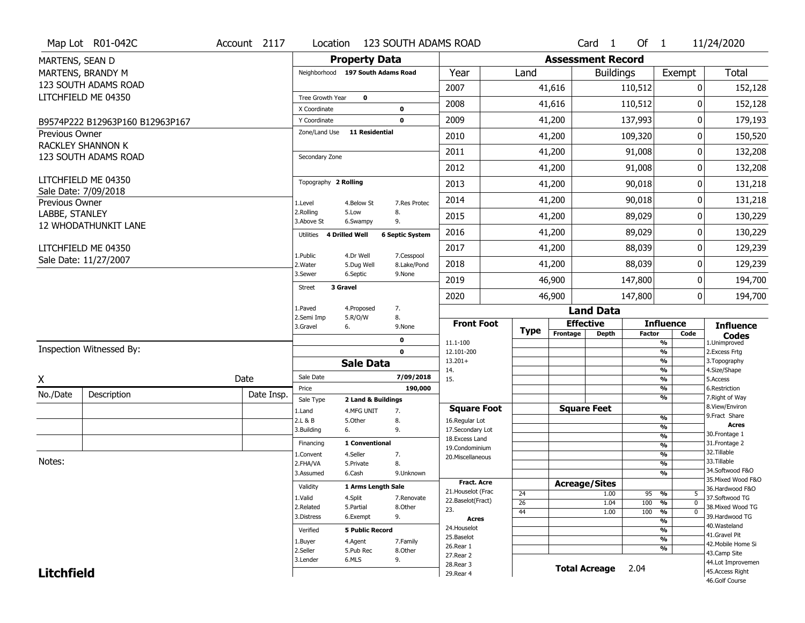|                   | Map Lot R01-042C                | Account 2117 | Location                      | 123 SOUTH ADAMS ROAD              |                           |                                    |             |                          | Card <sub>1</sub>    | Of $1$        |                                | 11/24/2020                           |
|-------------------|---------------------------------|--------------|-------------------------------|-----------------------------------|---------------------------|------------------------------------|-------------|--------------------------|----------------------|---------------|--------------------------------|--------------------------------------|
| MARTENS, SEAN D   |                                 |              |                               | <b>Property Data</b>              |                           |                                    |             | <b>Assessment Record</b> |                      |               |                                |                                      |
|                   | MARTENS, BRANDY M               |              |                               | Neighborhood 197 South Adams Road |                           | Year                               | Land        |                          | <b>Buildings</b>     |               | Exempt                         | <b>Total</b>                         |
|                   | 123 SOUTH ADAMS ROAD            |              |                               |                                   |                           | 2007                               |             | 41,616                   |                      | 110,512       | 0                              | 152,128                              |
|                   | LITCHFIELD ME 04350             |              | Tree Growth Year              | $\mathbf 0$                       |                           | 2008                               |             | 41,616                   |                      | 110,512       | 0                              | 152,128                              |
|                   |                                 |              | X Coordinate                  |                                   | 0                         |                                    |             |                          |                      |               |                                |                                      |
|                   | B9574P222 B12963P160 B12963P167 |              | Y Coordinate<br>Zone/Land Use | <b>11 Residential</b>             | $\mathbf 0$               | 2009                               |             | 41,200                   |                      | 137,993       | 0                              | 179,193                              |
| Previous Owner    | <b>RACKLEY SHANNON K</b>        |              |                               |                                   |                           | 2010                               |             | 41,200                   |                      | 109,320       | 0                              | 150,520                              |
|                   | 123 SOUTH ADAMS ROAD            |              | Secondary Zone                |                                   |                           | 2011                               |             | 41,200                   |                      | 91,008        | 0                              | 132,208                              |
|                   |                                 |              |                               |                                   |                           | 2012                               |             | 41,200                   |                      | 91,008        | 0                              | 132,208                              |
|                   | LITCHFIELD ME 04350             |              | Topography 2 Rolling          |                                   |                           | 2013                               |             | 41,200                   |                      | 90,018        | 0                              | 131,218                              |
| Previous Owner    | Sale Date: 7/09/2018            |              | 1.Level                       | 4.Below St                        | 7.Res Protec              | 2014                               |             | 41,200                   |                      | 90,018        | 0                              | 131,218                              |
| LABBE, STANLEY    |                                 |              | 2.Rolling<br>3.Above St       | 5.Low                             | 8.<br>9.                  | 2015                               |             | 41,200                   |                      | 89,029        | 0                              | 130,229                              |
|                   | 12 WHODATHUNKIT LANE            |              | Utilities                     | 6.Swampy<br>4 Drilled Well        | <b>6 Septic System</b>    | 2016                               |             | 41,200                   |                      | 89,029        | 0                              | 130,229                              |
|                   | LITCHFIELD ME 04350             |              |                               |                                   |                           | 2017                               |             | 41,200                   |                      | 88,039        | 0                              | 129,239                              |
|                   | Sale Date: 11/27/2007           |              | 1.Public<br>2. Water          | 4.Dr Well<br>5.Dug Well           | 7.Cesspool<br>8.Lake/Pond | 2018                               |             | 41,200                   |                      | 88,039        | 0                              | 129,239                              |
|                   |                                 |              | 3.Sewer                       | 6.Septic                          | 9.None                    | 2019                               |             | 46,900                   |                      | 147,800       | 0                              | 194,700                              |
|                   |                                 |              | <b>Street</b>                 | 3 Gravel                          |                           | 2020                               |             | 46,900                   |                      | 147,800       | 0                              | 194,700                              |
|                   |                                 |              | 1.Paved                       | 4.Proposed                        | 7.                        |                                    |             |                          | <b>Land Data</b>     |               |                                |                                      |
|                   |                                 |              | 2.Semi Imp<br>3.Gravel        | 5.R/O/W<br>6.                     | 8.<br>9.None              | <b>Front Foot</b>                  |             |                          | <b>Effective</b>     |               | <b>Influence</b>               | <b>Influence</b>                     |
|                   |                                 |              |                               |                                   | $\mathbf 0$               | 11.1-100                           | <b>Type</b> | Frontage                 | <b>Depth</b>         | <b>Factor</b> | Code<br>%                      | <b>Codes</b><br>1.Unimproved         |
|                   | Inspection Witnessed By:        |              |                               |                                   |                           |                                    |             |                          |                      |               | %                              | 2.Excess Frtg                        |
|                   |                                 |              |                               |                                   | $\mathbf 0$               | 12.101-200                         |             |                          |                      |               |                                |                                      |
|                   |                                 |              |                               | <b>Sale Data</b>                  |                           | $13.201+$                          |             |                          |                      |               | %                              | 3. Topography                        |
|                   |                                 |              | Sale Date                     |                                   | 7/09/2018                 | 14.<br>15.                         |             |                          |                      |               | %<br>%                         | 4.Size/Shape<br>5.Access             |
| X                 |                                 | Date         | Price                         |                                   | 190,000                   |                                    |             |                          |                      |               | %                              | 6.Restriction                        |
| No./Date          | Description                     | Date Insp.   | Sale Type                     | 2 Land & Buildings                |                           |                                    |             |                          |                      |               | %                              | 7. Right of Way                      |
|                   |                                 |              | 1.Land                        | 4.MFG UNIT                        | 7.                        | <b>Square Foot</b>                 |             |                          | <b>Square Feet</b>   |               | %                              | 8.View/Environ<br>9. Fract Share     |
|                   |                                 |              | 2.L & B<br>3.Building         | 5.Other<br>6.                     | 8.<br>9.                  | 16.Regular Lot<br>17.Secondary Lot |             |                          |                      |               | %                              | <b>Acres</b>                         |
|                   |                                 |              |                               |                                   |                           | 18. Excess Land                    |             |                          |                      |               | $\frac{9}{6}$                  | 30.Frontage 1                        |
|                   |                                 |              | Financing                     | 1 Conventional                    |                           | 19.Condominium                     |             |                          |                      |               | $\overline{\frac{9}{6}}$       | 31. Frontage 2<br>32.Tillable        |
| Notes:            |                                 |              | 1.Convent<br>2.FHA/VA         | 4.Seller<br>5.Private             | 7.<br>8.                  | 20.Miscellaneous                   |             |                          |                      |               | $\frac{9}{6}$<br>$\frac{9}{6}$ | 33.Tillable                          |
|                   |                                 |              | 3.Assumed                     | 6.Cash                            | 9.Unknown                 |                                    |             |                          |                      |               | $\frac{9}{6}$                  | 34.Softwood F&O                      |
|                   |                                 |              |                               |                                   |                           | <b>Fract. Acre</b>                 |             | <b>Acreage/Sites</b>     |                      |               |                                | 35. Mixed Wood F&O                   |
|                   |                                 |              | Validity                      | 1 Arms Length Sale                |                           | 21. Houselot (Frac                 | 24          |                          | 1.00                 | 95            | %<br>5                         | 36.Hardwood F&O                      |
|                   |                                 |              | 1.Valid                       | 4.Split                           | 7.Renovate                | 22.Baselot(Fract)                  | 26          |                          | 1.04                 | 100           | $\overline{0}$<br>%            | 37.Softwood TG                       |
|                   |                                 |              | 2.Related<br>3.Distress       | 5.Partial<br>6.Exempt             | 8.Other<br>9.             | 23.                                | 44          |                          | 1.00                 | 100           | %<br>$\mathbf 0$               | 38. Mixed Wood TG<br>39.Hardwood TG  |
|                   |                                 |              |                               |                                   |                           | <b>Acres</b><br>24. Houselot       |             |                          |                      |               | %                              | 40. Wasteland                        |
|                   |                                 |              | Verified                      | <b>5 Public Record</b>            |                           | 25.Baselot                         |             |                          |                      |               | %                              | 41.Gravel Pit                        |
|                   |                                 |              | 1.Buyer                       | 4.Agent                           | 7.Family                  | 26.Rear 1                          |             |                          |                      |               | %<br>%                         | 42. Mobile Home Si                   |
|                   |                                 |              | 2.Seller                      | 5.Pub Rec                         | 8.Other                   | 27. Rear 2                         |             |                          |                      |               |                                | 43.Camp Site                         |
| <b>Litchfield</b> |                                 |              | 3.Lender                      | 6.MLS                             | 9.                        | 28. Rear 3<br>29. Rear 4           |             |                          | <b>Total Acreage</b> | 2.04          |                                | 44.Lot Improvemen<br>45.Access Right |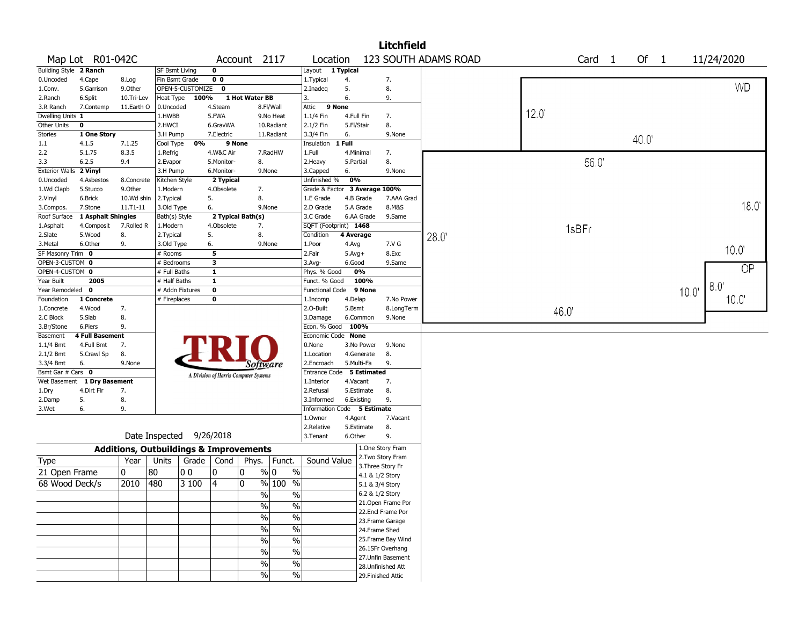|                               |                             |                                                   |                       |                  |                                       |                   |               |                               |              |                 | <b>Litchfield</b>  |                      |      |       |                   |      |      |                |
|-------------------------------|-----------------------------|---------------------------------------------------|-----------------------|------------------|---------------------------------------|-------------------|---------------|-------------------------------|--------------|-----------------|--------------------|----------------------|------|-------|-------------------|------|------|----------------|
|                               | Map Lot R01-042C            |                                                   |                       |                  |                                       | Account 2117      |               | Location                      |              |                 |                    | 123 SOUTH ADAMS ROAD |      |       | Card <sub>1</sub> | Of 1 |      | 11/24/2020     |
| <b>Building Style 2 Ranch</b> |                             |                                                   | <b>SF Bsmt Living</b> |                  | $\mathbf 0$                           |                   |               | Layout 1 Typical              |              |                 |                    |                      |      |       |                   |      |      |                |
| 0.Uncoded                     | 4.Cape                      | 8.Log                                             | Fin Bsmt Grade        |                  | 0 <sub>0</sub>                        |                   |               | 1. Typical                    | 4.           |                 | 7.                 |                      |      |       |                   |      |      |                |
| 1.Conv.                       | 5.Garrison                  | 9.Other                                           |                       | OPEN-5-CUSTOMIZE | $\mathbf 0$                           |                   |               | 2.Inadeq                      | 5.           |                 | 8.                 |                      |      |       |                   |      |      | <b>WD</b>      |
| 2.Ranch                       | 6.Split                     | 10.Tri-Lev                                        | Heat Type             | 100%             |                                       | 1 Hot Water BB    |               | 3.                            | 6.           |                 | 9.                 |                      |      |       |                   |      |      |                |
| 3.R Ranch                     | 7.Contemp                   | 11.Earth O                                        | 0.Uncoded             |                  | 4.Steam                               |                   | 8.Fl/Wall     | Attic                         | 9 None       |                 |                    |                      |      |       |                   |      |      |                |
| Dwelling Units 1              |                             |                                                   | 1.HWBB                |                  | 5.FWA                                 |                   | 9.No Heat     | 1.1/4 Fin                     | 4.Full Fin   |                 | 7.                 |                      | 12.0 |       |                   |      |      |                |
| Other Units                   | $\mathbf 0$                 |                                                   | 2.HWCI                |                  | 6.GravWA                              |                   | 10.Radiant    | 2.1/2 Fin                     | 5.Fl/Stair   |                 | 8.                 |                      |      |       |                   |      |      |                |
| Stories                       | 1 One Story                 |                                                   | 3.H Pump              |                  | 7.Electric                            |                   | 11.Radiant    | 3.3/4 Fin                     | 6.           |                 | 9.None             |                      |      |       |                   | 40.0 |      |                |
| 1.1                           | 4.1.5                       | 7.1.25                                            | Cool Type             | 0%               | 9 None                                |                   |               | Insulation                    | 1 Full       |                 |                    |                      |      |       |                   |      |      |                |
| 2.2                           | 5.1.75                      | 8.3.5                                             | 1.Refrig              |                  | 4.W&C Air                             |                   | 7.RadHW       | 1.Full                        |              | 4.Minimal       | 7.                 |                      |      |       |                   |      |      |                |
| 3.3                           | 6.2.5                       | 9.4                                               | 2.Evapor              |                  | 5.Monitor-                            | 8.                |               | 2. Heavy                      | 5.Partial    |                 | 8.                 |                      |      |       | 56.0              |      |      |                |
| <b>Exterior Walls</b>         | 2 Vinyl                     |                                                   | 3.H Pump              |                  | 6.Monitor-                            |                   | 9.None        | 3.Capped                      | 6.           |                 | 9.None             |                      |      |       |                   |      |      |                |
| 0.Uncoded                     | 4.Asbestos                  | 8.Concrete                                        | Kitchen Style         |                  | 2 Typical                             |                   |               | Unfinished %                  | 0%           |                 |                    |                      |      |       |                   |      |      |                |
| 1.Wd Clapb                    | 5.Stucco                    | 9.0ther                                           | 1.Modern              |                  | 4.Obsolete                            | 7.                |               | Grade & Factor 3 Average 100% |              |                 |                    |                      |      |       |                   |      |      |                |
| 2.Vinyl                       | 6.Brick                     | 10.Wd shin                                        | 2. Typical            |                  | 5.                                    | 8.                |               | 1.E Grade                     |              | 4.B Grade       | 7.AAA Grad         |                      |      |       |                   |      |      |                |
| 3.Compos.                     | 7.Stone                     | $11. T1 - 11$                                     | 3.Old Type            |                  | 6.                                    |                   | 9.None        | 2.D Grade                     |              | 5.A Grade       | 8.M&S              |                      |      |       |                   |      |      | 18.0           |
| Roof Surface                  | 1 Asphalt Shingles          |                                                   | Bath(s) Style         |                  |                                       | 2 Typical Bath(s) |               | 3.C Grade                     |              | 6.AA Grade      | 9.Same             |                      |      |       |                   |      |      |                |
| 1.Asphalt                     | 4.Composit                  | 7.Rolled R                                        | 1.Modern              |                  | 4.Obsolete                            | 7.                |               | SQFT (Footprint) 1468         |              |                 |                    |                      |      | 1sBFr |                   |      |      |                |
| 2.Slate                       | 5.Wood                      | 8.                                                | 2. Typical            |                  | 5.                                    | 8.                |               | Condition                     | 4 Average    |                 |                    | 28.0                 |      |       |                   |      |      |                |
| 3.Metal                       | 6.Other                     | 9.                                                | 3.Old Type            |                  | 6.                                    |                   | 9.None        | 1.Poor                        | 4.Avg        |                 | 7.V G              |                      |      |       |                   |      |      | 10.0           |
| SF Masonry Trim 0             |                             |                                                   | # Rooms               |                  | 5                                     |                   |               | 2.Fair                        | $5.$ Avg $+$ |                 | 8.Exc              |                      |      |       |                   |      |      |                |
| OPEN-3-CUSTOM 0               |                             |                                                   | # Bedrooms            |                  | 3                                     |                   |               | 3.Avg-                        | 6.Good       |                 | 9.Same             |                      |      |       |                   |      |      | <b>OP</b>      |
| OPEN-4-CUSTOM 0               |                             |                                                   | # Full Baths          |                  | $\mathbf{1}$                          |                   |               | Phys. % Good                  |              | 0%              |                    |                      |      |       |                   |      |      |                |
| Year Built                    | 2005                        |                                                   | # Half Baths          |                  | $\overline{1}$                        |                   |               | Funct. % Good                 |              | 100%            |                    |                      |      |       |                   |      |      | $8.0^{\circ}$  |
| Year Remodeled 0              |                             |                                                   | # Addn Fixtures       |                  | $\mathbf 0$                           |                   |               | <b>Functional Code</b>        |              | 9 None          |                    |                      |      |       |                   |      | 10.0 |                |
| Foundation                    | 1 Concrete                  |                                                   | # Fireplaces          |                  | 0                                     |                   |               | 1.Incomp                      | 4.Delap      |                 | 7.No Power         |                      |      |       |                   |      |      | $10.0^{\circ}$ |
| 1.Concrete                    | 4.Wood                      | 7.                                                |                       |                  |                                       |                   |               | 2.O-Built                     | 5.Bsmt       |                 | 8.LongTerm         |                      |      | 46.0' |                   |      |      |                |
| 2.C Block                     | 5.Slab                      | 8.                                                |                       |                  |                                       |                   |               | 3.Damage                      |              | 6.Common        | 9.None             |                      |      |       |                   |      |      |                |
| 3.Br/Stone                    | 6.Piers                     | 9.                                                |                       |                  |                                       |                   |               | Econ. % Good                  | 100%         |                 |                    |                      |      |       |                   |      |      |                |
| Basement                      | <b>4 Full Basement</b>      | 7.                                                |                       |                  |                                       |                   |               | Economic Code None<br>0.None  |              | 3.No Power      | 9.None             |                      |      |       |                   |      |      |                |
| $1.1/4$ Bmt                   | 4.Full Bmt                  | 8.                                                |                       |                  |                                       |                   |               | 1.Location                    |              | 4.Generate      | 8.                 |                      |      |       |                   |      |      |                |
| 2.1/2 Bmt<br>3.3/4 Bmt        | 5.Crawl Sp<br>6.            | 9.None                                            |                       |                  |                                       |                   |               | 2.Encroach                    |              | 5.Multi-Fa      | 9.                 |                      |      |       |                   |      |      |                |
| Bsmt Gar # Cars 0             |                             |                                                   |                       |                  |                                       | Software          |               | Entrance Code                 |              | 5 Estimated     |                    |                      |      |       |                   |      |      |                |
|                               | Wet Basement 1 Dry Basement |                                                   |                       |                  | A Division of Harris Computer Systems |                   |               | 1.Interior                    | 4.Vacant     |                 | 7.                 |                      |      |       |                   |      |      |                |
| 1.Dry                         | 4.Dirt Flr                  | 7.                                                |                       |                  |                                       |                   |               | 2.Refusal                     |              | 5.Estimate      | 8.                 |                      |      |       |                   |      |      |                |
| 2.Damp                        | 5.                          | 8.                                                |                       |                  |                                       |                   |               | 3.Informed                    |              | 6.Existing      | 9.                 |                      |      |       |                   |      |      |                |
| 3.Wet                         | 6.                          | 9.                                                |                       |                  |                                       |                   |               | Information Code 5 Estimate   |              |                 |                    |                      |      |       |                   |      |      |                |
|                               |                             |                                                   |                       |                  |                                       |                   |               | 1.Owner                       | 4.Agent      |                 | 7.Vacant           |                      |      |       |                   |      |      |                |
|                               |                             |                                                   |                       |                  |                                       |                   |               | 2.Relative                    |              | 5.Estimate      | 8.                 |                      |      |       |                   |      |      |                |
|                               |                             | Date Inspected                                    |                       |                  | 9/26/2018                             |                   |               | 3.Tenant                      | 6.Other      |                 | 9.                 |                      |      |       |                   |      |      |                |
|                               |                             | <b>Additions, Outbuildings &amp; Improvements</b> |                       |                  |                                       |                   |               |                               |              |                 | 1.One Story Fram   |                      |      |       |                   |      |      |                |
| Type                          |                             | Year                                              | Units                 | Grade $ $        | Cond                                  | Phys.             | Funct.        | Sound Value                   |              |                 | 2. Two Story Fram  |                      |      |       |                   |      |      |                |
| 21 Open Frame                 |                             | 0                                                 |                       |                  |                                       |                   |               |                               |              |                 | 3. Three Story Fr  |                      |      |       |                   |      |      |                |
|                               |                             |                                                   | 80                    | 0 <sub>0</sub>   | 0                                     | 0                 | % 0<br>$\%$   |                               |              |                 | 4.1 & 1/2 Story    |                      |      |       |                   |      |      |                |
| 68 Wood Deck/s                |                             | 2010                                              | 480                   | 3 100            | 4                                     | 0                 | % 100 %       |                               |              | 5.1 & 3/4 Story |                    |                      |      |       |                   |      |      |                |
|                               |                             |                                                   |                       |                  |                                       | %                 | %             |                               |              |                 | 6.2 & 1/2 Story    |                      |      |       |                   |      |      |                |
|                               |                             |                                                   |                       |                  |                                       | $\frac{0}{6}$     | $\frac{9}{6}$ |                               |              |                 | 21. Open Frame Por |                      |      |       |                   |      |      |                |
|                               |                             |                                                   |                       |                  |                                       | $\frac{1}{2}$     | $\frac{1}{2}$ |                               |              |                 | 22.Encl Frame Por  |                      |      |       |                   |      |      |                |
|                               |                             |                                                   |                       |                  |                                       |                   |               |                               |              |                 | 23.Frame Garage    |                      |      |       |                   |      |      |                |
|                               |                             |                                                   |                       |                  |                                       | $\frac{1}{2}$     | $\frac{9}{6}$ |                               |              |                 | 24.Frame Shed      |                      |      |       |                   |      |      |                |
|                               |                             |                                                   |                       |                  |                                       | $\%$              | $\frac{9}{6}$ |                               |              |                 | 25. Frame Bay Wind |                      |      |       |                   |      |      |                |
|                               |                             |                                                   |                       |                  |                                       | $\%$              | $\frac{9}{6}$ |                               |              |                 | 26.1SFr Overhang   |                      |      |       |                   |      |      |                |
|                               |                             |                                                   |                       |                  |                                       | $\%$              | $\%$          |                               |              |                 | 27. Unfin Basement |                      |      |       |                   |      |      |                |
|                               |                             |                                                   |                       |                  |                                       |                   |               |                               |              |                 | 28. Unfinished Att |                      |      |       |                   |      |      |                |
|                               |                             |                                                   |                       |                  |                                       | $\frac{0}{0}$     | $\frac{0}{0}$ |                               |              |                 | 29. Finished Attic |                      |      |       |                   |      |      |                |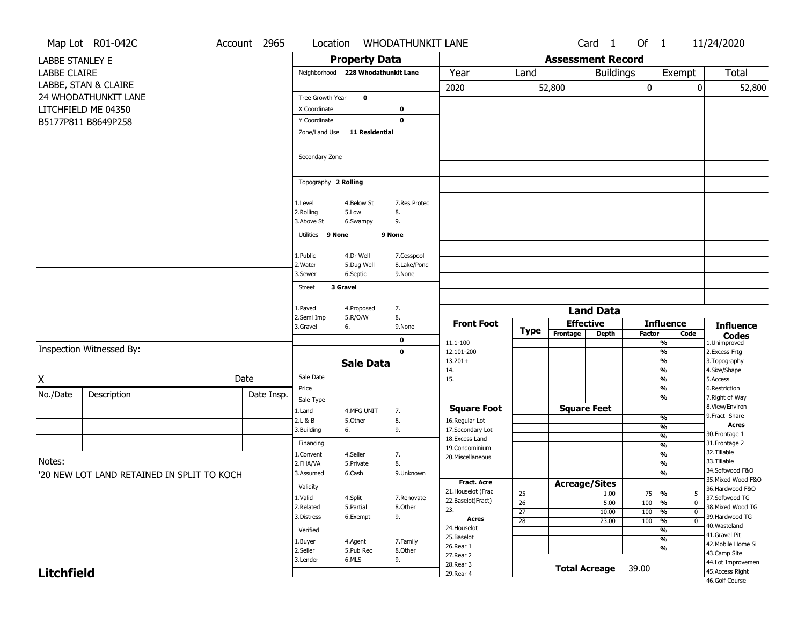|                        | Map Lot R01-042C                           | Account 2965 | Location             |                                    | <b>WHODATHUNKIT LANE</b> |                                         |                       |                          | Card <sub>1</sub>    | Of 1          |                                                              | 11/24/2020                            |
|------------------------|--------------------------------------------|--------------|----------------------|------------------------------------|--------------------------|-----------------------------------------|-----------------------|--------------------------|----------------------|---------------|--------------------------------------------------------------|---------------------------------------|
| <b>LABBE STANLEY E</b> |                                            |              |                      | <b>Property Data</b>               |                          |                                         |                       | <b>Assessment Record</b> |                      |               |                                                              |                                       |
| <b>LABBE CLAIRE</b>    |                                            |              |                      | Neighborhood 228 Whodathunkit Lane |                          | Year                                    | Land                  |                          | <b>Buildings</b>     |               | Exempt                                                       | Total                                 |
|                        |                                            |              |                      |                                    |                          |                                         |                       |                          |                      |               |                                                              |                                       |
|                        | LABBE, STAN & CLAIRE                       |              |                      |                                    |                          | 2020                                    |                       | 52,800                   |                      | 0             | 0                                                            | 52,800                                |
|                        | 24 WHODATHUNKIT LANE                       |              | Tree Growth Year     | $\mathbf 0$                        |                          |                                         |                       |                          |                      |               |                                                              |                                       |
|                        | LITCHFIELD ME 04350                        |              | X Coordinate         |                                    | 0                        |                                         |                       |                          |                      |               |                                                              |                                       |
|                        | B5177P811 B8649P258                        |              | Y Coordinate         |                                    | $\mathbf 0$              |                                         |                       |                          |                      |               |                                                              |                                       |
|                        |                                            |              | Zone/Land Use        | 11 Residential                     |                          |                                         |                       |                          |                      |               |                                                              |                                       |
|                        |                                            |              |                      |                                    |                          |                                         |                       |                          |                      |               |                                                              |                                       |
|                        |                                            |              | Secondary Zone       |                                    |                          |                                         |                       |                          |                      |               |                                                              |                                       |
|                        |                                            |              |                      |                                    |                          |                                         |                       |                          |                      |               |                                                              |                                       |
|                        |                                            |              | Topography 2 Rolling |                                    |                          |                                         |                       |                          |                      |               |                                                              |                                       |
|                        |                                            |              |                      |                                    |                          |                                         |                       |                          |                      |               |                                                              |                                       |
|                        |                                            |              | 1.Level              | 4.Below St                         | 7.Res Protec             |                                         |                       |                          |                      |               |                                                              |                                       |
|                        |                                            |              | 2.Rolling            | 5.Low                              | 8.                       |                                         |                       |                          |                      |               |                                                              |                                       |
|                        |                                            |              | 3.Above St           | 6.Swampy                           | 9.                       |                                         |                       |                          |                      |               |                                                              |                                       |
|                        |                                            |              | Utilities 9 None     |                                    | 9 None                   |                                         |                       |                          |                      |               |                                                              |                                       |
|                        |                                            |              |                      |                                    |                          |                                         |                       |                          |                      |               |                                                              |                                       |
|                        |                                            |              | 1.Public             | 4.Dr Well                          | 7.Cesspool               |                                         |                       |                          |                      |               |                                                              |                                       |
|                        |                                            |              | 2. Water<br>3.Sewer  | 5.Dug Well<br>6.Septic             | 8.Lake/Pond<br>9.None    |                                         |                       |                          |                      |               |                                                              |                                       |
|                        |                                            |              |                      |                                    |                          |                                         |                       |                          |                      |               |                                                              |                                       |
|                        |                                            |              | Street               | 3 Gravel                           |                          |                                         |                       |                          |                      |               |                                                              |                                       |
|                        |                                            |              | 1.Paved              | 4.Proposed                         | 7.                       |                                         |                       |                          |                      |               |                                                              |                                       |
|                        |                                            |              | 2.Semi Imp           | 5.R/O/W                            | 8.                       |                                         |                       |                          | <b>Land Data</b>     |               |                                                              |                                       |
|                        |                                            |              | 3.Gravel             | 6.                                 | 9.None                   | <b>Front Foot</b>                       | Type                  |                          | <b>Effective</b>     |               | <b>Influence</b>                                             | <b>Influence</b>                      |
|                        |                                            |              |                      |                                    | $\mathbf{o}$             | 11.1-100                                |                       | Frontage                 | <b>Depth</b>         | <b>Factor</b> | Code<br>$\frac{9}{6}$                                        | <b>Codes</b><br>1.Unimproved          |
|                        | Inspection Witnessed By:                   |              |                      |                                    | $\mathbf 0$              | 12.101-200                              |                       |                          |                      |               | $\frac{9}{6}$                                                | 2.Excess Frtg                         |
|                        |                                            |              |                      | <b>Sale Data</b>                   |                          | $13.201+$                               |                       |                          |                      |               | $\frac{9}{6}$                                                | 3. Topography                         |
|                        |                                            |              | Sale Date            |                                    |                          | 14.                                     |                       |                          |                      |               | $\overline{\frac{9}{6}}$                                     | 4.Size/Shape                          |
| X                      |                                            | Date         | Price                |                                    |                          | 15.                                     |                       |                          |                      |               | $\frac{9}{6}$<br>%                                           | 5.Access<br>6.Restriction             |
| No./Date               | Description                                | Date Insp.   |                      |                                    |                          |                                         |                       |                          |                      |               | $\overline{\frac{9}{6}}$                                     | 7. Right of Way                       |
|                        |                                            |              | Sale Type<br>1.Land  | 4.MFG UNIT                         | 7.                       | <b>Square Foot</b>                      |                       |                          | <b>Square Feet</b>   |               |                                                              | 8.View/Environ                        |
|                        |                                            |              | 2.L & B              | 5.Other                            | 8.                       | 16.Regular Lot                          |                       |                          |                      |               | $\frac{9}{6}$                                                | 9.Fract Share                         |
|                        |                                            |              | 3.Building           | 6.                                 | 9.                       | 17.Secondary Lot                        |                       |                          |                      |               | %                                                            | <b>Acres</b>                          |
|                        |                                            |              | Financing            |                                    |                          | 18. Excess Land                         |                       |                          |                      |               | $\frac{9}{6}$<br>$\frac{9}{6}$                               | 30. Frontage 1<br>31. Frontage 2      |
|                        |                                            |              | 1.Convent            | 4.Seller                           | 7.                       | 19.Condominium<br>20. Miscellaneous     |                       |                          |                      |               | $\frac{9}{6}$                                                | 32.Tillable                           |
| Notes:                 |                                            |              | 2.FHA/VA             | 5.Private                          | 8.                       |                                         |                       |                          |                      |               | %                                                            | 33.Tillable                           |
|                        | '20 NEW LOT LAND RETAINED IN SPLIT TO KOCH |              | 3.Assumed            | 6.Cash                             | 9.Unknown                |                                         |                       |                          |                      |               | %                                                            | 34.Softwood F&O                       |
|                        |                                            |              | Validity             |                                    |                          | Fract. Acre                             |                       |                          | <b>Acreage/Sites</b> |               |                                                              | 35. Mixed Wood F&O<br>36.Hardwood F&O |
|                        |                                            |              | 1.Valid              | 4.Split                            | 7.Renovate               | 21. Houselot (Frac<br>22.Baselot(Fract) | $\overline{25}$       |                          | 1.00                 | $75 - 9/6$    | 5                                                            | 37.Softwood TG                        |
|                        |                                            |              | 2.Related            | 5.Partial                          | 8.Other                  | 23.                                     | 26<br>$\overline{27}$ |                          | 5.00<br>10.00        | 100<br>100    | $\frac{9}{6}$<br>$\mathbf 0$<br>$\frac{9}{6}$<br>$\mathbf 0$ | 38. Mixed Wood TG                     |
|                        |                                            |              | 3.Distress           | 6.Exempt                           | 9.                       | <b>Acres</b>                            | 28                    |                          | 23.00                | 100           | $\frac{9}{6}$<br>$\mathbf 0$                                 | 39.Hardwood TG                        |
|                        |                                            |              | Verified             |                                    |                          | 24. Houselot                            |                       |                          |                      |               | $\frac{9}{6}$                                                | 40. Wasteland                         |
|                        |                                            |              | 1.Buyer              | 4.Agent                            | 7.Family                 | 25.Baselot                              |                       |                          |                      |               | $\frac{9}{6}$                                                | 41.Gravel Pit<br>42. Mobile Home Si   |
|                        |                                            |              | 2.Seller             | 5.Pub Rec                          | 8.Other                  | 26.Rear 1<br>27. Rear 2                 |                       |                          |                      |               | $\frac{9}{6}$                                                | 43.Camp Site                          |
|                        |                                            |              | 3.Lender             | 6.MLS                              | 9.                       | 28. Rear 3                              |                       |                          |                      |               |                                                              | 44.Lot Improvemen                     |
| <b>Litchfield</b>      |                                            |              |                      |                                    |                          | 29. Rear 4                              |                       |                          | <b>Total Acreage</b> | 39.00         |                                                              | 45.Access Right                       |
|                        |                                            |              |                      |                                    |                          |                                         |                       |                          |                      |               |                                                              | 46.Golf Course                        |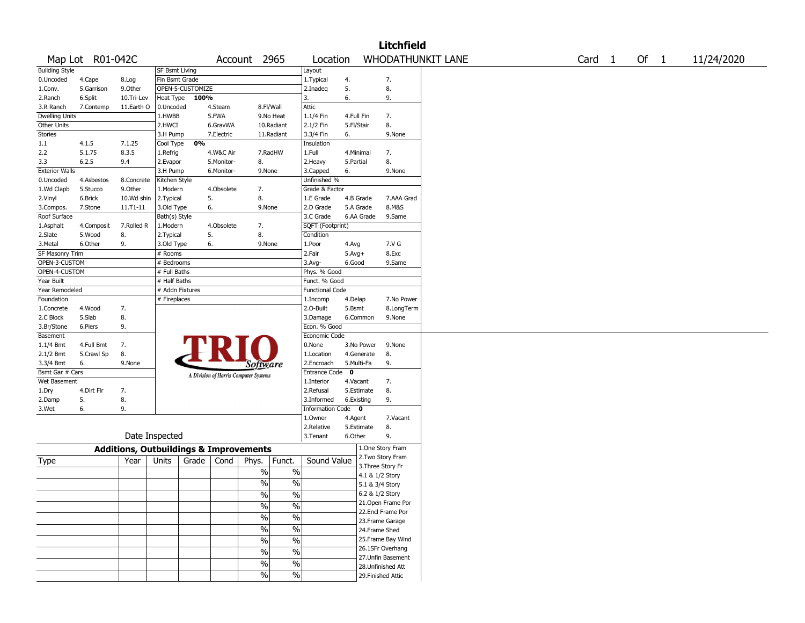|                       |                  |                                                   |                       |                  |            |                                       |                          |                        |             |                   | <b>Litchfield</b>  |                          |                   |        |            |
|-----------------------|------------------|---------------------------------------------------|-----------------------|------------------|------------|---------------------------------------|--------------------------|------------------------|-------------|-------------------|--------------------|--------------------------|-------------------|--------|------------|
|                       | Map Lot R01-042C |                                                   |                       |                  |            | Account 2965                          |                          | Location               |             |                   |                    | <b>WHODATHUNKIT LANE</b> | Card <sub>1</sub> | Of $1$ | 11/24/2020 |
| <b>Building Style</b> |                  |                                                   | <b>SF Bsmt Living</b> |                  |            |                                       |                          | Layout                 |             |                   |                    |                          |                   |        |            |
| 0.Uncoded             | 4.Cape           | 8.Log                                             | Fin Bsmt Grade        |                  |            |                                       |                          | 1. Typical             | 4.          |                   | 7.                 |                          |                   |        |            |
| 1.Conv.               | 5.Garrison       | 9.Other                                           |                       | OPEN-5-CUSTOMIZE |            |                                       |                          | 2.Inadeq               | 5.          |                   | 8.                 |                          |                   |        |            |
| 2.Ranch               | 6.Split          | 10.Tri-Lev                                        | Heat Type             | 100%             |            |                                       |                          | 3.                     | 6.          |                   | 9.                 |                          |                   |        |            |
| 3.R Ranch             | 7.Contemp        | 11.Earth O                                        | 0.Uncoded             |                  | 4.Steam    | 8.Fl/Wall                             |                          | Attic                  |             |                   |                    |                          |                   |        |            |
| Dwelling Units        |                  |                                                   | 1.HWBB                |                  | 5.FWA      |                                       | 9.No Heat                | 1.1/4 Fin              | 4.Full Fin  |                   | 7.                 |                          |                   |        |            |
| Other Units           |                  |                                                   | 2.HWCI                |                  | 6.GravWA   |                                       | 10.Radiant               | 2.1/2 Fin              | 5.Fl/Stair  |                   | 8.                 |                          |                   |        |            |
| Stories               |                  |                                                   | 3.H Pump              |                  | 7.Electric |                                       | 11.Radiant               | 3.3/4 Fin              | 6.          |                   | 9.None             |                          |                   |        |            |
| 1.1                   | 4.1.5            | 7.1.25                                            | Cool Type             | 0%               |            |                                       |                          | Insulation             |             |                   |                    |                          |                   |        |            |
| 2.2                   | 5.1.75           | 8.3.5                                             | 1.Refrig              |                  | 4.W&C Air  |                                       | 7.RadHW                  | 1.Full                 | 4.Minimal   |                   | 7.                 |                          |                   |        |            |
| 3.3                   | 6.2.5            | 9.4                                               | 2.Evapor              |                  | 5.Monitor- | 8.                                    |                          | 2. Heavy               | 5.Partial   |                   | 8.                 |                          |                   |        |            |
| <b>Exterior Walls</b> |                  |                                                   | 3.H Pump              |                  | 6.Monitor- | 9.None                                |                          | 3.Capped               | 6.          |                   | 9.None             |                          |                   |        |            |
| 0.Uncoded             | 4.Asbestos       | 8.Concrete                                        | Kitchen Style         |                  |            |                                       |                          | Unfinished %           |             |                   |                    |                          |                   |        |            |
| 1.Wd Clapb            | 5.Stucco         | 9.0ther                                           | 1.Modern              |                  | 4.Obsolete | 7.                                    |                          | Grade & Factor         |             |                   |                    |                          |                   |        |            |
| 2.Vinyl               | 6.Brick          | 10.Wd shin                                        | 2.Typical             |                  | 5.         | 8.                                    |                          | 1.E Grade              | 4.B Grade   |                   | 7.AAA Grad         |                          |                   |        |            |
| 3.Compos.             | 7.Stone          | 11.T1-11                                          | 3.Old Type            |                  | 6.         | 9.None                                |                          | 2.D Grade              | 5.A Grade   |                   | 8.M&S              |                          |                   |        |            |
| Roof Surface          |                  |                                                   | Bath(s) Style         |                  |            |                                       |                          | 3.C Grade              |             | 6.AA Grade        | 9.Same             |                          |                   |        |            |
| 1.Asphalt             | 4.Composit       | 7.Rolled R                                        | 1.Modern              |                  | 4.Obsolete | 7.                                    |                          | SQFT (Footprint)       |             |                   |                    |                          |                   |        |            |
| 2.Slate               | 5.Wood           | 8.                                                | 2. Typical            |                  | 5.         | 8.                                    |                          | Condition              |             |                   |                    |                          |                   |        |            |
| 3.Metal               | 6.Other          | 9.                                                | 3.Old Type            |                  | 6.         | 9.None                                |                          | 1.Poor                 | 4.Avg       |                   | 7.V G              |                          |                   |        |            |
| SF Masonry Trim       |                  |                                                   | # Rooms               |                  |            |                                       |                          | 2.Fair                 | $5.Avg+$    |                   | 8.Exc              |                          |                   |        |            |
| OPEN-3-CUSTOM         |                  |                                                   | # Bedrooms            |                  |            |                                       |                          | 3.Avg-                 | 6.Good      |                   | 9.Same             |                          |                   |        |            |
| OPEN-4-CUSTOM         |                  |                                                   | # Full Baths          |                  |            |                                       |                          | Phys. % Good           |             |                   |                    |                          |                   |        |            |
| Year Built            |                  |                                                   | # Half Baths          |                  |            |                                       |                          | Funct. % Good          |             |                   |                    |                          |                   |        |            |
| Year Remodeled        |                  |                                                   | # Addn Fixtures       |                  |            |                                       |                          | <b>Functional Code</b> |             |                   |                    |                          |                   |        |            |
| Foundation            |                  |                                                   | # Fireplaces          |                  |            |                                       |                          | 1.Incomp               | 4.Delap     |                   | 7.No Power         |                          |                   |        |            |
| 1.Concrete            | 4.Wood           | 7.                                                |                       |                  |            |                                       |                          | 2.0-Built              | 5.Bsmt      |                   | 8.LongTerm         |                          |                   |        |            |
| 2.C Block             | 5.Slab           | 8.                                                |                       |                  |            |                                       |                          | 3.Damage               |             | 6.Common          | 9.None             |                          |                   |        |            |
| 3.Br/Stone            | 6.Piers          | 9.                                                |                       |                  |            |                                       |                          | Econ. % Good           |             |                   |                    |                          |                   |        |            |
| Basement              |                  |                                                   |                       |                  |            |                                       |                          | Economic Code          |             |                   |                    |                          |                   |        |            |
| 1.1/4 Bmt             | 4.Full Bmt       | 7.                                                |                       |                  |            |                                       |                          | 0.None                 |             | 3.No Power        | 9.None             |                          |                   |        |            |
| 2.1/2 Bmt             | 5.Crawl Sp       | 8.                                                |                       |                  | FRI        |                                       |                          | 1.Location             |             | 4.Generate        | 8.                 |                          |                   |        |            |
| 3.3/4 Bmt             | 6.               | 9.None                                            |                       |                  |            |                                       |                          | 2.Encroach             | 5.Multi-Fa  |                   | 9.                 |                          |                   |        |            |
| Bsmt Gar # Cars       |                  |                                                   |                       |                  |            | Software                              |                          | <b>Entrance Code</b>   | $\mathbf 0$ |                   |                    |                          |                   |        |            |
| Wet Basement          |                  |                                                   |                       |                  |            | A Division of Harris Computer Systems |                          | 1.Interior             | 4.Vacant    |                   | 7.                 |                          |                   |        |            |
| 1.Dry                 | 4.Dirt Flr       | 7.                                                |                       |                  |            |                                       |                          | 2.Refusal              |             | 5.Estimate        | 8.                 |                          |                   |        |            |
| 2.Damp                | 5.               | 8.                                                |                       |                  |            |                                       |                          | 3.Informed             | 6.Existing  |                   | 9.                 |                          |                   |        |            |
| 3.Wet                 | 6.               | 9.                                                |                       |                  |            |                                       |                          | Information Code 0     |             |                   |                    |                          |                   |        |            |
|                       |                  |                                                   |                       |                  |            |                                       |                          | 1.Owner                |             |                   | 7.Vacant           |                          |                   |        |            |
|                       |                  |                                                   |                       |                  |            |                                       |                          | 2.Relative             | 4.Agent     | 5.Estimate        | 8.                 |                          |                   |        |            |
|                       |                  |                                                   | Date Inspected        |                  |            |                                       |                          | 3.Tenant               | 6.Other     |                   | 9.                 |                          |                   |        |            |
|                       |                  |                                                   |                       |                  |            |                                       |                          |                        |             |                   |                    |                          |                   |        |            |
|                       |                  | <b>Additions, Outbuildings &amp; Improvements</b> |                       |                  |            |                                       |                          |                        |             |                   | 1.One Story Fram   |                          |                   |        |            |
| Type                  |                  | Year                                              | Units                 | Grade            | Cond       | Phys.                                 | Funct.                   | Sound Value            |             |                   | 2. Two Story Fram  |                          |                   |        |            |
|                       |                  |                                                   |                       |                  |            | $\%$                                  | $\%$                     |                        |             | 3. Three Story Fr |                    |                          |                   |        |            |
|                       |                  |                                                   |                       |                  |            |                                       |                          |                        |             | 4.1 & 1/2 Story   |                    |                          |                   |        |            |
|                       |                  |                                                   |                       |                  |            | %                                     | $\%$                     |                        |             | 5.1 & 3/4 Story   |                    |                          |                   |        |            |
|                       |                  |                                                   |                       |                  |            | $\%$                                  | $\%$                     |                        |             | 6.2 & 1/2 Story   |                    |                          |                   |        |            |
|                       |                  |                                                   |                       |                  |            | $\frac{1}{2}$                         | $\frac{0}{0}$            |                        |             |                   | 21. Open Frame Por |                          |                   |        |            |
|                       |                  |                                                   |                       |                  |            |                                       |                          |                        |             |                   | 22.Encl Frame Por  |                          |                   |        |            |
|                       |                  |                                                   |                       |                  |            | $\frac{9}{6}$                         | $\overline{\frac{0}{0}}$ |                        |             |                   | 23. Frame Garage   |                          |                   |        |            |
|                       |                  |                                                   |                       |                  |            | $\frac{9}{6}$                         | $\overline{\frac{0}{0}}$ |                        |             | 24.Frame Shed     |                    |                          |                   |        |            |
|                       |                  |                                                   |                       |                  |            | $\sqrt{6}$                            | $\overline{\frac{0}{0}}$ |                        |             |                   | 25. Frame Bay Wind |                          |                   |        |            |
|                       |                  |                                                   |                       |                  |            | $\frac{9}{6}$                         | $\overline{\frac{0}{0}}$ |                        |             |                   | 26.1SFr Overhang   |                          |                   |        |            |
|                       |                  |                                                   |                       |                  |            |                                       |                          |                        |             |                   | 27. Unfin Basement |                          |                   |        |            |
|                       |                  |                                                   |                       |                  |            | $\sqrt{6}$                            | $\overline{\frac{0}{0}}$ |                        |             |                   | 28. Unfinished Att |                          |                   |        |            |
|                       |                  |                                                   |                       |                  |            | $\sqrt{6}$                            | $\overline{\frac{0}{6}}$ |                        |             |                   | 29. Finished Attic |                          |                   |        |            |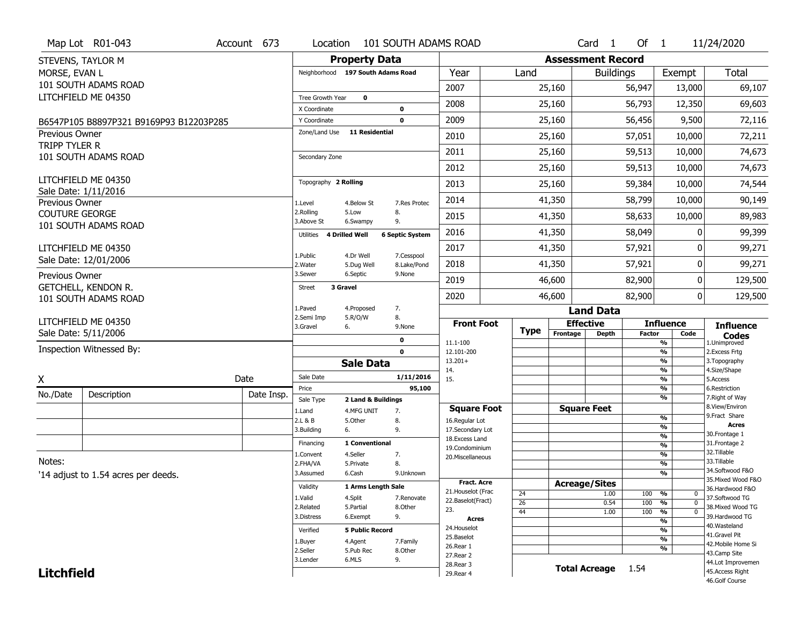|                       | Map Lot R01-043                             | Account 673 | Location                     |                                   | 101 SOUTH ADAMS ROAD      |                                    |                 |                              | Card<br>$\overline{1}$ | Of $1$        |                                                      | 11/24/2020                           |
|-----------------------|---------------------------------------------|-------------|------------------------------|-----------------------------------|---------------------------|------------------------------------|-----------------|------------------------------|------------------------|---------------|------------------------------------------------------|--------------------------------------|
|                       | STEVENS, TAYLOR M                           |             |                              | <b>Property Data</b>              |                           |                                    |                 | <b>Assessment Record</b>     |                        |               |                                                      |                                      |
| MORSE, EVAN L         |                                             |             |                              | Neighborhood 197 South Adams Road |                           | Year                               | Land            |                              | <b>Buildings</b>       |               | Exempt                                               | Total                                |
|                       | 101 SOUTH ADAMS ROAD                        |             |                              |                                   |                           | 2007                               |                 | 25,160                       |                        | 56,947        | 13,000                                               | 69,107                               |
|                       | LITCHFIELD ME 04350                         |             | Tree Growth Year             | 0                                 |                           | 2008                               |                 | 25,160                       |                        | 56,793        | 12,350                                               | 69,603                               |
|                       |                                             |             | X Coordinate<br>Y Coordinate |                                   | 0<br>0                    | 2009                               |                 | 25,160                       |                        | 56,456        | 9,500                                                | 72,116                               |
| <b>Previous Owner</b> | B6547P105 B8897P321 B9169P93 B12203P285     |             | Zone/Land Use                | 11 Residential                    |                           |                                    |                 |                              |                        |               |                                                      |                                      |
| TRIPP TYLER R         |                                             |             |                              |                                   |                           | 2010                               |                 | 25,160                       |                        | 57,051        | 10,000                                               | 72,211                               |
|                       | 101 SOUTH ADAMS ROAD                        |             | Secondary Zone               |                                   |                           | 2011                               |                 | 25,160                       |                        | 59,513        | 10,000                                               | 74,673                               |
|                       |                                             |             |                              |                                   |                           | 2012                               |                 | 25,160                       |                        | 59,513        | 10,000                                               | 74,673                               |
|                       | LITCHFIELD ME 04350                         |             | Topography 2 Rolling         |                                   |                           | 2013                               |                 | 25,160                       |                        | 59,384        | 10,000                                               | 74,544                               |
| Previous Owner        | Sale Date: 1/11/2016                        |             | 1.Level                      | 4.Below St                        | 7.Res Protec              | 2014                               |                 | 41,350                       |                        | 58,799        | 10,000                                               | 90,149                               |
| <b>COUTURE GEORGE</b> |                                             |             | 2.Rolling<br>3.Above St      | 5.Low                             | 8.<br>9.                  | 2015                               |                 | 41,350                       |                        | 58,633        | 10,000                                               | 89,983                               |
|                       | 101 SOUTH ADAMS ROAD                        |             | Utilities                    | 6.Swampy<br>4 Drilled Well        | <b>6 Septic System</b>    | 2016                               |                 | 41,350                       |                        | 58,049        | 0                                                    | 99,399                               |
|                       | LITCHFIELD ME 04350                         |             |                              |                                   |                           | 2017                               |                 | 41,350                       |                        | 57,921        | 0                                                    | 99,271                               |
|                       | Sale Date: 12/01/2006                       |             | 1.Public<br>2. Water         | 4.Dr Well<br>5.Dug Well           | 7.Cesspool<br>8.Lake/Pond | 2018                               |                 | 41,350                       |                        | 57,921        | 0                                                    | 99,271                               |
| Previous Owner        |                                             |             | 3.Sewer                      | 6.Septic                          | 9.None                    | 2019                               |                 | 46,600                       |                        | 82,900        | 0                                                    | 129,500                              |
|                       | GETCHELL, KENDON R.<br>101 SOUTH ADAMS ROAD |             | <b>Street</b>                | 3 Gravel                          |                           | 2020                               |                 | 46,600                       |                        | 82,900        | 0 <sup>1</sup>                                       | 129,500                              |
|                       |                                             |             | 1.Paved                      | 4.Proposed                        | 7.                        |                                    |                 |                              | <b>Land Data</b>       |               |                                                      |                                      |
|                       | LITCHFIELD ME 04350                         |             | 2.Semi Imp                   | 5.R/O/W                           | 8.                        |                                    |                 |                              |                        |               | <b>Influence</b>                                     |                                      |
|                       |                                             |             |                              |                                   |                           | <b>Front Foot</b>                  |                 |                              |                        |               |                                                      |                                      |
|                       | Sale Date: 5/11/2006                        |             | 3.Gravel                     | 6.                                | 9.None                    |                                    | <b>Type</b>     | <b>Effective</b><br>Frontage | <b>Depth</b>           | <b>Factor</b> | Code                                                 | <b>Influence</b><br><b>Codes</b>     |
|                       | Inspection Witnessed By:                    |             |                              |                                   | 0<br>$\mathbf 0$          | 11.1-100<br>12.101-200             |                 |                              |                        |               | $\overline{\frac{9}{6}}$<br>$\frac{9}{6}$            | 1.Unimproved                         |
|                       |                                             |             |                              | <b>Sale Data</b>                  |                           | $13.201+$                          |                 |                              |                        |               | $\frac{9}{6}$                                        | 2. Excess Frtg<br>3. Topography      |
|                       |                                             |             | Sale Date                    |                                   | 1/11/2016                 | 14.                                |                 |                              |                        |               | $\frac{9}{6}$                                        | 4.Size/Shape                         |
| X                     |                                             | Date        | Price                        |                                   | 95,100                    | 15.                                |                 |                              |                        |               | $\frac{9}{6}$<br>$\frac{9}{6}$                       | 5.Access<br>6.Restriction            |
| No./Date              | Description                                 | Date Insp.  | Sale Type                    | 2 Land & Buildings                |                           |                                    |                 |                              |                        |               | $\overline{\frac{9}{6}}$                             | 7. Right of Way                      |
|                       |                                             |             | 1.Land                       | 4.MFG UNIT                        | 7.                        | <b>Square Foot</b>                 |                 |                              | <b>Square Feet</b>     |               | %                                                    | 8.View/Environ<br>9. Fract Share     |
|                       |                                             |             | 2.L & B<br>3.Building        | 5.Other<br>6.                     | 8.<br>9.                  | 16.Regular Lot<br>17.Secondary Lot |                 |                              |                        |               | $\frac{9}{6}$                                        | <b>Acres</b>                         |
|                       |                                             |             | Financing                    | 1 Conventional                    |                           | 18. Excess Land                    |                 |                              |                        |               | $\overline{\frac{9}{6}}$                             | 30.Frontage 1<br>31. Frontage 2      |
|                       |                                             |             | 1.Convent                    | 4.Seller                          | 7.                        | 19.Condominium                     |                 |                              |                        |               | $\overline{\frac{9}{6}}$<br>$\overline{\frac{9}{6}}$ | 32.Tillable                          |
| Notes:                |                                             |             | 2.FHA/VA                     | 5.Private                         | 8.                        | 20.Miscellaneous                   |                 |                              |                        |               | $\frac{9}{6}$                                        | 33.Tillable                          |
|                       | '14 adjust to 1.54 acres per deeds.         |             | 3.Assumed                    | 6.Cash                            | 9.Unknown                 |                                    |                 |                              |                        |               | $\overline{\frac{9}{6}}$                             | 34.Softwood F&O                      |
|                       |                                             |             | Validity                     | 1 Arms Length Sale                |                           | <b>Fract. Acre</b>                 |                 |                              | <b>Acreage/Sites</b>   |               |                                                      | 35. Mixed Wood F&O                   |
|                       |                                             |             | 1.Valid                      | 4.Split                           | 7.Renovate                | 21. Houselot (Frac                 | 24              |                              | 1.00                   | 100           | %<br>0                                               | 36.Hardwood F&O<br>37.Softwood TG    |
|                       |                                             |             | 2.Related                    | 5.Partial                         | 8.Other                   | 22.Baselot(Fract)                  | $\overline{26}$ |                              | 0.54                   | 100           | $\overline{0}$<br>%                                  | 38. Mixed Wood TG                    |
|                       |                                             |             | 3.Distress                   | 6.Exempt                          | 9.                        | 23.<br>Acres                       | 44              |                              | 1.00                   | 100           | $\frac{9}{6}$<br>$\overline{0}$                      | 39.Hardwood TG                       |
|                       |                                             |             | Verified                     | <b>5 Public Record</b>            |                           | 24. Houselot                       |                 |                              |                        |               | $\frac{9}{6}$<br>$\overline{\frac{9}{6}}$            | 40. Wasteland                        |
|                       |                                             |             |                              |                                   |                           | 25.Baselot                         |                 |                              |                        |               | $\overline{\frac{9}{6}}$                             | 41.Gravel Pit                        |
|                       |                                             |             | 1.Buyer<br>2.Seller          | 4.Agent<br>5.Pub Rec              | 7.Family<br>8.0ther       | 26.Rear 1                          |                 |                              |                        |               | %                                                    | 42. Mobile Home Si                   |
|                       |                                             |             | 3.Lender                     | 6.MLS                             | 9.                        | 27.Rear 2                          |                 |                              |                        |               |                                                      | 43.Camp Site                         |
| <b>Litchfield</b>     |                                             |             |                              |                                   |                           | 28. Rear 3<br>29. Rear 4           |                 |                              | <b>Total Acreage</b>   | 1.54          |                                                      | 44.Lot Improvemen<br>45.Access Right |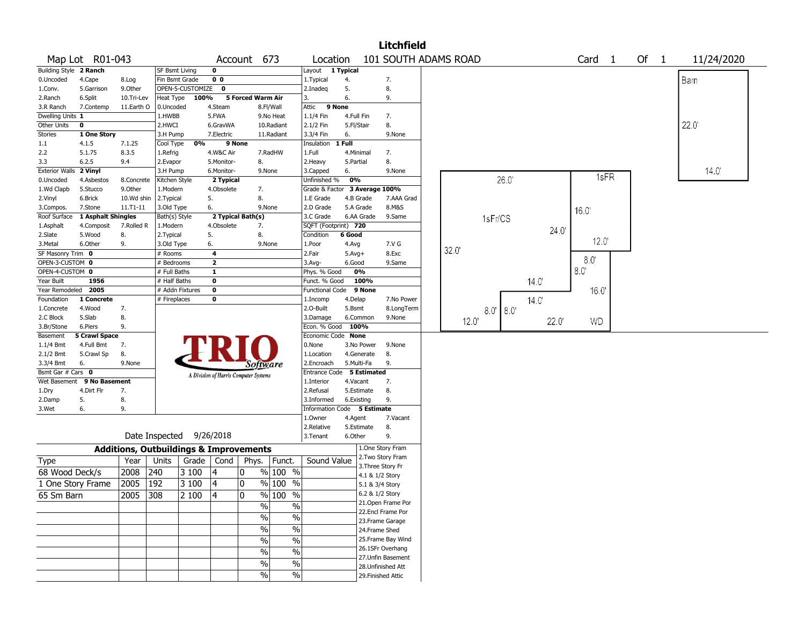|                       |                      |            |                                                   |                  |                                       |                   |                                             |                               |                 |                    | <b>Litchfield</b>                    |       |               |       |      |      |      |                |
|-----------------------|----------------------|------------|---------------------------------------------------|------------------|---------------------------------------|-------------------|---------------------------------------------|-------------------------------|-----------------|--------------------|--------------------------------------|-------|---------------|-------|------|------|------|----------------|
|                       | Map Lot R01-043      |            |                                                   |                  |                                       | Account 673       |                                             | Location                      |                 |                    | 101 SOUTH ADAMS ROAD                 |       |               |       | Card | -1   | Of 1 | 11/24/2020     |
| <b>Building Style</b> | 2 Ranch              |            | SF Bsmt Living                                    |                  | $\mathbf 0$                           |                   |                                             | Layout                        | 1 Typical       |                    |                                      |       |               |       |      |      |      |                |
| 0.Uncoded             | 4.Cape               | 8.Log      | Fin Bsmt Grade                                    |                  | 0 <sub>0</sub>                        |                   |                                             | 1.Typical                     | 4.              |                    | 7.                                   |       |               |       |      |      |      | Bam            |
| 1.Conv.               | 5.Garrison           | 9.Other    |                                                   | OPEN-5-CUSTOMIZE | 0                                     |                   |                                             | 2.Inadeg                      | 5.              |                    | 8.                                   |       |               |       |      |      |      |                |
| 2.Ranch               | 6.Split              | 10.Tri-Lev | Heat Type                                         | 100%             |                                       | 5 Forced Warm Air |                                             | 3.                            | 6.              |                    | 9.                                   |       |               |       |      |      |      |                |
| 3.R Ranch             | 7.Contemp            | 11.Earth O | 0.Uncoded                                         |                  | 4.Steam                               |                   | 8.Fl/Wall                                   | Attic                         | 9 None          |                    |                                      |       |               |       |      |      |      |                |
| Dwelling Units 1      |                      |            | 1.HWBB                                            |                  | 5.FWA                                 |                   | 9.No Heat                                   | 1.1/4 Fin                     | 4.Full Fin      |                    | 7.                                   |       |               |       |      |      |      |                |
| Other Units           | 0                    |            | 2.HWCI                                            |                  | 6.GravWA                              |                   | 10.Radiant                                  | 2.1/2 Fin                     | 5.Fl/Stair      |                    | 8.                                   |       |               |       |      |      |      | 22.0           |
| <b>Stories</b>        | 1 One Story          |            | 3.H Pump                                          |                  | 7.Electric                            |                   | 11.Radiant                                  | 3.3/4 Fin                     | 6.              |                    | 9.None                               |       |               |       |      |      |      |                |
| 1.1                   | 4.1.5                | 7.1.25     | Cool Type                                         | 0%               | 9 None                                |                   |                                             | Insulation                    | 1 Full          |                    |                                      |       |               |       |      |      |      |                |
| 2.2                   | 5.1.75               | 8.3.5      | 1.Refrig                                          |                  | 4.W&C Air                             |                   | 7.RadHW                                     | 1.Full                        | 4.Minimal       |                    | 7.                                   |       |               |       |      |      |      |                |
| 3.3                   | 6.2.5                | 9.4        | 2.Evapor                                          |                  | 5.Monitor-                            | 8.                |                                             | 2. Heavy                      | 5.Partial       |                    | 8.                                   |       |               |       |      |      |      |                |
| <b>Exterior Walls</b> | 2 Vinyl              |            | 3.H Pump                                          |                  | 6.Monitor-                            |                   | 9.None                                      | 3.Capped                      | 6.              |                    | 9.None                               |       |               |       |      |      |      | $14.0^{\circ}$ |
| 0.Uncoded             | 4.Asbestos           | 8.Concrete | Kitchen Style                                     |                  | 2 Typical                             |                   |                                             | Unfinished %                  | 0%              |                    |                                      |       | 26.0          |       |      | 1sFR |      |                |
| 1.Wd Clapb            | 5.Stucco             | 9.Other    | 1.Modern                                          |                  | 4.Obsolete                            | 7.                |                                             | Grade & Factor 3 Average 100% |                 |                    |                                      |       |               |       |      |      |      |                |
| 2.Vinyl               | 6.Brick              | 10.Wd shin | 2. Typical                                        |                  | 5.                                    | 8.                |                                             | 1.E Grade                     | 4.B Grade       |                    | 7.AAA Grad                           |       |               |       |      |      |      |                |
| 3.Compos.             | 7.Stone              | 11.T1-11   | 3.Old Type                                        |                  | 6.                                    |                   | 9.None                                      | 2.D Grade                     |                 | 5.A Grade          | 8.M&S                                |       |               |       | 16.0 |      |      |                |
| Roof Surface          | 1 Asphalt Shingles   |            | Bath(s) Style                                     |                  | 2 Typical Bath(s)                     |                   |                                             | 3.C Grade                     |                 | 6.AA Grade         | 9.Same                               |       | 1sFr/CS       |       |      |      |      |                |
| 1.Asphalt             | 4.Composit           | 7.Rolled R | 1.Modern                                          |                  | 4.Obsolete                            | 7.                |                                             | SQFT (Footprint) 720          |                 |                    |                                      |       |               | 24.0' |      |      |      |                |
| 2.Slate               | 5.Wood               | 8.         | 2. Typical                                        |                  | 5.                                    | 8.                |                                             | Condition                     | 6 Good          |                    |                                      |       |               |       |      |      |      |                |
| 3.Metal               | 6.Other              | 9.         | 3.Old Type                                        |                  | 6.                                    |                   | 9.None                                      | 1.Poor                        | 4.Avg           |                    | 7.V G                                |       |               |       | 12.0 |      |      |                |
| SF Masonry Trim 0     |                      |            | # Rooms                                           |                  | $\overline{\mathbf{4}}$               |                   |                                             | 2.Fair                        | $5.Avg+$        |                    | 8.Exc                                | 320   |               |       |      |      |      |                |
| OPEN-3-CUSTOM 0       |                      |            | # Bedrooms                                        |                  | $\overline{2}$                        |                   |                                             | $3.$ Avg-                     | 6.Good          |                    | 9.Same                               |       |               |       | 8.0' |      |      |                |
| OPEN-4-CUSTOM 0       |                      |            | # Full Baths                                      |                  | $\mathbf{1}$                          |                   |                                             | Phys. % Good                  |                 | 0%                 |                                      |       |               |       | 8.0  |      |      |                |
| Year Built            | 1956                 |            | # Half Baths                                      |                  | $\mathbf 0$                           |                   |                                             | Funct. % Good                 |                 | 100%               |                                      |       |               | 14.0  |      |      |      |                |
| Year Remodeled        | 2005                 |            |                                                   | # Addn Fixtures  | $\mathbf 0$                           |                   |                                             | <b>Functional Code</b>        |                 | 9 None             |                                      |       |               |       | 16.0 |      |      |                |
| Foundation            | 1 Concrete           |            | # Fireplaces                                      |                  | $\mathbf 0$                           |                   |                                             | 1.Incomp                      | 4.Delap         |                    | 7.No Power                           |       |               | 14.0' |      |      |      |                |
| 1.Concrete            | 4.Wood               | 7.         |                                                   |                  |                                       |                   |                                             | 2.O-Built                     | 5.Bsmt          |                    | 8.LongTerm                           |       | $8.0'$ $8.0'$ |       |      |      |      |                |
| 2.C Block             | 5.Slab               | 8.         |                                                   |                  |                                       |                   |                                             | 3.Damage                      |                 | 6.Common           | 9.None                               |       |               |       |      |      |      |                |
| 3.Br/Stone            | 6.Piers              | 9.         |                                                   |                  |                                       |                   |                                             | Econ. % Good                  | 100%            |                    |                                      | 12.0' |               | 22.0' | WD   |      |      |                |
| Basement              | <b>5 Crawl Space</b> |            |                                                   |                  |                                       |                   |                                             | Economic Code None            |                 |                    |                                      |       |               |       |      |      |      |                |
| 1.1/4 Bmt             | 4.Full Bmt           | 7.         |                                                   |                  |                                       |                   |                                             | 0.None                        |                 | 3.No Power         | 9.None                               |       |               |       |      |      |      |                |
| 2.1/2 Bmt             | 5.Crawl Sp           | 8.         |                                                   |                  |                                       |                   |                                             | 1.Location                    |                 | 4.Generate         | 8.                                   |       |               |       |      |      |      |                |
| 3.3/4 Bmt             | 6.                   | 9.None     |                                                   |                  |                                       |                   | Software                                    | 2.Encroach                    | 5.Multi-Fa      |                    | 9.                                   |       |               |       |      |      |      |                |
| Bsmt Gar # Cars 0     |                      |            |                                                   |                  | A Division of Harris Computer Systems |                   |                                             | <b>Entrance Code</b>          |                 | <b>5 Estimated</b> |                                      |       |               |       |      |      |      |                |
| Wet Basement          | 9 No Basement        |            |                                                   |                  |                                       |                   |                                             | 1.Interior                    | 4.Vacant        |                    | 7.                                   |       |               |       |      |      |      |                |
| 1.Dry                 | 4.Dirt Flr           | 7.         |                                                   |                  |                                       |                   |                                             | 2.Refusal                     |                 | 5.Estimate         | 8.                                   |       |               |       |      |      |      |                |
| 2.Damp                | 5.                   | 8.         |                                                   |                  |                                       |                   |                                             | 3.Informed                    | 6.Existing      |                    | 9.                                   |       |               |       |      |      |      |                |
| 3.Wet                 | 6.                   | 9.         |                                                   |                  |                                       |                   |                                             | Information                   | Code 5 Estimate |                    |                                      |       |               |       |      |      |      |                |
|                       |                      |            |                                                   |                  |                                       |                   |                                             | 1.Owner                       | 4.Agent         |                    | 7.Vacant                             |       |               |       |      |      |      |                |
|                       |                      |            |                                                   |                  |                                       |                   |                                             | 2.Relative                    |                 | 5.Estimate         | 8.                                   |       |               |       |      |      |      |                |
|                       |                      |            | Date Inspected 9/26/2018                          |                  |                                       |                   |                                             | 3. Tenant                     | 6.Other         |                    | 9.                                   |       |               |       |      |      |      |                |
|                       |                      |            | <b>Additions, Outbuildings &amp; Improvements</b> |                  |                                       |                   |                                             |                               |                 |                    | 1.One Story Fram                     |       |               |       |      |      |      |                |
| Type                  |                      | Year       | Units                                             | Grade            | Cond                                  | Phys.             | Funct.                                      | Sound Value                   |                 |                    | 2. Two Story Fram                    |       |               |       |      |      |      |                |
| 68 Wood Deck/s        |                      | 2008       | 240                                               | 3 100            | 4                                     | 0                 | $%100$ %                                    |                               |                 |                    | 3. Three Story Fr<br>4.1 & 1/2 Story |       |               |       |      |      |      |                |
| 1 One Story Frame     |                      | 2005       | 192                                               | 3 100            | $\vert 4$                             | 0                 | % 100 %                                     |                               |                 |                    | 5.1 & 3/4 Story                      |       |               |       |      |      |      |                |
|                       |                      |            |                                                   |                  | 14                                    | $\Omega$          | % 100 %                                     |                               |                 |                    | 6.2 & 1/2 Story                      |       |               |       |      |      |      |                |
| 65 Sm Barn            |                      | 2005       | 308                                               | 2 100            |                                       |                   |                                             |                               |                 |                    | 21. Open Frame Por                   |       |               |       |      |      |      |                |
|                       |                      |            |                                                   |                  |                                       |                   | $\%$<br>$\%$                                |                               |                 |                    | 22.Encl Frame Por                    |       |               |       |      |      |      |                |
|                       |                      |            |                                                   |                  |                                       |                   | $\%$<br>$\overline{\frac{0}{0}}$            |                               |                 |                    | 23. Frame Garage                     |       |               |       |      |      |      |                |
|                       |                      |            |                                                   |                  |                                       |                   | $\overline{\%}$<br>$\overline{\frac{0}{0}}$ |                               |                 |                    | 24.Frame Shed                        |       |               |       |      |      |      |                |
|                       |                      |            |                                                   |                  |                                       |                   |                                             |                               |                 |                    | 25. Frame Bay Wind                   |       |               |       |      |      |      |                |
|                       |                      |            |                                                   |                  |                                       |                   | $\overline{\frac{0}{0}}$<br>$\%$            |                               |                 |                    | 26.1SFr Overhang                     |       |               |       |      |      |      |                |
|                       |                      |            |                                                   |                  |                                       |                   | $\overline{\frac{0}{0}}$<br>$\%$            |                               |                 |                    | 27. Unfin Basement                   |       |               |       |      |      |      |                |
|                       |                      |            |                                                   |                  |                                       |                   | $\%$<br>$\%$                                |                               |                 |                    | 28.Unfinished Att                    |       |               |       |      |      |      |                |
|                       |                      |            |                                                   |                  |                                       |                   | $\sqrt{2}$<br>$\%$                          |                               |                 |                    | 29. Finished Attic                   |       |               |       |      |      |      |                |
|                       |                      |            |                                                   |                  |                                       |                   |                                             |                               |                 |                    |                                      |       |               |       |      |      |      |                |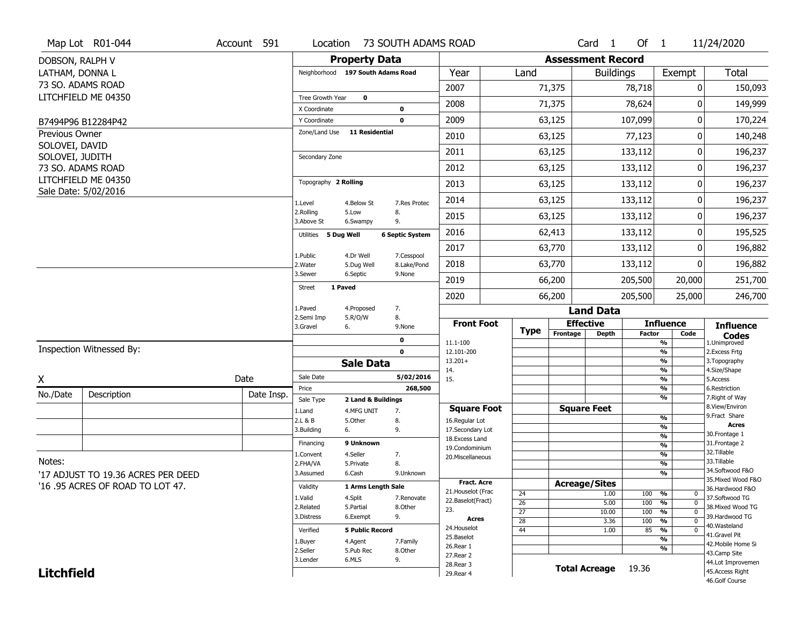|                   | Map Lot R01-044                          | Account 591 | Location                          |                                  | 73 SOUTH ADAMS ROAD    |                                   |                 |                          | Card <sub>1</sub>    | Of $1$        |                          | 11/24/2020                        |
|-------------------|------------------------------------------|-------------|-----------------------------------|----------------------------------|------------------------|-----------------------------------|-----------------|--------------------------|----------------------|---------------|--------------------------|-----------------------------------|
| DOBSON, RALPH V   |                                          |             |                                   | <b>Property Data</b>             |                        |                                   |                 | <b>Assessment Record</b> |                      |               |                          |                                   |
| LATHAM, DONNA L   |                                          |             | Neighborhood 197 South Adams Road |                                  |                        | Year                              | Land            |                          | <b>Buildings</b>     |               | Exempt                   | <b>Total</b>                      |
|                   | 73 SO. ADAMS ROAD                        |             |                                   |                                  |                        | 2007                              |                 | 71,375                   |                      | 78,718        | 0                        | 150,093                           |
|                   | LITCHFIELD ME 04350                      |             | Tree Growth Year<br>X Coordinate  | 0                                |                        | 2008                              |                 | 71,375                   |                      | 78,624        | 0                        | 149,999                           |
|                   | B7494P96 B12284P42                       |             | Y Coordinate                      |                                  | 0<br>$\mathbf 0$       | 2009                              |                 | 63,125                   |                      | 107,099       | $\mathbf{0}$             | 170,224                           |
| Previous Owner    |                                          |             | Zone/Land Use                     | <b>11 Residential</b>            |                        | 2010                              |                 | 63,125                   |                      | 77,123        | 0                        | 140,248                           |
| SOLOVEI, DAVID    |                                          |             |                                   |                                  |                        | 2011                              |                 | 63,125                   |                      | 133,112       | 0                        | 196,237                           |
| SOLOVEI, JUDITH   |                                          |             | Secondary Zone                    |                                  |                        |                                   |                 |                          |                      |               |                          |                                   |
|                   | 73 SO. ADAMS ROAD<br>LITCHFIELD ME 04350 |             |                                   |                                  |                        | 2012                              |                 | 63,125                   |                      | 133,112       | 0                        | 196,237                           |
|                   | Sale Date: 5/02/2016                     |             | Topography 2 Rolling              |                                  |                        | 2013                              |                 | 63,125                   |                      | 133,112       | 0                        | 196,237                           |
|                   |                                          |             | 1.Level                           | 4.Below St                       | 7.Res Protec           | 2014                              |                 | 63,125                   |                      | 133,112       | 0                        | 196,237                           |
|                   |                                          |             | 2.Rolling<br>3.Above St           | 5.Low<br>6.Swampy                | 8.<br>9.               | 2015                              |                 | 63,125                   |                      | 133,112       | $\mathbf{0}$             | 196,237                           |
|                   |                                          |             | 5 Dug Well<br>Utilities           |                                  | <b>6 Septic System</b> | 2016                              |                 | 62,413                   |                      | 133,112       | 0                        | 195,525                           |
|                   |                                          |             | 1.Public                          | 4.Dr Well                        | 7.Cesspool             | 2017                              |                 | 63,770                   |                      | 133,112       | 0                        | 196,882                           |
|                   |                                          |             | 2. Water                          | 5.Dug Well                       | 8.Lake/Pond            | 2018                              |                 | 63,770                   |                      | 133,112       | 0                        | 196,882                           |
|                   |                                          |             | 3.Sewer                           | 6.Septic                         | 9.None                 | 2019                              |                 | 66,200                   |                      | 205,500       | 20,000                   | 251,700                           |
|                   |                                          |             | 1 Paved<br><b>Street</b>          |                                  |                        | 2020                              |                 | 66,200                   |                      | 205,500       | 25,000                   | 246,700                           |
|                   |                                          |             | 1.Paved                           | 4.Proposed                       | 7.                     |                                   |                 |                          | <b>Land Data</b>     |               |                          |                                   |
|                   |                                          |             | 2.Semi Imp<br>3.Gravel            | 5.R/O/W<br>6.                    | 8.<br>9.None           | <b>Front Foot</b>                 |                 | <b>Effective</b>         |                      |               | <b>Influence</b>         | <b>Influence</b>                  |
|                   |                                          |             |                                   |                                  | 0                      | 11.1-100                          | <b>Type</b>     | Frontage                 | <b>Depth</b>         | <b>Factor</b> | Code<br>%                | <b>Codes</b><br>1.Unimproved      |
|                   | Inspection Witnessed By:                 |             |                                   |                                  | $\mathbf 0$            | 12.101-200                        |                 |                          |                      |               | %                        | 2.Excess Frtg                     |
|                   |                                          |             |                                   | <b>Sale Data</b>                 |                        | $13.201+$<br>14.                  |                 |                          |                      |               | %<br>%                   | 3. Topography<br>4.Size/Shape     |
| X                 |                                          | Date        | Sale Date                         |                                  | 5/02/2016              | 15.                               |                 |                          |                      |               | %                        | 5.Access                          |
| No./Date          | Description                              | Date Insp.  | Price                             |                                  | 268,500                |                                   |                 |                          |                      |               | %<br>%                   | 6.Restriction<br>7. Right of Way  |
|                   |                                          |             | Sale Type<br>1.Land               | 2 Land & Buildings<br>4.MFG UNIT | 7.                     | <b>Square Foot</b>                |                 | <b>Square Feet</b>       |                      |               |                          | 8.View/Environ                    |
|                   |                                          |             | 2.L & B                           | 5.Other                          | 8.                     | 16.Regular Lot                    |                 |                          |                      |               | %                        | 9. Fract Share<br><b>Acres</b>    |
|                   |                                          |             | 3.Building                        | 6.                               | 9.                     | 17.Secondary Lot                  |                 |                          |                      |               | %<br>$\frac{9}{6}$       | 30. Frontage 1                    |
|                   |                                          |             | Financing                         | 9 Unknown                        |                        | 18. Excess Land<br>19.Condominium |                 |                          |                      |               | $\overline{\frac{9}{6}}$ | 31. Frontage 2                    |
|                   |                                          |             | 1.Convent                         | 4.Seller                         | 7.                     | 20.Miscellaneous                  |                 |                          |                      |               | $\frac{9}{6}$            | 32.Tillable                       |
| Notes:            |                                          |             | 2.FHA/VA                          | 5.Private                        | 8.                     |                                   |                 |                          |                      |               | $\overline{\frac{9}{6}}$ | 33.Tillable<br>34.Softwood F&O    |
|                   | '17 ADJUST TO 19.36 ACRES PER DEED       |             | 3.Assumed                         | 6.Cash                           | 9.Unknown              | Fract. Acre                       |                 |                          |                      |               | $\frac{9}{6}$            | 35. Mixed Wood F&O                |
|                   | '16 .95 ACRES OF ROAD TO LOT 47.         |             | Validity                          | 1 Arms Length Sale               |                        | 21. Houselot (Frac                | 24              | <b>Acreage/Sites</b>     | 1.00                 | 100           | %<br>$\mathbf 0$         | 36.Hardwood F&O                   |
|                   |                                          |             | 1.Valid                           | 4.Split                          | 7.Renovate             | 22.Baselot(Fract)                 | 26              |                          | 5.00                 | 100           | %<br>$\mathbf 0$         | 37.Softwood TG                    |
|                   |                                          |             | 2.Related                         | 5.Partial                        | 8.Other                | 23.                               | $\overline{27}$ |                          | 10.00                | 100           | %<br>$\mathbf 0$         | 38. Mixed Wood TG                 |
|                   |                                          |             | 3.Distress                        | 6.Exempt                         | 9.                     | <b>Acres</b>                      | $\overline{28}$ |                          | 3.36                 | 100           | %<br>$\mathbf 0$         | 39.Hardwood TG                    |
|                   |                                          |             | Verified                          | <b>5 Public Record</b>           |                        | 24. Houselot                      | 44              |                          | 1.00                 | 85            | %<br>$\mathbf 0$         | 40.Wasteland<br>41.Gravel Pit     |
|                   |                                          |             | 1.Buyer                           | 4.Agent                          | 7.Family               | 25.Baselot<br>26.Rear 1           |                 |                          |                      |               | %                        | 42. Mobile Home Si                |
|                   |                                          |             | 2.Seller                          | 5.Pub Rec                        | 8.Other                | 27. Rear 2                        |                 |                          |                      |               | %                        | 43.Camp Site                      |
|                   |                                          |             | 3.Lender                          | 6.MLS                            | 9.                     | 28. Rear 3                        |                 |                          |                      |               |                          | 44.Lot Improvemen                 |
| <b>Litchfield</b> |                                          |             |                                   |                                  |                        | 29. Rear 4                        |                 |                          | <b>Total Acreage</b> | 19.36         |                          | 45.Access Right<br>46.Golf Course |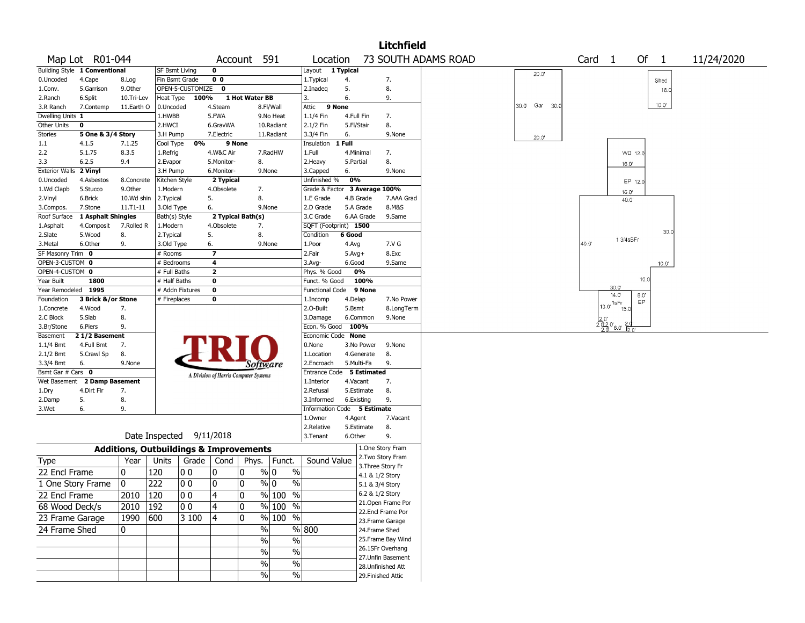|                         |                                      |                       |                                                   |                  |                         |                                       |                     |                               |            |                   | <b>Litchfield</b>                        |                     |      |                   |                        |         |                |            |
|-------------------------|--------------------------------------|-----------------------|---------------------------------------------------|------------------|-------------------------|---------------------------------------|---------------------|-------------------------------|------------|-------------------|------------------------------------------|---------------------|------|-------------------|------------------------|---------|----------------|------------|
|                         | Map Lot R01-044                      |                       |                                                   |                  |                         | Account 591                           |                     | Location                      |            |                   |                                          | 73 SOUTH ADAMS ROAD |      | Card <sub>1</sub> |                        | Of      | $\mathbf{1}$   | 11/24/2020 |
|                         | <b>Building Style 1 Conventional</b> |                       | SF Bsmt Living                                    |                  | $\mathbf 0$             |                                       |                     | Layout 1 Typical              |            |                   |                                          |                     |      |                   |                        |         |                |            |
| 0.Uncoded               | 4.Cape                               | 8.Log                 |                                                   | Fin Bsmt Grade   | 0 <sub>0</sub>          |                                       |                     | 1. Typical                    | 4.         |                   | 7.                                       | 20.0'               |      |                   |                        |         | Shed           |            |
| 1.Conv.                 | 5.Garrison                           | 9.Other               |                                                   | OPEN-5-CUSTOMIZE | $\mathbf{o}$            |                                       |                     | 2.Inadeg                      | 5.         |                   | 8.                                       |                     |      |                   |                        |         | 16.0           |            |
| 2.Ranch                 | 6.Split                              | 10.Tri-Lev            | Heat Type                                         | 100%             |                         | 1 Hot Water BB                        |                     | 3.                            | 6.         |                   | 9.                                       |                     |      |                   |                        |         |                |            |
| 3.R Ranch               | 7.Contemp                            | 11.Earth O            | 0.Uncoded                                         |                  | 4.Steam                 |                                       | 8.Fl/Wall           | 9 None<br>Attic               |            |                   |                                          | 30.0' Gar           | 30.0 |                   |                        |         | $10.0^{\circ}$ |            |
| Dwelling Units 1        |                                      |                       | 1.HWBB                                            |                  | 5.FWA                   |                                       | 9.No Heat           | 1.1/4 Fin                     | 4.Full Fin |                   | 7.                                       |                     |      |                   |                        |         |                |            |
| Other Units             | 0                                    |                       | 2.HWCI                                            |                  | 6.GravWA                |                                       | 10.Radiant          | 2.1/2 Fin                     | 5.Fl/Stair |                   | 8.                                       |                     |      |                   |                        |         |                |            |
| Stories                 | 5 One & 3/4 Story                    |                       | 3.H Pump                                          |                  | 7.Electric              |                                       | 11.Radiant          | 3.3/4 Fin                     | 6.         |                   | 9.None                                   | 20.0'               |      |                   |                        |         |                |            |
| 1.1                     | 4.1.5                                | 7.1.25                | Cool Type                                         | 0%               |                         | 9 None                                |                     | Insulation                    | 1 Full     |                   |                                          |                     |      |                   |                        |         |                |            |
| 2.2                     | 5.1.75                               | 8.3.5                 | 1.Refrig                                          |                  | 4.W&C Air               |                                       | 7.RadHW             | 1.Full                        | 4.Minimal  |                   | 7.                                       |                     |      |                   |                        | WD 12.0 |                |            |
| 3.3                     | 6.2.5                                | 9.4                   | 2.Evapor                                          |                  | 5.Monitor-              | 8.                                    |                     | 2.Heavy                       | 5.Partial  |                   | 8.                                       |                     |      |                   | 16.0'                  |         |                |            |
| <b>Exterior Walls</b>   | 2 Vinyl                              |                       | 3.H Pump                                          |                  | 6.Monitor-              |                                       | 9.None              | 3.Capped<br>Unfinished %      | 6.<br>0%   |                   | 9.None                                   |                     |      |                   |                        |         |                |            |
| 0.Uncoded<br>1.Wd Clapb | 4.Asbestos<br>5.Stucco               | 8.Concrete<br>9.Other | Kitchen Style<br>1.Modern                         |                  | 2 Typical<br>4.Obsolete | 7.                                    |                     | Grade & Factor 3 Average 100% |            |                   |                                          |                     |      |                   |                        | EP 12.0 |                |            |
| 2.Vinyl                 | 6.Brick                              | 10.Wd shin            | 2. Typical                                        |                  | 5.                      | 8.                                    |                     | 1.E Grade                     |            | 4.B Grade         | 7.AAA Grad                               |                     |      |                   | 16.0<br>40.0           |         |                |            |
| 3.Compos.               | 7.Stone                              | 11.T1-11              | 3.Old Type                                        |                  | 6.                      |                                       | 9.None              | 2.D Grade                     |            | 5.A Grade         | 8.M&S                                    |                     |      |                   |                        |         |                |            |
| Roof Surface            | 1 Asphalt Shingles                   |                       | Bath(s) Style                                     |                  |                         | 2 Typical Bath(s)                     |                     | 3.C Grade                     |            | 6.AA Grade        | 9.Same                                   |                     |      |                   |                        |         |                |            |
| 1.Asphalt               | 4.Composit                           | 7.Rolled R            | 1.Modern                                          |                  | 4.Obsolete              | 7.                                    |                     | SQFT (Footprint) 1500         |            |                   |                                          |                     |      |                   |                        |         |                |            |
| 2.Slate                 | 5.Wood                               | 8.                    | 2. Typical                                        |                  | 5.                      | 8.                                    |                     | Condition                     | 6 Good     |                   |                                          |                     |      |                   |                        |         | 30.0           |            |
| 3.Metal                 | 6.Other                              | 9.                    | 3.Old Type                                        |                  | 6.                      |                                       | 9.None              | 1.Poor                        | 4.Avg      |                   | 7.V G                                    |                     |      | 40.0              | 1 3/4 sBFr             |         |                |            |
| SF Masonry Trim 0       |                                      |                       | # Rooms                                           |                  | $\overline{\mathbf{z}}$ |                                       |                     | 2.Fair                        | $5.Avg+$   |                   | 8.Exc                                    |                     |      |                   |                        |         |                |            |
| OPEN-3-CUSTOM 0         |                                      |                       | # Bedrooms                                        |                  | 4                       |                                       |                     | 3.Avg-                        | 6.Good     |                   | 9.Same                                   |                     |      |                   |                        |         | $10.0^{\circ}$ |            |
| OPEN-4-CUSTOM 0         |                                      |                       | # Full Baths                                      |                  | $\mathbf{2}$            |                                       |                     | Phys. % Good                  |            | 0%                |                                          |                     |      |                   |                        |         |                |            |
| Year Built              | 1800                                 |                       | # Half Baths                                      |                  | 0                       |                                       |                     | Funct. % Good                 |            | 100%              |                                          |                     |      |                   |                        | 10.0    |                |            |
| Year Remodeled 1995     |                                      |                       |                                                   | # Addn Fixtures  | 0                       |                                       |                     | Functional Code 9 None        |            |                   |                                          |                     |      |                   | 30.0<br>14.0           | 8.0     |                |            |
| Foundation              | 3 Brick &/or Stone                   |                       | # Fireplaces                                      |                  | 0                       |                                       |                     | 1.Incomp                      | 4.Delap    |                   | 7.No Power                               |                     |      |                   | 1sFr                   | EP      |                |            |
| 1.Concrete              | 4.Wood                               | 7.                    |                                                   |                  |                         |                                       |                     | 2.O-Built                     | 5.Bsmt     |                   | 8.LongTerm                               |                     |      |                   | $13.0^{\circ}$<br>15.0 |         |                |            |
| 2.C Block               | 5.Slab                               | 8.                    |                                                   |                  |                         |                                       |                     | 3.Damage                      |            | 6.Common          | 9.None                                   |                     |      |                   | 2.080                  |         |                |            |
| 3.Br/Stone              | 6.Piers                              | 9.                    |                                                   |                  |                         |                                       |                     | Econ. % Good                  | 100%       |                   |                                          |                     |      |                   |                        |         |                |            |
| Basement<br>$1.1/4$ Bmt | 21/2 Basement<br>4.Full Bmt          | 7.                    |                                                   |                  |                         |                                       |                     | Economic Code None<br>0.None  |            | 3.No Power        | 9.None                                   |                     |      |                   |                        |         |                |            |
| 2.1/2 Bmt               | 5.Crawl Sp                           | 8.                    |                                                   |                  |                         |                                       |                     | 1.Location                    |            | 4.Generate        | 8.                                       |                     |      |                   |                        |         |                |            |
| 3.3/4 Bmt               | 6.                                   | 9.None                |                                                   |                  |                         |                                       |                     | 2.Encroach                    |            | 5.Multi-Fa        | 9.                                       |                     |      |                   |                        |         |                |            |
| Bsmt Gar # Cars 0       |                                      |                       |                                                   |                  |                         | Software                              |                     | Entrance Code 5 Estimated     |            |                   |                                          |                     |      |                   |                        |         |                |            |
|                         | Wet Basement 2 Damp Basement         |                       |                                                   |                  |                         | A Division of Harris Computer Systems |                     | 1.Interior                    | 4.Vacant   |                   | 7.                                       |                     |      |                   |                        |         |                |            |
| 1.Dry                   | 4.Dirt Flr                           | 7.                    |                                                   |                  |                         |                                       |                     | 2.Refusal                     |            | 5.Estimate        | 8.                                       |                     |      |                   |                        |         |                |            |
| 2.Damp                  | 5.                                   | 8.                    |                                                   |                  |                         |                                       |                     | 3.Informed                    | 6.Existing |                   | 9.                                       |                     |      |                   |                        |         |                |            |
| 3.Wet                   | 6.                                   | 9.                    |                                                   |                  |                         |                                       |                     | Information Code 5 Estimate   |            |                   |                                          |                     |      |                   |                        |         |                |            |
|                         |                                      |                       |                                                   |                  |                         |                                       |                     | 1.0wner                       | 4.Agent    |                   | 7.Vacant                                 |                     |      |                   |                        |         |                |            |
|                         |                                      |                       |                                                   |                  |                         |                                       |                     | 2.Relative                    |            | 5.Estimate        | 8.                                       |                     |      |                   |                        |         |                |            |
|                         |                                      |                       | Date Inspected 9/11/2018                          |                  |                         |                                       |                     | 3. Tenant                     | 6.Other    |                   | 9.                                       |                     |      |                   |                        |         |                |            |
|                         |                                      |                       | <b>Additions, Outbuildings &amp; Improvements</b> |                  |                         |                                       |                     |                               |            |                   | 1.One Story Fram                         |                     |      |                   |                        |         |                |            |
| Type                    |                                      | Year                  | Units                                             | Grade   Cond     |                         | Phys.                                 | Funct.              | Sound Value                   |            |                   | 2. Two Story Fram                        |                     |      |                   |                        |         |                |            |
|                         |                                      |                       |                                                   |                  |                         |                                       |                     |                               |            | 3. Three Story Fr |                                          |                     |      |                   |                        |         |                |            |
| 22 Encl Frame           |                                      | 0                     | 120                                               | 0 <sub>0</sub>   | 10                      | 0                                     | % 0<br>$\%$         |                               |            | 4.1 & 1/2 Story   |                                          |                     |      |                   |                        |         |                |            |
| 1 One Story Frame       |                                      | 0                     | 222                                               | 0 <sub>0</sub>   | ٥١                      | 0                                     | % 0<br>%            |                               |            | 5.1 & 3/4 Story   |                                          |                     |      |                   |                        |         |                |            |
| 22 Encl Frame           |                                      | 2010 120              |                                                   | 0 0              | 4                       | 0                                     | $\frac{9}{6}$ 100 % |                               |            | 6.2 & 1/2 Story   |                                          |                     |      |                   |                        |         |                |            |
| 68 Wood Deck/s          |                                      | 2010   192            |                                                   | 00               | 4                       | 0                                     | % 100 %             |                               |            |                   | 21. Open Frame Por                       |                     |      |                   |                        |         |                |            |
| 23 Frame Garage         |                                      | 1990 600              |                                                   | 3 100            | 4                       | 0                                     | % 100 %             |                               |            |                   | 22.Encl Frame Por                        |                     |      |                   |                        |         |                |            |
|                         |                                      |                       |                                                   |                  |                         |                                       |                     |                               |            |                   | 23. Frame Garage                         |                     |      |                   |                        |         |                |            |
| 24 Frame Shed           |                                      | 0                     |                                                   |                  |                         | $\frac{0}{0}$                         |                     | $\frac{800}{ }$               |            | 24.Frame Shed     |                                          |                     |      |                   |                        |         |                |            |
|                         |                                      |                       |                                                   |                  |                         | $\%$                                  | $\frac{0}{0}$       |                               |            |                   | 25. Frame Bay Wind                       |                     |      |                   |                        |         |                |            |
|                         |                                      |                       |                                                   |                  |                         | $\%$                                  | $\%$                |                               |            |                   | 26.1SFr Overhang                         |                     |      |                   |                        |         |                |            |
|                         |                                      |                       |                                                   |                  |                         | %                                     | $\sqrt{6}$          |                               |            |                   | 27.Unfin Basement                        |                     |      |                   |                        |         |                |            |
|                         |                                      |                       |                                                   |                  |                         | $\frac{0}{0}$                         | $\sqrt{20}$         |                               |            |                   | 28. Unfinished Att<br>29. Finished Attic |                     |      |                   |                        |         |                |            |
|                         |                                      |                       |                                                   |                  |                         |                                       |                     |                               |            |                   |                                          |                     |      |                   |                        |         |                |            |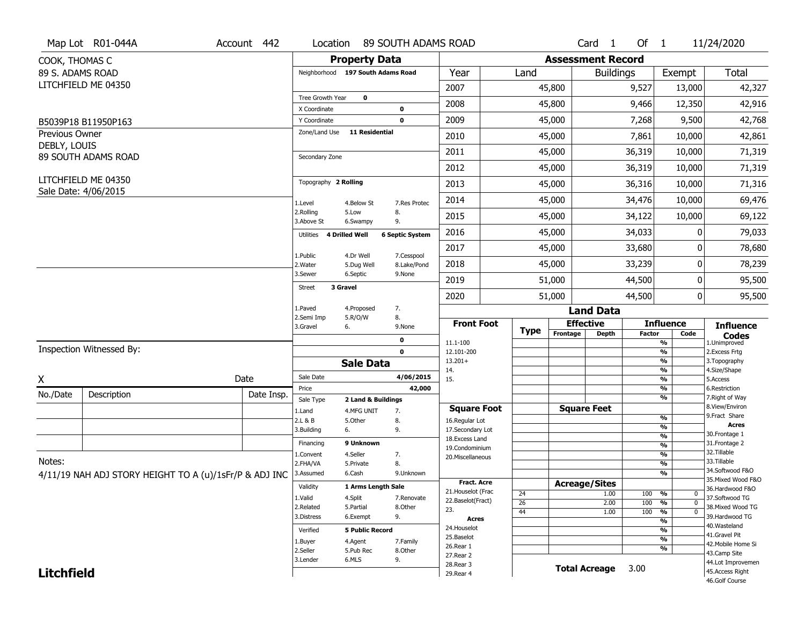|                   | Map Lot R01-044A                                       | Account 442 | Location                          |                         | 89 SOUTH ADAMS ROAD       |                                     |                 |                          | Card <sub>1</sub>                | Of $1$        |                                | 11/24/2020                           |
|-------------------|--------------------------------------------------------|-------------|-----------------------------------|-------------------------|---------------------------|-------------------------------------|-----------------|--------------------------|----------------------------------|---------------|--------------------------------|--------------------------------------|
| COOK, THOMAS C    |                                                        |             |                                   | <b>Property Data</b>    |                           |                                     |                 | <b>Assessment Record</b> |                                  |               |                                |                                      |
| 89 S. ADAMS ROAD  |                                                        |             | Neighborhood 197 South Adams Road |                         |                           | Year                                | Land            |                          | <b>Buildings</b>                 |               | Exempt                         | Total                                |
|                   | LITCHFIELD ME 04350                                    |             |                                   |                         |                           | 2007                                |                 | 45,800                   |                                  | 9,527         | 13,000                         | 42,327                               |
|                   |                                                        |             | Tree Growth Year<br>X Coordinate  | $\mathbf 0$             | 0                         | 2008                                |                 | 45,800                   |                                  | 9,466         | 12,350                         | 42,916                               |
|                   | B5039P18 B11950P163                                    |             | Y Coordinate                      |                         | 0                         | 2009                                |                 | 45,000                   |                                  | 7,268         | 9,500                          | 42,768                               |
| Previous Owner    |                                                        |             | Zone/Land Use                     | <b>11 Residential</b>   |                           | 2010                                |                 | 45,000                   |                                  | 7,861         | 10,000                         | 42,861                               |
| DEBLY, LOUIS      |                                                        |             |                                   |                         |                           | 2011                                |                 | 45,000                   |                                  | 36,319        | 10,000                         | 71,319                               |
|                   | 89 SOUTH ADAMS ROAD                                    |             | Secondary Zone                    |                         |                           | 2012                                |                 | 45,000                   |                                  | 36,319        | 10,000                         | 71,319                               |
|                   | LITCHFIELD ME 04350                                    |             | Topography 2 Rolling              |                         |                           | 2013                                |                 | 45,000                   |                                  | 36,316        | 10,000                         | 71,316                               |
|                   | Sale Date: 4/06/2015                                   |             | 1.Level                           | 4.Below St              | 7.Res Protec              | 2014                                |                 | 45,000                   |                                  | 34,476        | 10,000                         | 69,476                               |
|                   |                                                        |             | 2.Rolling<br>3.Above St           | 5.Low                   | 8.<br>9.                  | 2015                                |                 | 45,000                   |                                  | 34,122        | 10,000                         | 69,122                               |
|                   |                                                        |             | Utilities 4 Drilled Well          | 6.Swampy                | <b>6 Septic System</b>    | 2016                                |                 | 45,000                   |                                  | 34,033        | $\Omega$                       | 79,033                               |
|                   |                                                        |             |                                   |                         |                           | 2017                                |                 | 45,000                   |                                  | 33,680        | 0                              | 78,680                               |
|                   |                                                        |             | 1.Public<br>2. Water              | 4.Dr Well<br>5.Dug Well | 7.Cesspool<br>8.Lake/Pond | 2018                                |                 | 45,000                   |                                  | 33,239        | 0                              | 78,239                               |
|                   |                                                        |             | 3.Sewer                           | 6.Septic                | 9.None                    | 2019                                |                 | 51,000                   |                                  | 44,500        | 0                              | 95,500                               |
|                   |                                                        |             | 3 Gravel<br><b>Street</b>         |                         |                           | 2020                                |                 | 51,000                   |                                  | 44,500        | 0                              | 95,500                               |
|                   |                                                        |             | 1.Paved<br>2.Semi Imp             | 4.Proposed<br>5.R/O/W   | 7.<br>8.                  |                                     |                 |                          | <b>Land Data</b>                 |               |                                |                                      |
|                   |                                                        |             | 3.Gravel                          | 6.                      | 9.None                    | <b>Front Foot</b>                   | Type            | Frontage                 | <b>Effective</b><br><b>Depth</b> | <b>Factor</b> | <b>Influence</b><br>Code       | <b>Influence</b>                     |
|                   | Inspection Witnessed By:                               |             |                                   |                         | 0                         | 11.1-100                            |                 |                          |                                  |               | $\frac{9}{6}$                  | <b>Codes</b><br>1.Unimproved         |
|                   |                                                        |             |                                   |                         | $\mathbf 0$               | 12.101-200<br>$13.201+$             |                 |                          |                                  |               | $\frac{9}{6}$<br>$\frac{9}{6}$ | 2.Excess Frtg<br>3. Topography       |
|                   |                                                        |             | Sale Date                         | <b>Sale Data</b>        | 4/06/2015                 | 14.                                 |                 |                          |                                  |               | %                              | 4.Size/Shape                         |
| X                 |                                                        | Date        | Price                             |                         | 42,000                    | 15.                                 |                 |                          |                                  |               | $\frac{9}{6}$<br>%             | 5.Access<br>6.Restriction            |
| No./Date          | Description                                            | Date Insp.  | Sale Type                         | 2 Land & Buildings      |                           |                                     |                 |                          |                                  |               | %                              | 7. Right of Way                      |
|                   |                                                        |             | 1.Land                            | 4.MFG UNIT              | 7.                        | <b>Square Foot</b>                  |                 |                          | <b>Square Feet</b>               |               |                                | 8.View/Environ<br>9. Fract Share     |
|                   |                                                        |             | 2.L & B                           | 5.0ther                 | 8.                        | 16.Regular Lot                      |                 |                          |                                  |               | %<br>%                         | <b>Acres</b>                         |
|                   |                                                        |             | 3.Building                        | 6.                      | 9.                        | 17.Secondary Lot<br>18. Excess Land |                 |                          |                                  |               | %                              | 30. Frontage 1                       |
|                   |                                                        |             | Financing                         | 9 Unknown               |                           | 19.Condominium                      |                 |                          |                                  |               | %                              | 31. Frontage 2                       |
| Notes:            |                                                        |             | 1.Convent                         | 4.Seller                | 7.                        | 20.Miscellaneous                    |                 |                          |                                  |               | %                              | 32. Tillable<br>33.Tillable          |
|                   |                                                        |             | 2.FHA/VA                          | 5.Private               | 8.                        |                                     |                 |                          |                                  |               | %<br>%                         | 34.Softwood F&O                      |
|                   | 4/11/19 NAH ADJ STORY HEIGHT TO A (u)/1sFr/P & ADJ INC |             | 3.Assumed                         | 6.Cash                  | 9.Unknown                 | <b>Fract. Acre</b>                  |                 |                          | <b>Acreage/Sites</b>             |               |                                | 35. Mixed Wood F&O                   |
|                   |                                                        |             | Validity                          | 1 Arms Length Sale      |                           | 21. Houselot (Frac                  | 24              |                          | 1.00                             | 100           | %<br>0                         | 36.Hardwood F&O                      |
|                   |                                                        |             | 1.Valid                           | 4.Split                 | 7.Renovate                | 22.Baselot(Fract)                   | $\overline{26}$ |                          | 2.00                             | 100           | $\frac{9}{6}$<br>$\mathbf 0$   | 37.Softwood TG                       |
|                   |                                                        |             | 2.Related                         | 5.Partial               | 8.Other                   | 23.                                 | 44              |                          | 1.00                             | 100           | $\frac{9}{6}$<br>$\mathbf 0$   | 38. Mixed Wood TG                    |
|                   |                                                        |             | 3.Distress                        | 6.Exempt                | 9.                        | <b>Acres</b>                        |                 |                          |                                  |               | %                              | 39.Hardwood TG<br>40. Wasteland      |
|                   |                                                        |             | Verified                          | <b>5 Public Record</b>  |                           | 24. Houselot<br>25.Baselot          |                 |                          |                                  |               | %                              | 41.Gravel Pit                        |
|                   |                                                        |             |                                   |                         |                           |                                     |                 |                          |                                  |               | $\frac{9}{6}$                  |                                      |
|                   |                                                        |             | 1.Buyer                           | 4.Agent                 | 7.Family                  |                                     |                 |                          |                                  |               |                                | 42. Mobile Home Si                   |
|                   |                                                        |             | 2.Seller                          | 5.Pub Rec               | 8.0ther                   | 26.Rear 1<br>27. Rear 2             |                 |                          |                                  |               | %                              | 43.Camp Site                         |
| <b>Litchfield</b> |                                                        |             | 3.Lender                          | 6.MLS                   | 9.                        | 28. Rear 3<br>29. Rear 4            |                 |                          | <b>Total Acreage</b>             | 3.00          |                                | 44.Lot Improvemen<br>45.Access Right |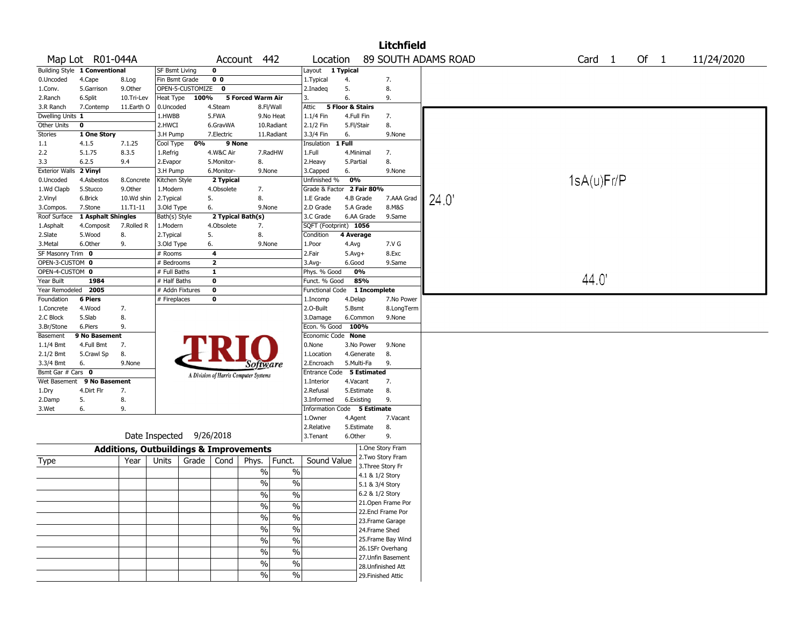|                                  |                               |                                                   |                       |                  |                   |                                       |                          |                             |                  |              | <b>Litchfield</b>  |                     |  |                   |  |        |            |  |
|----------------------------------|-------------------------------|---------------------------------------------------|-----------------------|------------------|-------------------|---------------------------------------|--------------------------|-----------------------------|------------------|--------------|--------------------|---------------------|--|-------------------|--|--------|------------|--|
|                                  | Map Lot R01-044A              |                                                   |                       |                  | Account           |                                       | 442                      | Location                    |                  |              |                    | 89 SOUTH ADAMS ROAD |  | Card <sub>1</sub> |  | Of $1$ | 11/24/2020 |  |
|                                  | Building Style 1 Conventional |                                                   | <b>SF Bsmt Living</b> |                  | 0                 |                                       |                          | Layout 1 Typical            |                  |              |                    |                     |  |                   |  |        |            |  |
| 0.Uncoded                        | 4.Cape                        | 8.Log                                             | Fin Bsmt Grade        |                  | 00                |                                       |                          | 1. Typical                  | 4.               |              | 7.                 |                     |  |                   |  |        |            |  |
| 1.Conv.                          | 5.Garrison                    | 9.0ther                                           |                       | OPEN-5-CUSTOMIZE | $\mathbf 0$       |                                       |                          | 2.Inadeq                    | 5.               |              | 8.                 |                     |  |                   |  |        |            |  |
| 2.Ranch                          | 6.Split                       | 10.Tri-Lev                                        | Heat Type             | 100%             |                   | 5 Forced Warm Air                     |                          | 3.                          | 6.               |              | 9.                 |                     |  |                   |  |        |            |  |
| 3.R Ranch                        | 7.Contemp                     | 11.Earth O                                        | 0.Uncoded             |                  | 4.Steam           |                                       | 8.Fl/Wall                | Attic                       | 5 Floor & Stairs |              |                    |                     |  |                   |  |        |            |  |
| Dwelling Units 1                 |                               |                                                   | 1.HWBB                |                  | 5.FWA             |                                       | 9.No Heat                | 1.1/4 Fin                   | 4.Full Fin       |              | 7.                 |                     |  |                   |  |        |            |  |
| Other Units                      | 0                             |                                                   | 2.HWCI                |                  | 6.GravWA          |                                       | 10.Radiant               | 2.1/2 Fin                   | 5.Fl/Stair       |              | 8.                 |                     |  |                   |  |        |            |  |
| Stories                          | 1 One Story                   |                                                   | 3.H Pump              |                  | 7.Electric        |                                       | 11.Radiant               | 3.3/4 Fin                   | 6.               |              | 9.None             |                     |  |                   |  |        |            |  |
| 1.1                              | 4.1.5                         | 7.1.25                                            | Cool Type             | 0%               | 9 None            |                                       |                          | Insulation                  | 1 Full           |              |                    |                     |  |                   |  |        |            |  |
| 2.2                              | 5.1.75                        | 8.3.5                                             | 1.Refrig              |                  | 4.W&C Air         |                                       | 7.RadHW                  | 1.Full                      |                  | 4.Minimal    | 7.                 |                     |  |                   |  |        |            |  |
| 3.3                              | 6.2.5                         | 9.4                                               | 2.Evapor              |                  | 5.Monitor-        | 8.                                    |                          | 2. Heavy                    | 5.Partial        |              | 8.                 |                     |  |                   |  |        |            |  |
| <b>Exterior Walls</b>            | 2 Vinyl                       |                                                   | 3.H Pump              |                  | 6.Monitor-        | 9.None                                |                          | 3.Capped                    | 6.               |              | 9.None             |                     |  |                   |  |        |            |  |
| 0.Uncoded                        | 4.Asbestos                    | 8.Concrete                                        | Kitchen Style         |                  | 2 Typical         |                                       |                          | Unfinished %                | 0%               |              |                    |                     |  | 1sA(u)Fr/P        |  |        |            |  |
| 1.Wd Clapb                       | 5.Stucco                      | 9.0ther                                           | 1.Modern              |                  | 4.Obsolete        | 7.                                    |                          | Grade & Factor 2 Fair 80%   |                  |              |                    |                     |  |                   |  |        |            |  |
| 2.Vinyl                          | 6.Brick                       | 10.Wd shin                                        | 2. Typical            |                  | 5.                | 8.                                    |                          | 1.E Grade                   |                  | 4.B Grade    | 7.AAA Grad         | 24.0                |  |                   |  |        |            |  |
| 3.Compos.                        | 7.Stone                       | 11.T1-11                                          | 3.Old Type            |                  | 6.                | 9.None                                |                          | 2.D Grade                   |                  | 5.A Grade    | 8.M&S              |                     |  |                   |  |        |            |  |
| Roof Surface                     | 1 Asphalt Shingles            |                                                   | Bath(s) Style         |                  | 2 Typical Bath(s) |                                       |                          | 3.C Grade                   |                  | 6.AA Grade   | 9.Same             |                     |  |                   |  |        |            |  |
| 1.Asphalt                        | 4.Composit                    | 7.Rolled R                                        | 1.Modern              |                  | 4.Obsolete        | 7.                                    |                          | SQFT (Footprint) 1056       |                  |              |                    |                     |  |                   |  |        |            |  |
| 2.Slate                          | 5.Wood                        | 8.                                                | 2.Typical             |                  | 5.                | 8.                                    |                          | Condition                   | 4 Average        |              |                    |                     |  |                   |  |        |            |  |
| 3.Metal                          | 6.Other                       | 9.                                                | 3.Old Type            |                  | 6.                | 9.None                                |                          | 1.Poor                      | 4.Avg            |              | 7.V G              |                     |  |                   |  |        |            |  |
| SF Masonry Trim 0                |                               |                                                   | # Rooms               |                  | 4                 |                                       |                          | 2.Fair                      | $5.$ Avg $+$     |              | 8.Exc              |                     |  |                   |  |        |            |  |
| OPEN-3-CUSTOM 0                  |                               |                                                   | # Bedrooms            |                  | 2                 |                                       |                          | 3.Avg-                      | 6.Good           |              | 9.Same             |                     |  |                   |  |        |            |  |
| OPEN-4-CUSTOM 0                  |                               |                                                   | # Full Baths          |                  | 1                 |                                       |                          | Phys. % Good                |                  | 0%           |                    |                     |  |                   |  |        |            |  |
| Year Built                       | 1984                          |                                                   | # Half Baths          |                  | 0                 |                                       |                          | Funct. % Good               |                  | 85%          |                    |                     |  | 44.0              |  |        |            |  |
| Year Remodeled                   | 2005                          |                                                   | # Addn Fixtures       |                  | 0                 |                                       |                          | <b>Functional Code</b>      |                  | 1 Incomplete |                    |                     |  |                   |  |        |            |  |
| Foundation                       | 6 Piers                       |                                                   | # Fireplaces          |                  | 0                 |                                       |                          | 1.Incomp                    | 4.Delap          |              | 7.No Power         |                     |  |                   |  |        |            |  |
| 1.Concrete                       | 4.Wood                        | 7.                                                |                       |                  |                   |                                       |                          | 2.0-Built                   | 5.Bsmt           |              | 8.LongTerm         |                     |  |                   |  |        |            |  |
| 2.C Block                        | 5.Slab                        | 8.                                                |                       |                  |                   |                                       |                          | 3.Damage                    |                  | 6.Common     | 9.None             |                     |  |                   |  |        |            |  |
| 3.Br/Stone                       | 6.Piers                       | 9.                                                |                       |                  |                   |                                       |                          | Econ. % Good                | 100%             |              |                    |                     |  |                   |  |        |            |  |
| Basement                         | 9 No Basement                 |                                                   |                       |                  |                   |                                       |                          | Economic Code None          |                  |              |                    |                     |  |                   |  |        |            |  |
| $1.1/4$ Bmt                      | 4.Full Bmt                    | 7.                                                |                       |                  |                   |                                       |                          | 0.None                      |                  | 3.No Power   | 9.None             |                     |  |                   |  |        |            |  |
| 2.1/2 Bmt                        | 5.Crawl Sp                    | 8.                                                |                       |                  |                   |                                       |                          | 1.Location                  |                  | 4.Generate   | 8.                 |                     |  |                   |  |        |            |  |
| 3.3/4 Bmt                        | 6.                            | 9.None                                            |                       |                  |                   | Software                              |                          | 2.Encroach                  |                  | 5.Multi-Fa   | 9.                 |                     |  |                   |  |        |            |  |
| Bsmt Gar $#$ Cars $\overline{0}$ |                               |                                                   |                       |                  |                   |                                       |                          | Entrance Code 5 Estimated   |                  |              |                    |                     |  |                   |  |        |            |  |
| Wet Basement                     | 9 No Basement                 |                                                   |                       |                  |                   | A Division of Harris Computer Systems |                          | 1.Interior                  | 4.Vacant         |              | 7.                 |                     |  |                   |  |        |            |  |
| 1.Dry                            | 4.Dirt Flr                    | 7.                                                |                       |                  |                   |                                       |                          | 2.Refusal                   |                  | 5.Estimate   | 8.                 |                     |  |                   |  |        |            |  |
| 2.Damp                           | 5.                            | 8.                                                |                       |                  |                   |                                       |                          | 3.Informed                  |                  | 6.Existing   | 9.                 |                     |  |                   |  |        |            |  |
| 3.Wet                            | 6.                            | 9.                                                |                       |                  |                   |                                       |                          | Information Code 5 Estimate |                  |              |                    |                     |  |                   |  |        |            |  |
|                                  |                               |                                                   |                       |                  |                   |                                       |                          | 1.0wner                     | 4.Agent          |              | 7.Vacant           |                     |  |                   |  |        |            |  |
|                                  |                               |                                                   |                       |                  |                   |                                       |                          | 2.Relative                  |                  | 5.Estimate   | 8.                 |                     |  |                   |  |        |            |  |
|                                  |                               |                                                   | Date Inspected        |                  | 9/26/2018         |                                       |                          | 3. Tenant                   | 6.Other          |              | 9.                 |                     |  |                   |  |        |            |  |
|                                  |                               |                                                   |                       |                  |                   |                                       |                          |                             |                  |              |                    |                     |  |                   |  |        |            |  |
|                                  |                               | <b>Additions, Outbuildings &amp; Improvements</b> |                       |                  |                   |                                       |                          |                             |                  |              | 1.One Story Fram   |                     |  |                   |  |        |            |  |
| Type                             |                               | Year                                              | Units                 | Grade   Cond     |                   | Phys.                                 | Funct.                   | Sound Value                 |                  |              | 2. Two Story Fram  |                     |  |                   |  |        |            |  |
|                                  |                               |                                                   |                       |                  |                   | $\%$                                  | $\%$                     |                             |                  |              | 3. Three Story Fr  |                     |  |                   |  |        |            |  |
|                                  |                               |                                                   |                       |                  |                   |                                       |                          |                             |                  |              | 4.1 & 1/2 Story    |                     |  |                   |  |        |            |  |
|                                  |                               |                                                   |                       |                  |                   | $\%$                                  | $\%$                     |                             |                  |              | 5.1 & 3/4 Story    |                     |  |                   |  |        |            |  |
|                                  |                               |                                                   |                       |                  |                   | $\%$                                  | $\%$                     |                             |                  |              | 6.2 & 1/2 Story    |                     |  |                   |  |        |            |  |
|                                  |                               |                                                   |                       |                  |                   | $\overline{\frac{0}{0}}$              | $\frac{0}{0}$            |                             |                  |              | 21.Open Frame Por  |                     |  |                   |  |        |            |  |
|                                  |                               |                                                   |                       |                  |                   | $\frac{1}{2}$                         | $\frac{0}{6}$            |                             |                  |              | 22.Encl Frame Por  |                     |  |                   |  |        |            |  |
|                                  |                               |                                                   |                       |                  |                   |                                       |                          |                             |                  |              | 23. Frame Garage   |                     |  |                   |  |        |            |  |
|                                  |                               |                                                   |                       |                  |                   | $\overline{\frac{0}{0}}$              | $\overline{\frac{0}{0}}$ |                             |                  |              | 24.Frame Shed      |                     |  |                   |  |        |            |  |
|                                  |                               |                                                   |                       |                  |                   | $\sqrt{2}$                            | $\overline{\frac{0}{0}}$ |                             |                  |              | 25. Frame Bay Wind |                     |  |                   |  |        |            |  |
|                                  |                               |                                                   |                       |                  |                   | $\overline{\frac{0}{0}}$              | $\overline{\frac{0}{0}}$ |                             |                  |              | 26.1SFr Overhang   |                     |  |                   |  |        |            |  |
|                                  |                               |                                                   |                       |                  |                   |                                       |                          |                             |                  |              | 27.Unfin Basement  |                     |  |                   |  |        |            |  |
|                                  |                               |                                                   |                       |                  |                   | $\%$                                  | $\frac{0}{0}$            |                             |                  |              | 28.Unfinished Att  |                     |  |                   |  |        |            |  |
|                                  |                               |                                                   |                       |                  |                   | $\frac{9}{6}$                         | $\%$                     |                             |                  |              | 29. Finished Attic |                     |  |                   |  |        |            |  |
|                                  |                               |                                                   |                       |                  |                   |                                       |                          |                             |                  |              |                    |                     |  |                   |  |        |            |  |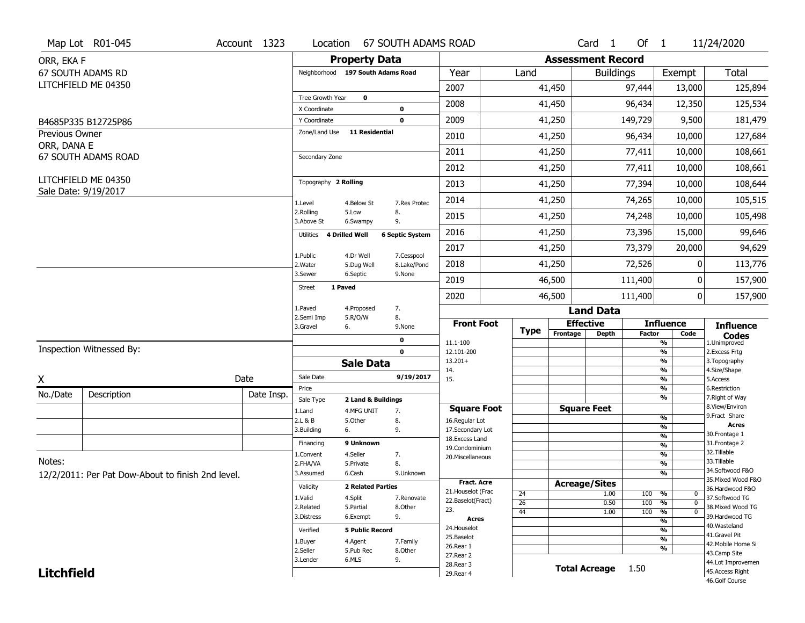|                   | Map Lot R01-045                                   | Account 1323 | Location                         | <b>67 SOUTH ADAMS ROAD</b>        |                           |                                  |                       |                          | Card <sub>1</sub>    | Of $1$        |                          | 11/24/2020                           |
|-------------------|---------------------------------------------------|--------------|----------------------------------|-----------------------------------|---------------------------|----------------------------------|-----------------------|--------------------------|----------------------|---------------|--------------------------|--------------------------------------|
| ORR, EKA F        |                                                   |              |                                  | <b>Property Data</b>              |                           |                                  |                       | <b>Assessment Record</b> |                      |               |                          |                                      |
|                   | 67 SOUTH ADAMS RD                                 |              |                                  | Neighborhood 197 South Adams Road |                           | Year                             | Land                  |                          | <b>Buildings</b>     |               | Exempt                   | <b>Total</b>                         |
|                   | LITCHFIELD ME 04350                               |              |                                  |                                   |                           | 2007                             |                       | 41,450                   |                      | 97,444        | 13,000                   | 125,894                              |
|                   |                                                   |              | Tree Growth Year<br>X Coordinate | $\mathbf 0$                       | 0                         | 2008                             |                       | 41,450                   |                      | 96,434        | 12,350                   | 125,534                              |
|                   | B4685P335 B12725P86                               |              | Y Coordinate                     |                                   | $\mathbf 0$               | 2009                             |                       | 41,250                   |                      | 149,729       | 9,500                    | 181,479                              |
| Previous Owner    |                                                   |              | Zone/Land Use                    | <b>11 Residential</b>             |                           | 2010                             |                       | 41,250                   |                      | 96,434        | 10,000                   | 127,684                              |
| ORR, DANA E       | 67 SOUTH ADAMS ROAD                               |              |                                  |                                   |                           | 2011                             |                       | 41,250                   |                      | 77,411        | 10,000                   | 108,661                              |
|                   |                                                   |              | Secondary Zone                   |                                   |                           | 2012                             |                       | 41,250                   |                      | 77,411        | 10,000                   | 108,661                              |
|                   | LITCHFIELD ME 04350                               |              | Topography 2 Rolling             |                                   |                           | 2013                             |                       | 41,250                   |                      | 77,394        | 10,000                   | 108,644                              |
|                   | Sale Date: 9/19/2017                              |              | 1.Level                          | 4.Below St                        | 7.Res Protec              | 2014                             |                       | 41,250                   |                      | 74,265        | 10,000                   | 105,515                              |
|                   |                                                   |              | 2.Rolling<br>3.Above St          | 5.Low<br>6.Swampy                 | 8.<br>9.                  | 2015                             |                       | 41,250                   |                      | 74,248        | 10,000                   | 105,498                              |
|                   |                                                   |              | Utilities                        | 4 Drilled Well                    | <b>6 Septic System</b>    | 2016                             |                       | 41,250                   |                      | 73,396        | 15,000                   | 99,646                               |
|                   |                                                   |              |                                  |                                   |                           | 2017                             |                       | 41,250                   |                      | 73,379        | 20,000                   | 94,629                               |
|                   |                                                   |              | 1.Public<br>2. Water             | 4.Dr Well<br>5.Dug Well           | 7.Cesspool<br>8.Lake/Pond | 2018                             |                       | 41,250                   |                      | 72,526        | 0                        | 113,776                              |
|                   |                                                   |              | 3.Sewer                          | 6.Septic                          | 9.None                    | 2019                             |                       | 46,500                   |                      | 111,400       | 0                        | 157,900                              |
|                   |                                                   |              | Street                           | 1 Paved                           |                           | 2020                             |                       | 46,500                   |                      | 111,400       | 0                        | 157,900                              |
|                   |                                                   |              | 1.Paved<br>2.Semi Imp            | 4.Proposed<br>5.R/O/W             | 7.<br>8.                  |                                  |                       |                          | <b>Land Data</b>     |               |                          |                                      |
|                   |                                                   |              | 3.Gravel                         | 6.                                | 9.None                    | <b>Front Foot</b>                | <b>Type</b>           | Frontage                 | <b>Effective</b>     | <b>Factor</b> | <b>Influence</b><br>Code | <b>Influence</b>                     |
|                   |                                                   |              |                                  |                                   | $\mathbf 0$               | 11.1-100                         |                       |                          | <b>Depth</b>         |               | $\frac{9}{6}$            | <b>Codes</b><br>1.Unimproved         |
|                   | Inspection Witnessed By:                          |              |                                  | <b>Sale Data</b>                  | $\mathbf 0$               | 12.101-200                       |                       |                          |                      |               | $\frac{9}{6}$            | 2.Excess Frtg<br>3. Topography       |
|                   |                                                   |              |                                  |                                   |                           |                                  |                       |                          |                      |               | $\frac{9}{6}$            |                                      |
| X                 |                                                   |              |                                  |                                   |                           | $13.201+$<br>14.                 |                       |                          |                      |               | %                        | 4.Size/Shape                         |
|                   |                                                   | Date         | Sale Date<br>Price               |                                   | 9/19/2017                 | 15.                              |                       |                          |                      |               | $\frac{9}{6}$            | 5.Access                             |
| No./Date          | Description                                       | Date Insp.   | Sale Type                        | 2 Land & Buildings                |                           |                                  |                       |                          |                      |               | %<br>%                   | 6.Restriction<br>7. Right of Way     |
|                   |                                                   |              | 1.Land                           | 4.MFG UNIT                        | 7.                        | <b>Square Foot</b>               |                       |                          | <b>Square Feet</b>   |               |                          | 8.View/Environ                       |
|                   |                                                   |              | 2.L & B                          | 5.Other                           | 8.                        | 16.Regular Lot                   |                       |                          |                      |               | $\frac{9}{6}$            | 9. Fract Share<br><b>Acres</b>       |
|                   |                                                   |              | 3.Building                       | 6.                                | 9.                        | 17.Secondary Lot                 |                       |                          |                      |               | %<br>%                   | 30. Frontage 1                       |
|                   |                                                   |              | Financing                        | 9 Unknown                         |                           | 18.Excess Land<br>19.Condominium |                       |                          |                      |               | %                        | 31. Frontage 2                       |
|                   |                                                   |              | 1.Convent                        | 4.Seller                          | 7.                        | 20.Miscellaneous                 |                       |                          |                      |               | %                        | 32. Tillable                         |
| Notes:            |                                                   |              | 2.FHA/VA                         | 5.Private                         | 8.                        |                                  |                       |                          |                      |               | %                        | 33.Tillable<br>34.Softwood F&O       |
|                   | 12/2/2011: Per Pat Dow-About to finish 2nd level. |              | 3.Assumed                        | 6.Cash                            | 9.Unknown                 | <b>Fract. Acre</b>               |                       |                          |                      |               | %                        | 35. Mixed Wood F&O                   |
|                   |                                                   |              | Validity                         | <b>2 Related Parties</b>          |                           | 21. Houselot (Frac               |                       |                          | <b>Acreage/Sites</b> |               |                          | 36.Hardwood F&O                      |
|                   |                                                   |              | 1.Valid                          | 4.Split                           | 7.Renovate                | 22.Baselot(Fract)                | 24<br>$\overline{26}$ |                          | 1.00                 | 100           | %<br>0<br>$\mathbf 0$    | 37.Softwood TG                       |
|                   |                                                   |              | 2.Related                        | 5.Partial                         | 8.Other                   | 23.                              | 44                    |                          | 0.50<br>1.00         | 100<br>100    | %<br>%<br>$\mathbf 0$    | 38. Mixed Wood TG                    |
|                   |                                                   |              | 3.Distress                       | 6.Exempt                          | 9.                        | Acres                            |                       |                          |                      |               | %                        | 39.Hardwood TG                       |
|                   |                                                   |              | Verified                         | <b>5 Public Record</b>            |                           | 24. Houselot                     |                       |                          |                      |               | %                        | 40. Wasteland<br>41.Gravel Pit       |
|                   |                                                   |              | 1.Buyer                          | 4.Agent                           | 7.Family                  | 25.Baselot                       |                       |                          |                      |               | %                        | 42. Mobile Home Si                   |
|                   |                                                   |              | 2.Seller                         | 5.Pub Rec                         | 8.0ther                   | 26.Rear 1<br>27. Rear 2          |                       |                          |                      |               | %                        | 43.Camp Site                         |
| <b>Litchfield</b> |                                                   |              | 3.Lender                         | 6.MLS                             | 9.                        | 28. Rear 3<br>29. Rear 4         |                       |                          | Total Acreage 1.50   |               |                          | 44.Lot Improvemen<br>45.Access Right |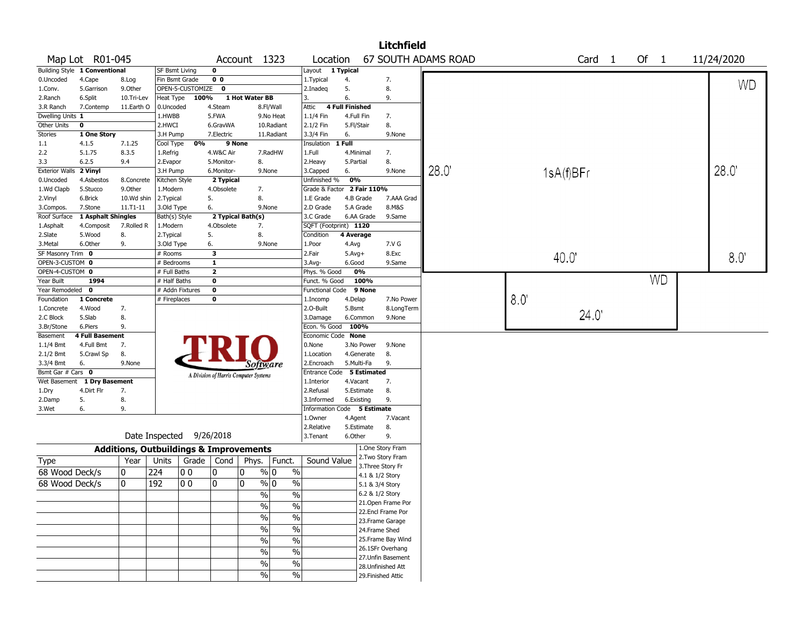|                       |                             |                                                   |                |                  |                |                                       |                          |                             |                        |                 | <b>Litchfield</b>  |                     |      |           |                |           |               |
|-----------------------|-----------------------------|---------------------------------------------------|----------------|------------------|----------------|---------------------------------------|--------------------------|-----------------------------|------------------------|-----------------|--------------------|---------------------|------|-----------|----------------|-----------|---------------|
|                       | Map Lot R01-045             |                                                   |                |                  |                | Account 1323                          |                          | Location                    |                        |                 |                    | 67 SOUTH ADAMS ROAD |      | Card      | $\blacksquare$ | Of $1$    | 11/24/2020    |
| <b>Building Style</b> | 1 Conventional              |                                                   | SF Bsmt Living |                  | 0              |                                       |                          | Layout 1 Typical            |                        |                 |                    |                     |      |           |                |           |               |
| 0.Uncoded             | 4.Cape                      | 8.Log                                             | Fin Bsmt Grade |                  | 0 <sub>0</sub> |                                       |                          | 1. Typical                  | 4.                     |                 | 7.                 |                     |      |           |                |           | <b>WD</b>     |
| 1.Conv.               | 5.Garrison                  | 9.0ther                                           |                | OPEN-5-CUSTOMIZE | $\mathbf 0$    |                                       |                          | 2.Inadeq                    | 5.                     |                 | 8.                 |                     |      |           |                |           |               |
| 2.Ranch               | 6.Split                     | 10.Tri-Lev                                        | Heat Type      | 100%             |                | 1 Hot Water BB                        |                          | 3.                          | 6.                     |                 | 9.                 |                     |      |           |                |           |               |
| 3.R Ranch             | 7.Contemp                   | 11.Earth O                                        | 0.Uncoded      |                  | 4.Steam        |                                       | 8.Fl/Wall                | Attic                       | <b>4 Full Finished</b> |                 |                    |                     |      |           |                |           |               |
| Dwelling Units 1      |                             |                                                   | 1.HWBB         |                  | 5.FWA          |                                       | 9.No Heat                | 1.1/4 Fin                   | 4.Full Fin             |                 | 7.                 |                     |      |           |                |           |               |
| Other Units           | $\mathbf{o}$                |                                                   | 2.HWCI         |                  | 6.GravWA       |                                       | 10.Radiant               | 2.1/2 Fin                   | 5.Fl/Stair             |                 | 8.                 |                     |      |           |                |           |               |
| <b>Stories</b>        | 1 One Story                 |                                                   | 3.H Pump       |                  | 7.Electric     |                                       | 11.Radiant               | 3.3/4 Fin                   | 6.                     |                 | 9.None             |                     |      |           |                |           |               |
| 1.1                   | 4.1.5                       | 7.1.25                                            | Cool Type      | 0%               |                | 9 None                                |                          | Insulation                  | 1 Full                 |                 |                    |                     |      |           |                |           |               |
| 2.2                   | 5.1.75                      | 8.3.5                                             | 1.Refrig       |                  | 4.W&C Air      |                                       | 7.RadHW                  | 1.Full                      | 4.Minimal              |                 | 7.                 |                     |      |           |                |           |               |
| 3.3                   | 6.2.5                       | 9.4                                               | 2.Evapor       |                  | 5.Monitor-     | 8.                                    |                          | 2.Heavy                     | 5.Partial              |                 | 8.                 |                     |      |           |                |           |               |
| <b>Exterior Walls</b> | 2 Vinyl                     |                                                   | 3.H Pump       |                  | 6.Monitor-     |                                       | 9.None                   | 3.Capped                    | 6.                     |                 | 9.None             | 28.0                |      | 1sA(f)BFr |                |           | 28.0          |
| 0.Uncoded             | 4.Asbestos                  | 8.Concrete                                        | Kitchen Style  |                  | 2 Typical      |                                       |                          | Unfinished %                | 0%                     |                 |                    |                     |      |           |                |           |               |
| 1.Wd Clapb            | 5.Stucco                    | 9.0ther                                           | 1.Modern       |                  | 4.Obsolete     | 7.                                    |                          | Grade & Factor              |                        | 2 Fair 110%     |                    |                     |      |           |                |           |               |
| 2.Vinyl               | 6.Brick                     | 10.Wd shin                                        | 2. Typical     |                  | 5.             | 8.                                    |                          | 1.E Grade                   |                        | 4.B Grade       | 7.AAA Grad         |                     |      |           |                |           |               |
| 3.Compos.             | 7.Stone                     | 11.T1-11                                          | 3.Old Type     |                  | 6.             |                                       | 9.None                   | 2.D Grade                   |                        | 5.A Grade       | 8.M&S              |                     |      |           |                |           |               |
| Roof Surface          | 1 Asphalt Shingles          |                                                   | Bath(s) Style  |                  |                | 2 Typical Bath(s)                     |                          | 3.C Grade                   |                        | 6.AA Grade      | 9.Same             |                     |      |           |                |           |               |
| 1.Asphalt             | 4.Composit                  | 7.Rolled R                                        | 1.Modern       |                  | 4.Obsolete     | 7.                                    |                          | SQFT (Footprint) 1120       |                        |                 |                    |                     |      |           |                |           |               |
| 2.Slate               | 5.Wood                      | 8.                                                | 2.Typical      |                  | 5.             | 8.                                    |                          | Condition                   | 4 Average              |                 |                    |                     |      |           |                |           |               |
| 3. Metal              | 6.Other                     | 9.                                                | 3.Old Type     |                  | 6.             |                                       | 9.None                   | 1.Poor                      | 4.Avg                  |                 | 7.V G              |                     |      |           |                |           |               |
| SF Masonry Trim 0     |                             |                                                   | # Rooms        |                  | 3              |                                       |                          | 2.Fair                      | $5.$ Avg $+$           |                 | 8.Exc              |                     |      | 40.0      |                |           | $8.0^{\circ}$ |
| OPEN-3-CUSTOM 0       |                             |                                                   | # Bedrooms     |                  | $\mathbf{1}$   |                                       |                          | 3.Avg-                      | 6.Good                 |                 | 9.Same             |                     |      |           |                |           |               |
| OPEN-4-CUSTOM 0       |                             |                                                   | # Full Baths   |                  | $\overline{2}$ |                                       |                          | Phys. % Good                |                        | 0%              |                    |                     |      |           |                |           |               |
| Year Built            | 1994                        |                                                   | # Half Baths   |                  | 0              |                                       |                          | Funct. % Good               |                        | 100%            |                    |                     |      |           |                | <b>WD</b> |               |
| Year Remodeled        | $\mathbf{o}$                |                                                   |                | # Addn Fixtures  | $\mathbf 0$    |                                       |                          | <b>Functional Code</b>      |                        | 9 None          |                    |                     |      |           |                |           |               |
| Foundation            | 1 Concrete                  |                                                   | # Fireplaces   |                  | 0              |                                       |                          | 1.Incomp                    | 4.Delap                |                 | 7.No Power         |                     | 8.0' |           |                |           |               |
| 1.Concrete            | 4.Wood                      | 7.                                                |                |                  |                |                                       |                          | 2.O-Built                   | 5.Bsmt                 |                 | 8.LongTerm         |                     |      |           |                |           |               |
| 2.C Block             | 5.Slab                      | 8.                                                |                |                  |                |                                       |                          | 3.Damage                    |                        | 6.Common        | 9.None             |                     |      | 24.0'     |                |           |               |
| 3.Br/Stone            | 6.Piers                     | 9.                                                |                |                  |                |                                       |                          | Econ. % Good                | 100%                   |                 |                    |                     |      |           |                |           |               |
| Basement              | <b>4 Full Basement</b>      |                                                   |                |                  |                |                                       |                          | Economic Code None          |                        |                 |                    |                     |      |           |                |           |               |
| 1.1/4 Bmt             | 4.Full Bmt                  | 7.                                                |                |                  |                |                                       |                          | 0.None                      |                        | 3.No Power      | 9.None             |                     |      |           |                |           |               |
| 2.1/2 Bmt             | 5.Crawl Sp                  | 8.                                                |                |                  |                |                                       |                          | 1.Location                  |                        | 4.Generate      | 8.                 |                     |      |           |                |           |               |
| 3.3/4 Bmt             | 6.                          | 9.None                                            |                |                  |                | Software                              |                          | 2.Encroach                  |                        | 5.Multi-Fa      | 9.                 |                     |      |           |                |           |               |
| Bsmt Gar # Cars 0     |                             |                                                   |                |                  |                | A Division of Harris Computer Systems |                          | Entrance Code 5 Estimated   |                        |                 |                    |                     |      |           |                |           |               |
|                       | Wet Basement 1 Dry Basement |                                                   |                |                  |                |                                       |                          | 1.Interior                  | 4.Vacant               |                 | 7.                 |                     |      |           |                |           |               |
| 1.Dry                 | 4.Dirt Flr                  | 7.                                                |                |                  |                |                                       |                          | 2.Refusal                   |                        | 5.Estimate      | 8.                 |                     |      |           |                |           |               |
| 2.Damp                | 5.                          | 8.                                                |                |                  |                |                                       |                          | 3.Informed                  |                        | 6.Existing      | 9.                 |                     |      |           |                |           |               |
| 3.Wet                 | 6.                          | 9.                                                |                |                  |                |                                       |                          | Information Code 5 Estimate |                        |                 |                    |                     |      |           |                |           |               |
|                       |                             |                                                   |                |                  |                |                                       |                          | 1.0wner                     | 4.Agent                |                 | 7.Vacant           |                     |      |           |                |           |               |
|                       |                             |                                                   |                |                  |                |                                       |                          | 2.Relative                  |                        | 5.Estimate      | 8.                 |                     |      |           |                |           |               |
|                       |                             |                                                   | Date Inspected |                  | 9/26/2018      |                                       |                          | 3.Tenant                    | 6.Other                |                 | 9.                 |                     |      |           |                |           |               |
|                       |                             | <b>Additions, Outbuildings &amp; Improvements</b> |                |                  |                |                                       |                          |                             |                        |                 | 1.One Story Fram   |                     |      |           |                |           |               |
| Type                  |                             | Year                                              | Units          |                  | Grade   Cond   | Phys.                                 | Funct.                   | Sound Value                 |                        |                 | 2. Two Story Fram  |                     |      |           |                |           |               |
| 68 Wood Deck/s        |                             | 0                                                 | 224            | O O              | 10             | 0                                     | $\frac{9}{0}$ 0<br>$\%$  |                             |                        |                 | 3. Three Story Fr  |                     |      |           |                |           |               |
| 68 Wood Deck/s        |                             | 0                                                 | 192            | O 0              | 10             | 0                                     | $\frac{9}{0}$ 0<br>$\%$  |                             |                        |                 | 4.1 & 1/2 Story    |                     |      |           |                |           |               |
|                       |                             |                                                   |                |                  |                |                                       |                          |                             |                        | 5.1 & 3/4 Story |                    |                     |      |           |                |           |               |
|                       |                             |                                                   |                |                  |                | $\%$                                  | $\frac{0}{0}$            |                             |                        | 6.2 & 1/2 Story |                    |                     |      |           |                |           |               |
|                       |                             |                                                   |                |                  |                | $\frac{0}{0}$                         | $\frac{0}{0}$            |                             |                        |                 | 21. Open Frame Por |                     |      |           |                |           |               |
|                       |                             |                                                   |                |                  |                | $\frac{9}{6}$                         | $\overline{\frac{0}{0}}$ |                             |                        |                 | 22.Encl Frame Por  |                     |      |           |                |           |               |
|                       |                             |                                                   |                |                  |                |                                       | $\overline{\frac{0}{0}}$ |                             |                        |                 | 23. Frame Garage   |                     |      |           |                |           |               |
|                       |                             |                                                   |                |                  |                | $\frac{1}{2}$                         |                          |                             |                        |                 | 24.Frame Shed      |                     |      |           |                |           |               |
|                       |                             |                                                   |                |                  |                | $\frac{1}{2}$                         | $\overline{\frac{0}{0}}$ |                             |                        |                 | 25. Frame Bay Wind |                     |      |           |                |           |               |
|                       |                             |                                                   |                |                  |                | %                                     | $\overline{\frac{0}{0}}$ |                             |                        |                 | 26.1SFr Overhang   |                     |      |           |                |           |               |
|                       |                             |                                                   |                |                  |                | $\frac{0}{0}$                         | $\overline{\frac{0}{0}}$ |                             |                        |                 | 27.Unfin Basement  |                     |      |           |                |           |               |
|                       |                             |                                                   |                |                  |                |                                       |                          |                             |                        |                 | 28. Unfinished Att |                     |      |           |                |           |               |
|                       |                             |                                                   |                |                  |                | %                                     | %                        |                             |                        |                 | 29. Finished Attic |                     |      |           |                |           |               |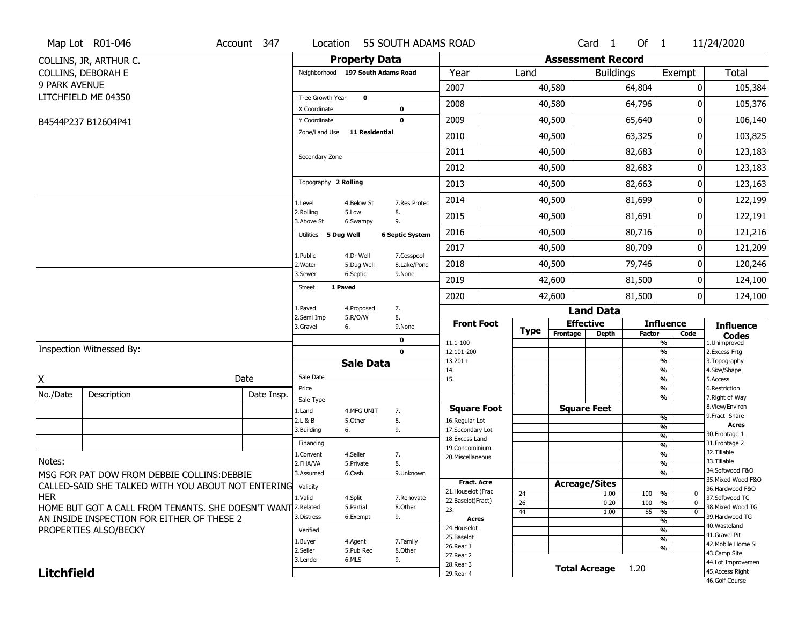|                   | Map Lot R01-046                                                          | Account 347 | Location                |                                   | 55 SOUTH ADAMS ROAD    |                                  |             |                          | Card 1               | Of $1$        |                                    | 11/24/2020                           |
|-------------------|--------------------------------------------------------------------------|-------------|-------------------------|-----------------------------------|------------------------|----------------------------------|-------------|--------------------------|----------------------|---------------|------------------------------------|--------------------------------------|
|                   | COLLINS, JR, ARTHUR C.                                                   |             |                         | <b>Property Data</b>              |                        |                                  |             | <b>Assessment Record</b> |                      |               |                                    |                                      |
|                   | COLLINS, DEBORAH E                                                       |             |                         | Neighborhood 197 South Adams Road |                        | Year                             | Land        |                          | <b>Buildings</b>     |               | Exempt                             | <b>Total</b>                         |
| 9 PARK AVENUE     |                                                                          |             |                         |                                   |                        | 2007                             |             | 40,580                   |                      | 64,804        | 0                                  | 105,384                              |
|                   | LITCHFIELD ME 04350                                                      |             | Tree Growth Year        | $\mathbf 0$                       |                        | 2008                             |             | 40,580                   |                      | 64,796        | 0                                  | 105,376                              |
|                   |                                                                          |             | X Coordinate            |                                   | $\bf{0}$               |                                  |             |                          |                      |               |                                    |                                      |
|                   | B4544P237 B12604P41                                                      |             | Y Coordinate            |                                   | $\mathbf 0$            | 2009                             |             | 40,500                   |                      | 65,640        | 0                                  | 106,140                              |
|                   |                                                                          |             | Zone/Land Use           | <b>11 Residential</b>             |                        | 2010                             |             | 40,500                   |                      | 63,325        | 0                                  | 103,825                              |
|                   |                                                                          |             | Secondary Zone          |                                   |                        | 2011                             |             | 40,500                   |                      | 82,683        | 0                                  | 123,183                              |
|                   |                                                                          |             |                         |                                   |                        | 2012                             |             | 40,500                   |                      | 82,683        | 0                                  | 123,183                              |
|                   |                                                                          |             | Topography 2 Rolling    |                                   |                        | 2013                             |             | 40,500                   |                      | 82,663        | 0                                  | 123,163                              |
|                   |                                                                          |             | 1.Level                 | 4.Below St                        | 7.Res Protec           | 2014                             |             | 40,500                   |                      | 81,699        | 0                                  | 122,199                              |
|                   |                                                                          |             | 2.Rolling<br>3.Above St | 5.Low<br>6.Swampy                 | 8.<br>9.               | 2015                             |             | 40,500                   |                      | 81,691        | 0                                  | 122,191                              |
|                   |                                                                          |             | Utilities 5 Dug Well    |                                   | <b>6 Septic System</b> | 2016                             |             | 40,500                   |                      | 80,716        | 0                                  | 121,216                              |
|                   |                                                                          |             |                         |                                   | 7.Cesspool             | 2017                             |             | 40,500                   |                      | 80,709        | 0                                  | 121,209                              |
|                   |                                                                          |             | 1.Public<br>2. Water    | 4.Dr Well<br>5.Dug Well           | 8.Lake/Pond            | 2018                             |             | 40,500                   |                      | 79,746        | 0                                  | 120,246                              |
|                   |                                                                          |             | 3.Sewer                 | 6.Septic                          | 9.None                 | 2019                             |             | 42,600                   |                      | 81,500        | 0                                  | 124,100                              |
|                   |                                                                          |             | Street                  | 1 Paved                           |                        | 2020                             |             | 42,600                   |                      | 81,500        | 0                                  | 124,100                              |
|                   |                                                                          |             | 1.Paved                 | 4.Proposed                        | 7.                     |                                  |             |                          | <b>Land Data</b>     |               |                                    |                                      |
|                   |                                                                          |             | 2.Semi Imp<br>3.Gravel  | 5.R/O/W<br>6.                     | 8.<br>9.None           | <b>Front Foot</b>                | <b>Type</b> | <b>Effective</b>         |                      |               | <b>Influence</b>                   | <b>Influence</b>                     |
|                   |                                                                          |             |                         |                                   | 0                      | 11.1-100                         |             | Frontage                 | <b>Depth</b>         | <b>Factor</b> | Code<br>%                          | <b>Codes</b><br>1.Unimproved         |
|                   | Inspection Witnessed By:                                                 |             |                         |                                   | $\mathbf 0$            | 12.101-200                       |             |                          |                      |               | $\frac{9}{6}$                      | 2. Excess Frtg                       |
|                   |                                                                          |             |                         | <b>Sale Data</b>                  |                        | $13.201+$<br>14.                 |             |                          |                      |               | %<br>%                             | 3. Topography<br>4.Size/Shape        |
| X                 |                                                                          | Date        | Sale Date               |                                   |                        | 15.                              |             |                          |                      |               | $\frac{9}{6}$                      | 5.Access                             |
| No./Date          | Description                                                              | Date Insp.  | Price                   |                                   |                        |                                  |             |                          |                      |               | $\frac{9}{6}$<br>%                 | 6.Restriction<br>7. Right of Way     |
|                   |                                                                          |             | Sale Type<br>1.Land     | 4.MFG UNIT                        | 7.                     | <b>Square Foot</b>               |             |                          | <b>Square Feet</b>   |               |                                    | 8.View/Environ                       |
|                   |                                                                          |             | 2.L & B                 | 5.0ther                           | 8.                     | 16.Regular Lot                   |             |                          |                      |               | $\frac{9}{6}$                      | 9.Fract Share                        |
|                   |                                                                          |             | 3.Building              | 6.                                | 9.                     | 17.Secondary Lot                 |             |                          |                      |               | $\frac{9}{6}$<br>$\frac{9}{6}$     | <b>Acres</b><br>30. Frontage 1       |
|                   |                                                                          |             | Financing               |                                   |                        | 18.Excess Land<br>19.Condominium |             |                          |                      |               | $\frac{9}{6}$                      | 31. Frontage 2                       |
|                   |                                                                          |             | 1.Convent               | 4.Seller                          | 7.                     | 20.Miscellaneous                 |             |                          |                      |               | $\frac{9}{6}$                      | 32. Tillable                         |
| Notes:            |                                                                          |             | 2.FHA/VA                | 5.Private                         | 8.                     |                                  |             |                          |                      |               | $\frac{9}{6}$                      | 33.Tillable<br>34.Softwood F&O       |
|                   | MSG FOR PAT DOW FROM DEBBIE COLLINS: DEBBIE                              |             | 3.Assumed               | 6.Cash                            | 9.Unknown              | Fract. Acre                      |             |                          |                      |               | $\overline{\frac{9}{6}}$           | 35. Mixed Wood F&O                   |
|                   | CALLED-SAID SHE TALKED WITH YOU ABOUT NOT ENTERING Validity              |             |                         |                                   |                        | 21. Houselot (Frac               |             | <b>Acreage/Sites</b>     |                      |               | 0                                  | 36.Hardwood F&O                      |
| <b>HER</b>        |                                                                          |             | 1.Valid                 | 4.Split                           | 7.Renovate             | 22.Baselot(Fract)                | 24<br>26    |                          | 1.00<br>0.20         | 100<br>100    | %<br>$\frac{9}{6}$<br>$\mathbf{0}$ | 37.Softwood TG                       |
|                   | HOME BUT GOT A CALL FROM TENANTS. SHE DOESN'T WANT <sup>[2.Related</sup> |             |                         | 5.Partial                         | 8.Other                | 23.                              | 44          |                          | 1.00                 | 85            | %<br>$\mathbf 0$                   | 38. Mixed Wood TG                    |
|                   | AN INSIDE INSPECTION FOR EITHER OF THESE 2                               |             | 3.Distress              | 6.Exempt                          | 9.                     | <b>Acres</b>                     |             |                          |                      |               | %                                  | 39.Hardwood TG<br>40. Wasteland      |
|                   | PROPERTIES ALSO/BECKY                                                    |             | Verified                |                                   |                        | 24. Houselot                     |             |                          |                      |               | %                                  | 41.Gravel Pit                        |
|                   |                                                                          |             | 1.Buyer                 | 4.Agent                           | 7.Family               | 25.Baselot<br>26.Rear 1          |             |                          |                      |               | $\frac{9}{6}$                      | 42. Mobile Home Si                   |
|                   |                                                                          |             | 2.Seller                | 5.Pub Rec                         | 8.Other                |                                  |             |                          |                      |               | %                                  | 43.Camp Site                         |
|                   |                                                                          |             |                         |                                   |                        | 27.Rear 2                        |             |                          |                      |               |                                    |                                      |
| <b>Litchfield</b> |                                                                          |             | 3.Lender                | 6.MLS                             | 9.                     | 28. Rear 3<br>29. Rear 4         |             |                          | <b>Total Acreage</b> | 1.20          |                                    | 44.Lot Improvemen<br>45.Access Right |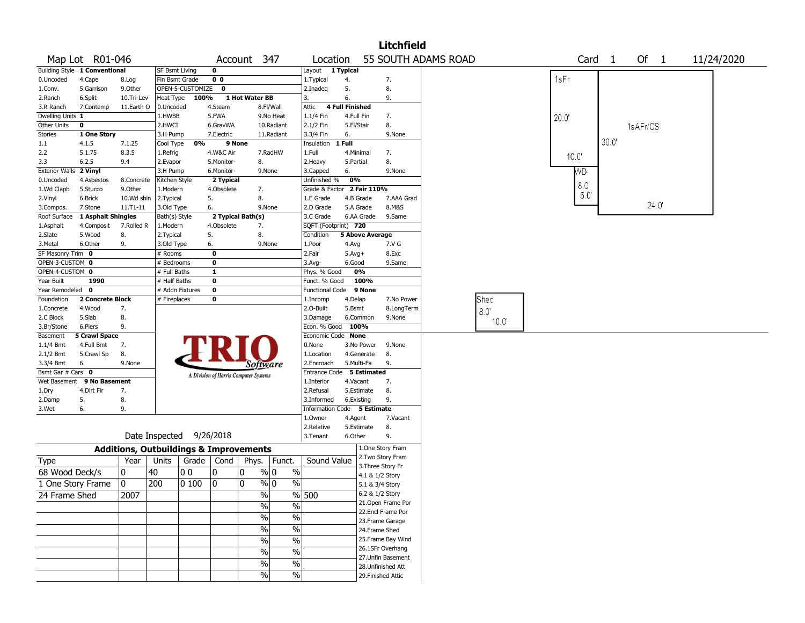|                       |                               |              |                                                   |                  |                                       |                   |                |                             |                        |            | Litchfield         |                     |       |                |                   |          |        |            |  |
|-----------------------|-------------------------------|--------------|---------------------------------------------------|------------------|---------------------------------------|-------------------|----------------|-----------------------------|------------------------|------------|--------------------|---------------------|-------|----------------|-------------------|----------|--------|------------|--|
|                       | Map Lot R01-046               |              |                                                   |                  |                                       | Account 347       |                | Location                    |                        |            |                    | 55 SOUTH ADAMS ROAD |       |                | Card <sub>1</sub> |          | Of $1$ | 11/24/2020 |  |
|                       | Building Style 1 Conventional |              | SF Bsmt Living                                    |                  | 0                                     |                   |                | Layout 1 Typical            |                        |            |                    |                     |       |                |                   |          |        |            |  |
| 0.Uncoded             | 4.Cape                        | 8.Log        | Fin Bsmt Grade                                    |                  | 0 <sub>0</sub>                        |                   |                | 1. Typical                  | 4.                     |            | 7.                 |                     |       | 1sFr           |                   |          |        |            |  |
| 1.Conv.               | 5.Garrison                    | 9.Other      |                                                   | OPEN-5-CUSTOMIZE | $\mathbf 0$                           |                   |                | 2.Inadeq                    | 5.                     |            | 8.                 |                     |       |                |                   |          |        |            |  |
| 2.Ranch               | 6.Split                       | 10.Tri-Lev   | Heat Type                                         | 100%             |                                       | 1 Hot Water BB    |                | 3.                          | 6.                     |            | 9.                 |                     |       |                |                   |          |        |            |  |
| 3.R Ranch             | 7.Contemp                     | 11.Earth O   | 0.Uncoded                                         |                  | 4.Steam                               |                   | 8.Fl/Wall      | Attic                       | <b>4 Full Finished</b> |            |                    |                     |       |                |                   |          |        |            |  |
| Dwelling Units 1      |                               |              | 1.HWBB                                            |                  | 5.FWA                                 |                   | 9.No Heat      | 1.1/4 Fin                   |                        | 4.Full Fin | 7.                 |                     |       | 20.0"          |                   |          |        |            |  |
| Other Units           | 0                             |              | 2.HWCI                                            |                  | 6.GravWA                              |                   | 10.Radiant     | 2.1/2 Fin                   |                        | 5.Fl/Stair | 8.                 |                     |       |                |                   | 1sAFr/CS |        |            |  |
| Stories               | 1 One Story                   |              | 3.H Pump                                          |                  | 7.Electric                            |                   | 11.Radiant     | 3.3/4 Fin                   | 6.                     |            | 9.None             |                     |       |                |                   |          |        |            |  |
| 1.1                   | 4.1.5                         | 7.1.25       | Cool Type                                         | 0%               |                                       | 9 None            |                | Insulation                  | 1 Full                 |            |                    |                     |       |                | 30.0              |          |        |            |  |
| 2.2                   | 5.1.75                        | 8.3.5        | 1.Refrig                                          |                  | 4.W&C Air                             |                   | 7.RadHW        | 1.Full                      |                        | 4.Minimal  | 7.                 |                     |       | $10.0^{\circ}$ |                   |          |        |            |  |
| 3.3                   | 6.2.5                         | 9.4          | 2.Evapor                                          |                  | 5.Monitor-                            | 8.                |                | 2. Heavy                    | 5.Partial              |            | 8.                 |                     |       |                |                   |          |        |            |  |
| <b>Exterior Walls</b> | 2 Vinyl                       |              | 3.H Pump                                          |                  | 6.Monitor-                            |                   | 9.None         | 3.Capped                    | 6.                     |            | 9.None             |                     |       | <b>MD</b>      |                   |          |        |            |  |
| 0.Uncoded             | 4.Asbestos                    | 8.Concrete   | Kitchen Style                                     |                  | 2 Typical                             |                   |                | Unfinished %                | 0%                     |            |                    |                     |       | 8.0            |                   |          |        |            |  |
| 1.Wd Clapb            | 5.Stucco                      | 9.Other      | 1.Modern                                          |                  | 4.Obsolete                            | 7.                |                | Grade & Factor 2 Fair 110%  |                        |            |                    |                     |       |                |                   |          |        |            |  |
| 2.Vinyl               | 6.Brick                       | 10.Wd shin   | 2. Typical                                        |                  | 5.                                    | 8.                |                | 1.E Grade                   |                        | 4.B Grade  | 7.AAA Grad         |                     |       | 5.0            |                   |          |        |            |  |
| 3.Compos.             | 7.Stone                       | $11.71 - 11$ | 3.Old Type                                        |                  | 6.                                    |                   | 9.None         | 2.D Grade                   |                        | 5.A Grade  | 8.M&S              |                     |       |                |                   |          | 24.0'  |            |  |
| Roof Surface          | 1 Asphalt Shingles            |              | Bath(s) Style                                     |                  |                                       | 2 Typical Bath(s) |                | 3.C Grade                   |                        | 6.AA Grade | 9.Same             |                     |       |                |                   |          |        |            |  |
| 1.Asphalt             | 4.Composit                    | 7.Rolled R   | 1.Modern                                          |                  | 4.Obsolete                            | 7.                |                | SQFT (Footprint) 720        |                        |            |                    |                     |       |                |                   |          |        |            |  |
| 2.Slate               | 5.Wood                        | 8.           | 2.Typical                                         |                  | 5.                                    | 8.                |                | Condition                   |                        |            | 5 Above Average    |                     |       |                |                   |          |        |            |  |
| 3.Metal               | 6.Other                       | 9.           | 3.Old Type                                        |                  | 6.                                    |                   | 9.None         | 1.Poor                      | 4.Avg                  |            | 7.V G              |                     |       |                |                   |          |        |            |  |
| SF Masonry Trim 0     |                               |              | # Rooms                                           |                  | 0                                     |                   |                | 2.Fair                      | $5.Avg+$               |            | 8.Exc              |                     |       |                |                   |          |        |            |  |
| OPEN-3-CUSTOM 0       |                               |              | <sup>#</sup> Bedrooms                             |                  | 0                                     |                   |                | 3.Avg-                      | 6.Good                 |            | 9.Same             |                     |       |                |                   |          |        |            |  |
| OPEN-4-CUSTOM 0       |                               |              | # Full Baths                                      |                  | 1                                     |                   |                | Phys. % Good                |                        | 0%         |                    |                     |       |                |                   |          |        |            |  |
| Year Built            | 1990                          |              | # Half Baths                                      |                  | 0                                     |                   |                | Funct. % Good               |                        | 100%       |                    |                     |       |                |                   |          |        |            |  |
| Year Remodeled 0      |                               |              | # Addn Fixtures                                   |                  | $\mathbf 0$                           |                   |                | <b>Functional Code</b>      |                        | 9 None     |                    |                     |       |                |                   |          |        |            |  |
| Foundation            | 2 Concrete Block              |              | # Fireplaces                                      |                  | 0                                     |                   |                | 1.Incomp                    | 4.Delap                |            | 7.No Power         |                     | Shed  |                |                   |          |        |            |  |
| 1.Concrete            | 4.Wood                        | 7.           |                                                   |                  |                                       |                   |                | 2.O-Built                   | 5.Bsmt                 |            | 8.LongTerm         |                     | 8.0   |                |                   |          |        |            |  |
| 2.C Block             | 5.Slab                        | 8.           |                                                   |                  |                                       |                   |                | 3.Damage                    |                        | 6.Common   | 9.None             |                     | 10.0' |                |                   |          |        |            |  |
| 3.Br/Stone            | 6.Piers                       | 9.           |                                                   |                  |                                       |                   |                | Econ. % Good                |                        | 100%       |                    |                     |       |                |                   |          |        |            |  |
| Basement              | <b>5 Crawl Space</b>          |              |                                                   |                  |                                       |                   |                | Economic Code None          |                        |            |                    |                     |       |                |                   |          |        |            |  |
| $1.1/4$ Bmt           | 4.Full Bmt                    | 7.           |                                                   |                  |                                       |                   |                | 0.None                      |                        | 3.No Power | 9.None             |                     |       |                |                   |          |        |            |  |
| 2.1/2 Bmt             | 5.Crawl Sp                    | 8.           |                                                   |                  |                                       |                   |                | 1.Location                  |                        | 4.Generate | 8.                 |                     |       |                |                   |          |        |            |  |
| 3.3/4 Bmt             | 6.                            | 9.None       |                                                   |                  |                                       | Software          |                | 2.Encroach                  |                        | 5.Multi-Fa | 9.                 |                     |       |                |                   |          |        |            |  |
| Bsmt Gar # Cars 0     |                               |              |                                                   |                  | A Division of Harris Computer Systems |                   |                | Entrance Code 5 Estimated   |                        |            |                    |                     |       |                |                   |          |        |            |  |
| Wet Basement          | 9 No Basement                 |              |                                                   |                  |                                       |                   |                | 1.Interior                  |                        | 4.Vacant   | 7.                 |                     |       |                |                   |          |        |            |  |
| 1.Dry                 | 4.Dirt Flr                    | 7.           |                                                   |                  |                                       |                   |                | 2.Refusal                   |                        | 5.Estimate | 8.                 |                     |       |                |                   |          |        |            |  |
| 2.Damp                | 5.                            | 8.           |                                                   |                  |                                       |                   |                | 3.Informed                  |                        | 6.Existing | 9.                 |                     |       |                |                   |          |        |            |  |
| 3.Wet                 | 6.                            | 9.           |                                                   |                  |                                       |                   |                | Information Code 5 Estimate |                        |            |                    |                     |       |                |                   |          |        |            |  |
|                       |                               |              |                                                   |                  |                                       |                   |                | 1.Owner                     | 4.Agent                |            | 7.Vacant           |                     |       |                |                   |          |        |            |  |
|                       |                               |              |                                                   |                  |                                       |                   |                | 2.Relative                  |                        | 5.Estimate | 8.                 |                     |       |                |                   |          |        |            |  |
|                       |                               |              | Date Inspected 9/26/2018                          |                  |                                       |                   |                | 3. Tenant                   | 6.Other                |            | 9.                 |                     |       |                |                   |          |        |            |  |
|                       |                               |              | <b>Additions, Outbuildings &amp; Improvements</b> |                  |                                       |                   |                |                             |                        |            | 1.One Story Fram   |                     |       |                |                   |          |        |            |  |
| Type                  |                               | Year         | Units                                             |                  | Grade   Cond                          |                   | Phys.   Funct. | Sound Value                 |                        |            | 2. Two Story Fram  |                     |       |                |                   |          |        |            |  |
| 68 Wood Deck/s        |                               | 0            | 40                                                | 00               | 10                                    | 0                 | $\%$ 0         | $\%$                        |                        |            | 3. Three Story Fr  |                     |       |                |                   |          |        |            |  |
|                       |                               |              |                                                   |                  |                                       |                   |                |                             |                        |            | 4.1 & 1/2 Story    |                     |       |                |                   |          |        |            |  |
| 1 One Story Frame     |                               | 10           | 200                                               | 0 100            | 10                                    | 0                 | % 0            | $\%$                        |                        |            | 5.1 & 3/4 Story    |                     |       |                |                   |          |        |            |  |
| 24 Frame Shed         |                               | 2007         |                                                   |                  |                                       |                   | $\frac{1}{2}$  | % 500                       |                        |            | 6.2 & 1/2 Story    |                     |       |                |                   |          |        |            |  |
|                       |                               |              |                                                   |                  |                                       | %                 |                | %                           |                        |            | 21.Open Frame Por  |                     |       |                |                   |          |        |            |  |
|                       |                               |              |                                                   |                  |                                       |                   | $\frac{0}{0}$  | $\%$                        |                        |            | 22.Encl Frame Por  |                     |       |                |                   |          |        |            |  |
|                       |                               |              |                                                   |                  |                                       |                   |                |                             |                        |            | 23. Frame Garage   |                     |       |                |                   |          |        |            |  |
|                       |                               |              |                                                   |                  |                                       | $\%$              |                | $\%$                        |                        |            | 24.Frame Shed      |                     |       |                |                   |          |        |            |  |
|                       |                               |              |                                                   |                  |                                       | $\%$              |                | $\%$                        |                        |            | 25. Frame Bay Wind |                     |       |                |                   |          |        |            |  |
|                       |                               |              |                                                   |                  |                                       | $\%$              |                | $\%$                        |                        |            | 26.1SFr Overhang   |                     |       |                |                   |          |        |            |  |
|                       |                               |              |                                                   |                  |                                       |                   |                |                             |                        |            | 27.Unfin Basement  |                     |       |                |                   |          |        |            |  |
|                       |                               |              |                                                   |                  |                                       | %                 |                | $\frac{1}{2}$               |                        |            | 28. Unfinished Att |                     |       |                |                   |          |        |            |  |
|                       |                               |              |                                                   |                  |                                       | $\%$              |                | %                           |                        |            | 29. Finished Attic |                     |       |                |                   |          |        |            |  |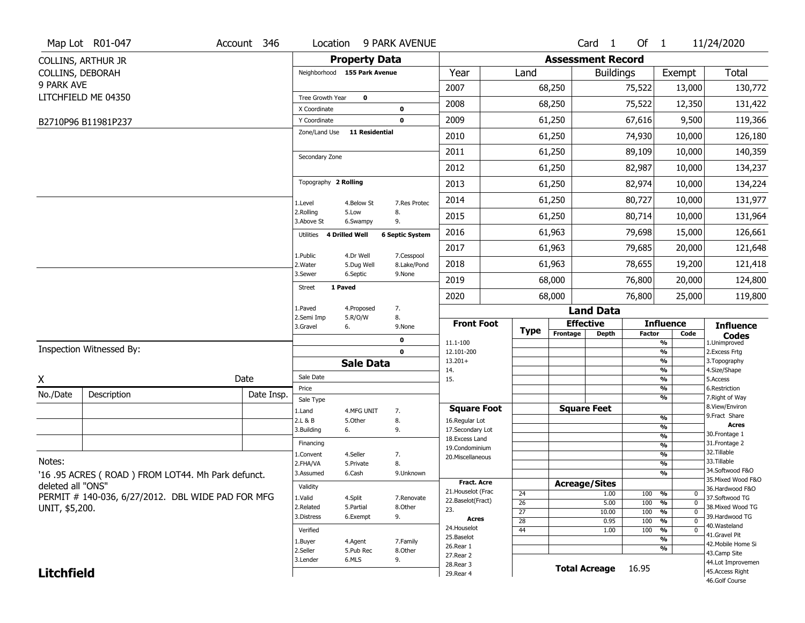|                   | Map Lot R01-047                                   | Account 346 | Location                     |                       | 9 PARK AVENUE          |                                     |                 |                          | Card <sub>1</sub>    | Of $1$        |                                           | 11/24/2020                           |
|-------------------|---------------------------------------------------|-------------|------------------------------|-----------------------|------------------------|-------------------------------------|-----------------|--------------------------|----------------------|---------------|-------------------------------------------|--------------------------------------|
|                   | <b>COLLINS, ARTHUR JR</b>                         |             |                              | <b>Property Data</b>  |                        |                                     |                 | <b>Assessment Record</b> |                      |               |                                           |                                      |
|                   | COLLINS, DEBORAH                                  |             | Neighborhood 155 Park Avenue |                       |                        | Year                                | Land            |                          | <b>Buildings</b>     |               | Exempt                                    | Total                                |
| 9 PARK AVE        |                                                   |             |                              |                       |                        | 2007                                |                 | 68,250                   |                      | 75,522        | 13,000                                    | 130,772                              |
|                   | LITCHFIELD ME 04350                               |             | Tree Growth Year             | 0                     |                        | 2008                                |                 | 68,250                   |                      | 75,522        | 12,350                                    | 131,422                              |
|                   |                                                   |             | X Coordinate<br>Y Coordinate |                       | 0<br>$\mathbf 0$       | 2009                                |                 | 61,250                   |                      | 67,616        | 9,500                                     | 119,366                              |
|                   | B2710P96 B11981P237                               |             | Zone/Land Use                | 11 Residential        |                        | 2010                                |                 | 61,250                   |                      | 74,930        | 10,000                                    | 126,180                              |
|                   |                                                   |             |                              |                       |                        | 2011                                |                 | 61,250                   |                      | 89,109        | 10,000                                    | 140,359                              |
|                   |                                                   |             | Secondary Zone               |                       |                        |                                     |                 |                          |                      |               |                                           |                                      |
|                   |                                                   |             |                              |                       |                        | 2012                                |                 | 61,250                   |                      | 82,987        | 10,000                                    | 134,237                              |
|                   |                                                   |             | Topography 2 Rolling         |                       |                        | 2013                                |                 | 61,250                   |                      | 82,974        | 10,000                                    | 134,224                              |
|                   |                                                   |             | 1.Level                      | 4.Below St            | 7.Res Protec           | 2014                                |                 | 61,250                   |                      | 80,727        | 10,000                                    | 131,977                              |
|                   |                                                   |             | 2.Rolling<br>3.Above St      | 5.Low<br>6.Swampy     | 8.<br>9.               | 2015                                |                 | 61,250                   |                      | 80,714        | 10,000                                    | 131,964                              |
|                   |                                                   |             | 4 Drilled Well<br>Utilities  |                       | <b>6 Septic System</b> | 2016                                |                 | 61,963                   |                      | 79,698        | 15,000                                    | 126,661                              |
|                   |                                                   |             | 1.Public                     | 4.Dr Well             | 7.Cesspool             | 2017                                |                 | 61,963                   |                      | 79,685        | 20,000                                    | 121,648                              |
|                   |                                                   |             | 2. Water                     | 5.Dug Well            | 8.Lake/Pond            | 2018                                |                 | 61,963                   |                      | 78,655        | 19,200                                    | 121,418                              |
|                   |                                                   |             | 3.Sewer                      | 6.Septic              | 9.None                 | 2019                                |                 | 68,000                   |                      | 76,800        | 20,000                                    | 124,800                              |
|                   |                                                   |             | <b>Street</b><br>1 Paved     |                       |                        | 2020                                |                 | 68,000                   |                      | 76,800        | 25,000                                    | 119,800                              |
|                   |                                                   |             | 1.Paved                      | 4.Proposed            | 7.                     |                                     |                 |                          | <b>Land Data</b>     |               |                                           |                                      |
|                   |                                                   |             | 2.Semi Imp<br>3.Gravel       | 5.R/O/W<br>6.         | 8.<br>9.None           | <b>Front Foot</b>                   |                 | <b>Effective</b>         |                      |               | <b>Influence</b>                          | <b>Influence</b>                     |
|                   |                                                   |             |                              |                       | 0                      | 11.1-100                            | <b>Type</b>     | Frontage                 | <b>Depth</b>         | <b>Factor</b> | Code<br>$\overline{\frac{9}{6}}$          | <b>Codes</b><br>1.Unimproved         |
|                   | Inspection Witnessed By:                          |             |                              |                       | $\mathbf 0$            | 12.101-200                          |                 |                          |                      |               | $\frac{9}{6}$                             | 2.Excess Frtg                        |
|                   |                                                   |             |                              | <b>Sale Data</b>      |                        | $13.201+$<br>14.                    |                 |                          |                      |               | $\frac{9}{6}$<br>$\frac{9}{6}$            | 3. Topography<br>4.Size/Shape        |
| X                 |                                                   | Date        | Sale Date                    |                       |                        | 15.                                 |                 |                          |                      |               | $\overline{\frac{9}{6}}$                  | 5.Access                             |
| No./Date          | Description                                       | Date Insp.  | Price<br>Sale Type           |                       |                        |                                     |                 |                          |                      |               | $\frac{9}{6}$<br>$\overline{\frac{9}{6}}$ | 6.Restriction<br>7. Right of Way     |
|                   |                                                   |             | 1.Land                       | 4.MFG UNIT            | 7.                     | <b>Square Foot</b>                  |                 | <b>Square Feet</b>       |                      |               |                                           | 8.View/Environ<br>9.Fract Share      |
|                   |                                                   |             | 2.L & B                      | 5.Other               | 8.                     | 16.Regular Lot                      |                 |                          |                      |               | $\frac{9}{6}$<br>$\frac{9}{6}$            | <b>Acres</b>                         |
|                   |                                                   |             | 3.Building                   | 6.                    | 9.                     | 17.Secondary Lot<br>18. Excess Land |                 |                          |                      |               | $\frac{9}{6}$                             | 30. Frontage 1                       |
|                   |                                                   |             | Financing                    |                       |                        | 19.Condominium                      |                 |                          |                      |               | $\frac{9}{6}$                             | 31. Frontage 2<br>32.Tillable        |
| Notes:            |                                                   |             | 1.Convent<br>2.FHA/VA        | 4.Seller<br>5.Private | 7.<br>8.               | 20.Miscellaneous                    |                 |                          |                      |               | $\frac{9}{6}$<br>%                        | 33.Tillable                          |
|                   | '16.95 ACRES (ROAD) FROM LOT44. Mh Park defunct.  |             | 3.Assumed                    | 6.Cash                | 9.Unknown              |                                     |                 |                          |                      |               | %                                         | 34.Softwood F&O                      |
| deleted all "ONS" |                                                   |             |                              |                       |                        | <b>Fract. Acre</b>                  |                 | <b>Acreage/Sites</b>     |                      |               |                                           | 35. Mixed Wood F&O                   |
|                   |                                                   |             | Validity                     |                       |                        | 21. Houselot (Frac                  | 24              |                          | 1.00                 | 100           | %<br>0                                    | 36.Hardwood F&O                      |
|                   |                                                   |             |                              | 4.Split               | 7.Renovate             |                                     |                 |                          | 5.00                 | 100           | $\overline{0}$                            | 37.Softwood TG                       |
|                   | PERMIT # 140-036, 6/27/2012. DBL WIDE PAD FOR MFG |             | 1.Valid                      |                       |                        | 22.Baselot(Fract)                   | $\overline{26}$ |                          |                      |               | %                                         |                                      |
| UNIT, \$5,200.    |                                                   |             | 2.Related                    | 5.Partial             | 8.Other                | 23.                                 | $\overline{27}$ |                          | 10.00                | 100           | $\overline{0}$<br>%                       | 38. Mixed Wood TG<br>39.Hardwood TG  |
|                   |                                                   |             | 3.Distress                   | 6.Exempt              | 9.                     | Acres                               | 28              |                          | 0.95                 | 100           | $\overline{0}$<br>%                       | 40.Wasteland                         |
|                   |                                                   |             | Verified                     |                       |                        | 24. Houselot<br>25.Baselot          | 44              |                          | 1.00                 | 100           | %<br>0                                    | 41.Gravel Pit                        |
|                   |                                                   |             | 1.Buyer                      | 4.Agent               | 7.Family               | 26.Rear 1                           |                 |                          |                      |               | %<br>%                                    | 42. Mobile Home Si                   |
|                   |                                                   |             | 2.Seller<br>3.Lender         | 5.Pub Rec<br>6.MLS    | 8.Other<br>9.          | 27. Rear 2                          |                 |                          |                      |               |                                           | 43.Camp Site                         |
| <b>Litchfield</b> |                                                   |             |                              |                       |                        | 28. Rear 3<br>29. Rear 4            |                 |                          | <b>Total Acreage</b> | 16.95         |                                           | 44.Lot Improvemen<br>45.Access Right |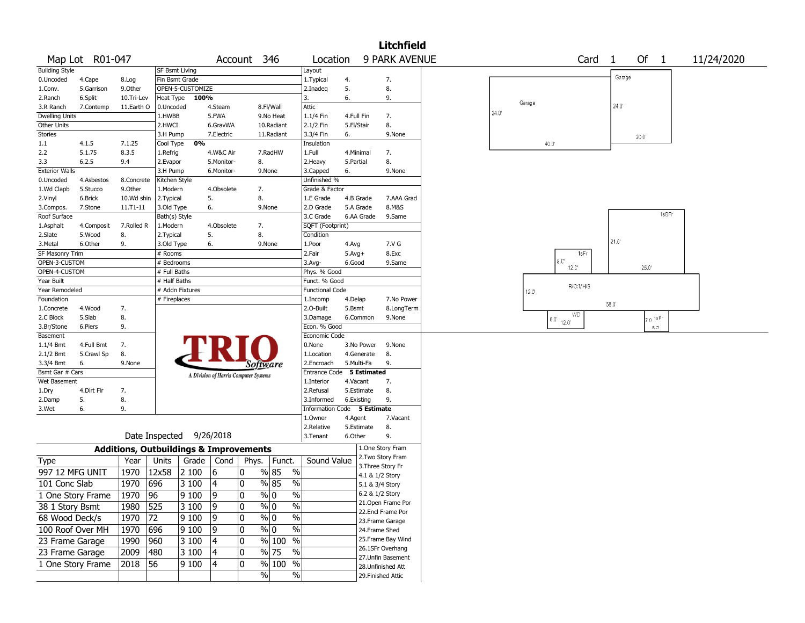|                        |                   |              |                |                                                   |                                       |             |                                  |                             |            |                    | <b>Litchfield</b>    |                |                      |                   |                |                        |            |
|------------------------|-------------------|--------------|----------------|---------------------------------------------------|---------------------------------------|-------------|----------------------------------|-----------------------------|------------|--------------------|----------------------|----------------|----------------------|-------------------|----------------|------------------------|------------|
|                        | Map Lot R01-047   |              |                |                                                   |                                       | Account 346 |                                  | Location                    |            |                    | <b>9 PARK AVENUE</b> |                |                      | Card <sub>1</sub> |                | Of $1$                 | 11/24/2020 |
| <b>Building Style</b>  |                   |              |                | <b>SF Bsmt Living</b>                             |                                       |             |                                  | Layout                      |            |                    |                      |                |                      |                   |                |                        |            |
| 0.Uncoded              | 4.Cape            | 8.Log        |                | Fin Bsmt Grade                                    |                                       |             |                                  | 1.Typical                   | 4.         |                    | 7.                   |                |                      |                   | Garage         |                        |            |
| 1.Conv.                | 5.Garrison        | 9.0ther      |                | OPEN-5-CUSTOMIZE                                  |                                       |             |                                  | 2.Inadeq                    | 5.         |                    | 8.                   |                |                      |                   |                |                        |            |
| 2.Ranch                | 6.Split           | 10.Tri-Lev   | Heat Type      | 100%                                              |                                       |             |                                  | 3.                          | 6.         |                    | 9.                   |                |                      |                   |                |                        |            |
| 3.R Ranch              | 7.Contemp         | 11.Earth O   | 0.Uncoded      |                                                   | 4.Steam                               |             | 8.Fl/Wall                        | Attic                       |            |                    |                      | Garage         |                      |                   | $24.0^{\circ}$ |                        |            |
| <b>Dwelling Units</b>  |                   |              | 1.HWBB         |                                                   | 5.FWA                                 |             | 9.No Heat                        | 1.1/4 Fin                   | 4.Full Fin |                    | 7.                   | $24.0^{\circ}$ |                      |                   |                |                        |            |
| Other Units            |                   |              | 2.HWCI         |                                                   | 6.GravWA                              |             | 10.Radiant                       | 2.1/2 Fin                   | 5.Fl/Stair |                    | 8.                   |                |                      |                   |                |                        |            |
| <b>Stories</b>         |                   |              | 3.H Pump       |                                                   | 7.Electric                            |             | 11.Radiant                       | 3.3/4 Fin                   | 6.         |                    | 9.None               |                |                      |                   |                | 20.0                   |            |
| 1.1                    | 4.1.5             | 7.1.25       | Cool Type      | 0%                                                |                                       |             |                                  | Insulation                  |            |                    |                      |                | 40.0                 |                   |                |                        |            |
| 2.2                    | 5.1.75            | 8.3.5        | 1.Refrig       |                                                   | 4.W&C Air                             |             | 7.RadHW                          | 1.Full                      | 4.Minimal  |                    | 7.                   |                |                      |                   |                |                        |            |
| 3.3                    | 6.2.5             | 9.4          | 2.Evapor       |                                                   | 5.Monitor-                            | 8.          |                                  | 2.Heavy                     | 5.Partial  |                    | 8.                   |                |                      |                   |                |                        |            |
| <b>Exterior Walls</b>  |                   |              | 3.H Pump       |                                                   | 6.Monitor-                            |             | 9.None                           | 3.Capped                    | 6.         |                    | 9.None               |                |                      |                   |                |                        |            |
| 0.Uncoded              | 4.Asbestos        | 8.Concrete   | Kitchen Style  |                                                   |                                       |             |                                  | Unfinished %                |            |                    |                      |                |                      |                   |                |                        |            |
| 1.Wd Clapb             | 5.Stucco          | 9.0ther      | 1.Modern       |                                                   | 4.Obsolete                            | 7.          |                                  | Grade & Factor              |            |                    |                      |                |                      |                   |                |                        |            |
| 2.Vinyl                | 6.Brick           | 10.Wd shin   | 2.Typical      |                                                   | 5.                                    | 8.          |                                  | 1.E Grade                   | 4.B Grade  |                    | 7.AAA Grad           |                |                      |                   |                |                        |            |
| 3.Compos.              | 7.Stone           | $11.71 - 11$ | 3.Old Type     |                                                   | 6.                                    |             | 9.None                           | 2.D Grade                   | 5.A Grade  |                    | 8.M&S                |                |                      |                   |                |                        |            |
| Roof Surface           |                   |              | Bath(s) Style  |                                                   |                                       |             |                                  | 3.C Grade                   |            | 6.AA Grade         | 9.Same               |                |                      |                   |                | 1sBFr                  |            |
| 1.Asphalt              | 4.Composit        | 7.Rolled R   | 1.Modern       |                                                   | 4.Obsolete                            | 7.          |                                  | SQFT (Footprint)            |            |                    |                      |                |                      |                   |                |                        |            |
| 2.Slate                | 5.Wood            | 8.           | 2.Typical      |                                                   | 5.                                    | 8.          |                                  | Condition                   |            |                    |                      |                |                      |                   |                |                        |            |
| 3.Metal                | 6.Other           | 9.           | 3.Old Type     |                                                   | 6.                                    |             | 9.None                           | 1.Poor                      | 4.Avg      |                    | 7.V G                |                |                      |                   | 21.0           |                        |            |
| <b>SF Masonry Trim</b> |                   |              | # Rooms        |                                                   |                                       |             |                                  | 2.Fair                      | $5.Avg+$   |                    | 8.Exc                |                |                      | 1sFr              |                |                        |            |
| OPEN-3-CUSTOM          |                   |              | # Bedrooms     |                                                   |                                       |             |                                  | 3.Avg-                      | 6.Good     |                    | 9.Same               |                | $8.0^\circ$          |                   |                |                        |            |
| OPEN-4-CUSTOM          |                   |              | # Full Baths   |                                                   |                                       |             |                                  | Phys. % Good                |            |                    |                      |                | 12.0                 |                   |                | 25.0                   |            |
| Year Built             |                   |              | # Half Baths   |                                                   |                                       |             |                                  | Funct. % Good               |            |                    |                      |                |                      |                   |                |                        |            |
| Year Remodeled         |                   |              |                | # Addn Fixtures                                   |                                       |             |                                  | <b>Functional Code</b>      |            |                    |                      | 12.0           |                      | R/C/MH/S          |                |                        |            |
| Foundation             |                   |              | # Fireplaces   |                                                   |                                       |             |                                  | 1.Incomp                    | 4.Delap    |                    | 7.No Power           |                |                      |                   |                |                        |            |
| 1.Concrete             | 4.Wood            | 7.           |                |                                                   |                                       |             |                                  | 2.O-Built                   | 5.Bsmt     |                    | 8.LongTerm           |                |                      |                   | 58.0           |                        |            |
| 2.C Block              | 5.Slab            | 8.           |                |                                                   |                                       |             |                                  | 3.Damage                    | 6.Common   |                    | 9.None               |                |                      | WD                |                | $17.0 \text{ ps}^{-1}$ |            |
| 3.Br/Stone             | 6.Piers           | 9.           |                |                                                   |                                       |             |                                  | Econ. % Good                |            |                    |                      |                | $16.0^{\circ}$ 12.0" |                   |                | $8.0^{\circ}$          |            |
| Basement               |                   |              |                |                                                   |                                       |             |                                  | Economic Code               |            |                    |                      |                |                      |                   |                |                        |            |
| 1.1/4 Bmt              | 4.Full Bmt        | 7.           |                |                                                   |                                       |             |                                  | 0.None                      |            | 3.No Power         | 9.None               |                |                      |                   |                |                        |            |
| 2.1/2 Bmt              | 5.Crawl Sp        | 8.           |                |                                                   |                                       |             |                                  | 1.Location                  |            | 4.Generate         | 8.                   |                |                      |                   |                |                        |            |
| 3.3/4 Bmt              | 6.                | 9.None       |                |                                                   |                                       |             |                                  | 2.Encroach                  | 5.Multi-Fa |                    | 9.                   |                |                      |                   |                |                        |            |
| Bsmt Gar # Cars        |                   |              |                |                                                   |                                       |             | Software                         | Entrance Code               |            | <b>5 Estimated</b> |                      |                |                      |                   |                |                        |            |
| Wet Basement           |                   |              |                |                                                   | A Division of Harris Computer Systems |             |                                  | 1.Interior                  | 4.Vacant   |                    | 7.                   |                |                      |                   |                |                        |            |
| 1.Dry                  | 4.Dirt Flr        | 7.           |                |                                                   |                                       |             |                                  | 2.Refusal                   |            | 5.Estimate         | 8.                   |                |                      |                   |                |                        |            |
| 2.Damp                 | 5.                | 8.           |                |                                                   |                                       |             |                                  | 3.Informed                  | 6.Existing |                    | 9.                   |                |                      |                   |                |                        |            |
| 3.Wet                  | 6.                | 9.           |                |                                                   |                                       |             |                                  | Information Code 5 Estimate |            |                    |                      |                |                      |                   |                |                        |            |
|                        |                   |              |                |                                                   |                                       |             |                                  | 1.Owner                     | 4.Agent    |                    | 7.Vacant             |                |                      |                   |                |                        |            |
|                        |                   |              |                |                                                   |                                       |             |                                  | 2.Relative                  | 5.Estimate |                    | 8.                   |                |                      |                   |                |                        |            |
|                        |                   |              | Date Inspected |                                                   | 9/26/2018                             |             |                                  | 3.Tenant                    | 6.Other    |                    | 9.                   |                |                      |                   |                |                        |            |
|                        |                   |              |                | <b>Additions, Outbuildings &amp; Improvements</b> |                                       |             |                                  |                             |            |                    | 1.One Story Fram     |                |                      |                   |                |                        |            |
| <b>Type</b>            |                   | Year         | Units          |                                                   | Grade $\vert$ Cond                    | Phys.       | Funct.                           | Sound Value                 |            |                    | 2. Two Story Fram    |                |                      |                   |                |                        |            |
| 997 12 MFG UNIT        |                   | 1970         | 12x58          | 2 100                                             | 16                                    | 0           | % 85<br>$\%$                     |                             |            |                    | 3. Three Story Fr    |                |                      |                   |                |                        |            |
|                        |                   |              |                |                                                   |                                       | 0           |                                  |                             |            |                    | 4.1 & 1/2 Story      |                |                      |                   |                |                        |            |
| 101 Conc Slab          |                   | 1970         | 696            | 3 100                                             | 4                                     |             | % 85<br>$\%$                     |                             |            |                    | 5.1 & 3/4 Story      |                |                      |                   |                |                        |            |
|                        | 1 One Story Frame | 1970         | 96             | 9100                                              | 19                                    | $\mathbf 0$ | $\frac{9}{0}$ 0<br>$\frac{0}{0}$ |                             |            |                    | 6.2 & 1/2 Story      |                |                      |                   |                |                        |            |
| 38 1 Story Bsmt        |                   | 1980         | 525            | 3 100                                             | 9                                     | 0           | $\%$ 0<br>$\%$                   |                             |            |                    | 21. Open Frame Por   |                |                      |                   |                |                        |            |
| 68 Wood Deck/s         |                   | 1970         | 72             | 9100                                              | 9                                     | 0           | $\frac{9}{0}$<br>$\%$            |                             |            |                    | 22.Encl Frame Por    |                |                      |                   |                |                        |            |
|                        |                   |              |                |                                                   |                                       |             |                                  |                             |            |                    | 23. Frame Garage     |                |                      |                   |                |                        |            |
| 100 Roof Over MH       |                   | 1970         | 696            | 9100                                              | 9                                     | 0           | $\sqrt[6]{0}$<br>$\%$            |                             |            |                    | 24.Frame Shed        |                |                      |                   |                |                        |            |
| 23 Frame Garage        |                   | 1990         | 960            | 3 100                                             | 4                                     | 0           | % 100<br>$\frac{0}{0}$           |                             |            |                    | 25. Frame Bay Wind   |                |                      |                   |                |                        |            |
| 23 Frame Garage        |                   | 2009         | 480            | 3 100                                             | 4                                     | 0           | $\frac{9}{6}$ 75<br>$\%$         |                             |            |                    | 26.1SFr Overhang     |                |                      |                   |                |                        |            |
|                        | 1 One Story Frame | 2018         | 56             | 9 100                                             | 4                                     | 0           | % 100 %                          |                             |            |                    | 27.Unfin Basement    |                |                      |                   |                |                        |            |
|                        |                   |              |                |                                                   |                                       |             |                                  |                             |            |                    | 28. Unfinished Att   |                |                      |                   |                |                        |            |
|                        |                   |              |                |                                                   |                                       |             | $\%$<br>$\%$                     |                             |            |                    | 29. Finished Attic   |                |                      |                   |                |                        |            |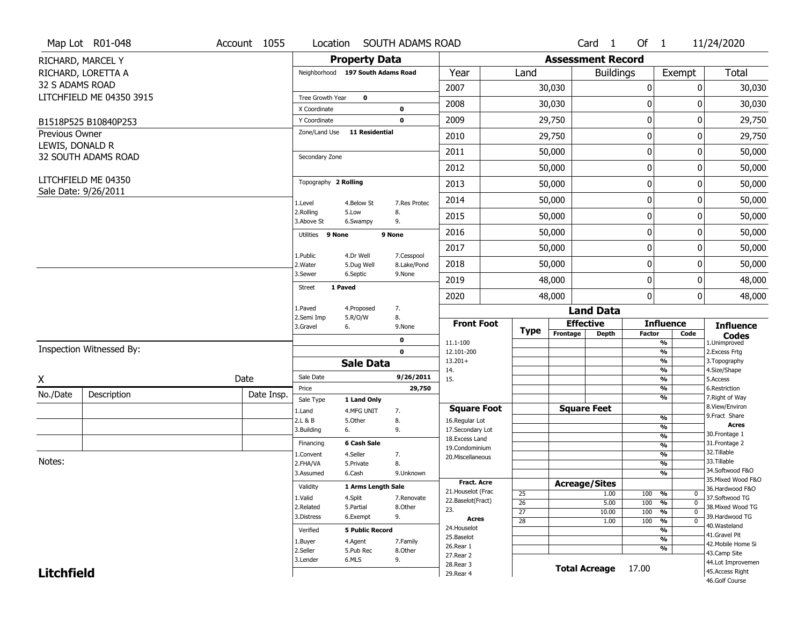|                   | Map Lot R01-048                             | Account 1055 | Location                |                                   | SOUTH ADAMS ROAD          |                                    |                 |                          | Card <sub>1</sub>    | Of $1$        |                                   | 11/24/2020                            |
|-------------------|---------------------------------------------|--------------|-------------------------|-----------------------------------|---------------------------|------------------------------------|-----------------|--------------------------|----------------------|---------------|-----------------------------------|---------------------------------------|
|                   | RICHARD, MARCEL Y                           |              |                         | <b>Property Data</b>              |                           |                                    |                 | <b>Assessment Record</b> |                      |               |                                   |                                       |
|                   | RICHARD, LORETTA A                          |              |                         | Neighborhood 197 South Adams Road |                           | Year                               | Land            |                          | <b>Buildings</b>     |               | Exempt                            | Total                                 |
| 32 S ADAMS ROAD   |                                             |              |                         |                                   |                           | 2007                               |                 | 30,030                   |                      | $\pmb{0}$     | 0                                 | 30,030                                |
|                   | LITCHFIELD ME 04350 3915                    |              | Tree Growth Year        | $\mathbf 0$                       |                           |                                    |                 |                          |                      |               |                                   |                                       |
|                   |                                             |              | X Coordinate            |                                   | 0                         | 2008                               |                 | 30,030                   |                      | 0             | 0                                 | 30,030                                |
|                   | B1518P525 B10840P253                        |              | Y Coordinate            |                                   | $\mathbf 0$               | 2009                               |                 | 29,750                   |                      | $\pmb{0}$     | 0                                 | 29,750                                |
| Previous Owner    |                                             |              | Zone/Land Use           | <b>11 Residential</b>             |                           | 2010                               |                 | 29,750                   |                      | 0             | 0                                 | 29,750                                |
| LEWIS, DONALD R   | 32 SOUTH ADAMS ROAD                         |              | Secondary Zone          |                                   |                           | 2011                               |                 | 50,000                   |                      | 0             | 0                                 | 50,000                                |
|                   |                                             |              |                         |                                   |                           | 2012                               |                 | 50,000                   |                      | $\pmb{0}$     | 0                                 | 50,000                                |
|                   | LITCHFIELD ME 04350<br>Sale Date: 9/26/2011 |              | Topography 2 Rolling    |                                   |                           | 2013                               |                 | 50,000                   |                      | 0             | 0                                 | 50,000                                |
|                   |                                             |              | 1.Level                 | 4.Below St                        | 7.Res Protec              | 2014                               |                 | 50,000                   |                      | 0             | 0                                 | 50,000                                |
|                   |                                             |              | 2.Rolling<br>3.Above St | 5.Low<br>6.Swampy                 | 8.<br>9.                  | 2015                               |                 | 50,000                   |                      | 0             | 0                                 | 50,000                                |
|                   |                                             |              | Utilities 9 None        |                                   | 9 None                    | 2016                               |                 | 50,000                   |                      | $\mathbf 0$   | 0                                 | 50,000                                |
|                   |                                             |              |                         |                                   |                           | 2017                               |                 | 50,000                   |                      | $\pmb{0}$     | 0                                 | 50,000                                |
|                   |                                             |              | 1.Public<br>2. Water    | 4.Dr Well<br>5.Dug Well           | 7.Cesspool<br>8.Lake/Pond | 2018                               |                 | 50,000                   |                      | 0             | 0                                 | 50,000                                |
|                   |                                             |              | 3.Sewer                 | 6.Septic                          | 9.None                    | 2019                               |                 | 48,000                   |                      | 0             | 0                                 | 48,000                                |
|                   |                                             |              | <b>Street</b>           | 1 Paved                           |                           | 2020                               |                 | 48,000                   |                      | $\mathbf 0$   | $\Omega$                          | 48,000                                |
|                   |                                             |              | 1.Paved<br>2.Semi Imp   | 4.Proposed<br>5.R/O/W             | 7.<br>8.                  |                                    |                 |                          | <b>Land Data</b>     |               |                                   |                                       |
|                   |                                             |              | 3.Gravel                | 6.                                | 9.None                    | <b>Front Foot</b>                  | <b>Type</b>     | <b>Effective</b>         |                      |               | <b>Influence</b>                  | <b>Influence</b>                      |
|                   |                                             |              |                         |                                   | 0                         | 11.1-100                           |                 | Frontage                 | <b>Depth</b>         | <b>Factor</b> | Code<br>%                         | <b>Codes</b><br>1.Unimproved          |
|                   | Inspection Witnessed By:                    |              |                         |                                   | $\mathbf 0$               | 12.101-200                         |                 |                          |                      |               | %                                 | 2. Excess Frtg                        |
|                   |                                             |              |                         | <b>Sale Data</b>                  |                           | $13.201+$<br>14.                   |                 |                          |                      |               | %<br>%                            | 3. Topography<br>4.Size/Shape         |
| X                 |                                             | Date         | Sale Date               |                                   | 9/26/2011                 | 15.                                |                 |                          |                      |               | %                                 | 5.Access                              |
| No./Date          | Description                                 | Date Insp.   | Price                   |                                   | 29,750                    |                                    |                 |                          |                      |               | %<br>%                            | 6.Restriction<br>7. Right of Way      |
|                   |                                             |              | Sale Type               | 1 Land Only                       |                           | <b>Square Foot</b>                 |                 |                          | <b>Square Feet</b>   |               |                                   | 8.View/Environ                        |
|                   |                                             |              | 1.Land<br>2.L & B       | 4.MFG UNIT<br>5.Other             | 7.<br>8.                  | 16.Regular Lot                     |                 |                          |                      |               | %                                 | 9.Fract Share                         |
|                   |                                             |              | 3.Building              | 6.                                | 9.                        | 17.Secondary Lot                   |                 |                          |                      |               | $\overline{\frac{9}{6}}$          | <b>Acres</b><br>30.Frontage 1         |
|                   |                                             |              | Financing               | 6 Cash Sale                       |                           | 18. Excess Land                    |                 |                          |                      |               | $\frac{9}{6}$<br>$\frac{9}{6}$    | 31. Frontage 2                        |
|                   |                                             |              | 1.Convent               | 4.Seller                          | 7.                        | 19.Condominium<br>20.Miscellaneous |                 |                          |                      |               | $\frac{9}{6}$                     | 32.Tillable                           |
| Notes:            |                                             |              | 2.FHA/VA                | 5.Private                         | 8.                        |                                    |                 |                          |                      |               | $\overline{\frac{9}{6}}$          | 33.Tillable                           |
|                   |                                             |              | 3.Assumed               | 6.Cash                            | 9.Unknown                 |                                    |                 |                          |                      |               | $\overline{\frac{9}{6}}$          | 34.Softwood F&O                       |
|                   |                                             |              | Validity                | 1 Arms Length Sale                |                           | <b>Fract. Acre</b>                 |                 | <b>Acreage/Sites</b>     |                      |               |                                   | 35. Mixed Wood F&O<br>36.Hardwood F&O |
|                   |                                             |              | 1.Valid                 | 4.Split                           | 7.Renovate                | 21. Houselot (Frac                 | 25              |                          | 1.00                 | 100           | %<br>0                            | 37.Softwood TG                        |
|                   |                                             |              | 2.Related               | 5.Partial                         | 8.Other                   | 22.Baselot(Fract)<br>23.           | $\overline{26}$ |                          | 5.00                 | 100           | %<br>$\mathbf 0$                  | 38. Mixed Wood TG                     |
|                   |                                             |              | 3.Distress              | 6.Exempt                          | 9.                        | <b>Acres</b>                       | $\overline{27}$ |                          | 10.00                | 100           | %<br>$\mathbf 0$                  | 39.Hardwood TG                        |
|                   |                                             |              | Verified                | <b>5 Public Record</b>            |                           | 24. Houselot                       | 28              |                          | 1.00                 | 100           | $\frac{9}{6}$<br>$\mathbf 0$<br>% | 40. Wasteland                         |
|                   |                                             |              |                         |                                   |                           | 25.Baselot                         |                 |                          |                      |               | $\frac{9}{6}$                     | 41.Gravel Pit                         |
|                   |                                             |              | 1.Buyer<br>2.Seller     | 4.Agent<br>5.Pub Rec              | 7.Family<br>8.Other       | 26.Rear 1                          |                 |                          |                      |               | $\frac{9}{6}$                     | 42. Mobile Home Si                    |
|                   |                                             |              | 3.Lender                | 6.MLS                             | 9.                        | 27.Rear 2                          |                 |                          |                      |               |                                   | 43.Camp Site                          |
| <b>Litchfield</b> |                                             |              |                         |                                   |                           | 28. Rear 3                         |                 |                          | <b>Total Acreage</b> | 17.00         |                                   | 44.Lot Improvemen<br>45.Access Right  |
|                   |                                             |              |                         |                                   |                           | 29. Rear 4                         |                 |                          |                      |               |                                   |                                       |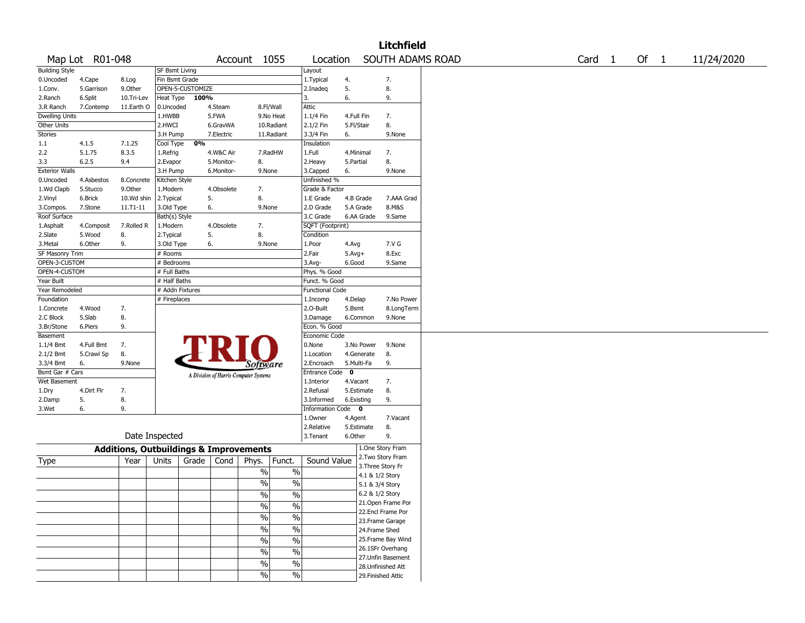|                       |                 |                                                   |                       |                  |            |                                       |               |                        |            |            | <b>Litchfield</b>                        |  |                   |  |        |            |
|-----------------------|-----------------|---------------------------------------------------|-----------------------|------------------|------------|---------------------------------------|---------------|------------------------|------------|------------|------------------------------------------|--|-------------------|--|--------|------------|
|                       | Map Lot R01-048 |                                                   |                       |                  |            | Account 1055                          |               | Location               |            |            | SOUTH ADAMS ROAD                         |  | Card <sub>1</sub> |  | Of $1$ | 11/24/2020 |
| <b>Building Style</b> |                 |                                                   | <b>SF Bsmt Living</b> |                  |            |                                       |               | Layout                 |            |            |                                          |  |                   |  |        |            |
| 0.Uncoded             | 4.Cape          | 8.Log                                             | Fin Bsmt Grade        |                  |            |                                       |               | 1. Typical             | 4.         |            | 7.                                       |  |                   |  |        |            |
| 1.Conv.               | 5.Garrison      | 9.0ther                                           |                       | OPEN-5-CUSTOMIZE |            |                                       |               | 2.Inadeg               | 5.         |            | 8.                                       |  |                   |  |        |            |
| 2.Ranch               | 6.Split         | 10.Tri-Lev                                        | Heat Type             | 100%             |            |                                       |               | 3.                     | 6.         |            | 9.                                       |  |                   |  |        |            |
| 3.R Ranch             | 7.Contemp       | 11.Earth O                                        | 0.Uncoded             |                  | 4.Steam    | 8.Fl/Wall                             |               | Attic                  |            |            |                                          |  |                   |  |        |            |
| <b>Dwelling Units</b> |                 |                                                   | 1.HWBB                |                  | 5.FWA      |                                       | 9.No Heat     | 1.1/4 Fin              | 4.Full Fin |            | 7.                                       |  |                   |  |        |            |
| Other Units           |                 |                                                   | 2.HWCI                |                  | 6.GravWA   |                                       | 10.Radiant    | 2.1/2 Fin              | 5.Fl/Stair |            | 8.                                       |  |                   |  |        |            |
| Stories               |                 |                                                   | 3.H Pump              |                  | 7.Electric |                                       | 11.Radiant    | 3.3/4 Fin              | 6.         |            | 9.None                                   |  |                   |  |        |            |
| 1.1                   | 4.1.5           | 7.1.25                                            | Cool Type             | 0%               |            |                                       |               | Insulation             |            |            |                                          |  |                   |  |        |            |
| 2.2                   | 5.1.75          | 8.3.5                                             | 1.Refrig              |                  | 4.W&C Air  |                                       | 7.RadHW       | 1.Full                 | 4.Minimal  |            | 7.                                       |  |                   |  |        |            |
| 3.3                   | 6.2.5           | 9.4                                               | 2.Evapor              |                  | 5.Monitor- | 8.                                    |               | 2. Heavy               | 5.Partial  |            | 8.                                       |  |                   |  |        |            |
| <b>Exterior Walls</b> |                 |                                                   | 3.H Pump              |                  | 6.Monitor- | 9.None                                |               | 3.Capped               | 6.         |            | 9.None                                   |  |                   |  |        |            |
| 0.Uncoded             | 4.Asbestos      | 8.Concrete                                        | Kitchen Style         |                  |            |                                       |               | Unfinished %           |            |            |                                          |  |                   |  |        |            |
| 1.Wd Clapb            | 5.Stucco        | 9.Other                                           | 1.Modern              |                  | 4.Obsolete | 7.                                    |               | Grade & Factor         |            |            |                                          |  |                   |  |        |            |
| 2.Vinyl               | 6.Brick         | 10.Wd shin                                        | 2. Typical            | 5.               |            | 8.                                    |               | 1.E Grade              |            | 4.B Grade  | 7.AAA Grad                               |  |                   |  |        |            |
| 3.Compos.             | 7.Stone         | 11.T1-11                                          | 3.Old Type            | 6.               |            | 9.None                                |               | 2.D Grade              | 5.A Grade  |            | 8.M&S                                    |  |                   |  |        |            |
| Roof Surface          |                 |                                                   | Bath(s) Style         |                  |            |                                       |               | 3.C Grade              |            | 6.AA Grade | 9.Same                                   |  |                   |  |        |            |
| 1.Asphalt             | 4.Composit      | 7.Rolled R                                        | 1.Modern              |                  | 4.Obsolete | 7.                                    |               | SQFT (Footprint)       |            |            |                                          |  |                   |  |        |            |
| 2.Slate               | 5.Wood          | 8.                                                | 2.Typical             | 5.               |            | 8.                                    |               | Condition              |            |            |                                          |  |                   |  |        |            |
| 3. Metal              | 6.Other         | 9.                                                | 3.Old Type            | 6.               |            | 9.None                                |               | 1.Poor                 | 4.Avg      |            | 7.V G                                    |  |                   |  |        |            |
| SF Masonry Trim       |                 |                                                   | # Rooms               |                  |            |                                       |               | 2.Fair                 | $5.Avg+$   |            | 8.Exc                                    |  |                   |  |        |            |
| OPEN-3-CUSTOM         |                 |                                                   | # Bedrooms            |                  |            |                                       |               | 3.Avg-                 | 6.Good     |            | 9.Same                                   |  |                   |  |        |            |
| OPEN-4-CUSTOM         |                 |                                                   | # Full Baths          |                  |            |                                       |               | Phys. % Good           |            |            |                                          |  |                   |  |        |            |
| Year Built            |                 |                                                   | # Half Baths          |                  |            |                                       |               | Funct. % Good          |            |            |                                          |  |                   |  |        |            |
| Year Remodeled        |                 |                                                   | # Addn Fixtures       |                  |            |                                       |               | <b>Functional Code</b> |            |            |                                          |  |                   |  |        |            |
| Foundation            |                 |                                                   | # Fireplaces          |                  |            |                                       |               | 1.Incomp               | 4.Delap    |            | 7.No Power                               |  |                   |  |        |            |
| 1.Concrete            | 4.Wood          | 7.                                                |                       |                  |            |                                       |               | 2.0-Built              | 5.Bsmt     |            | 8.LongTerm                               |  |                   |  |        |            |
| 2.C Block             | 5.Slab          | 8.                                                |                       |                  |            |                                       |               | 3.Damage               |            | 6.Common   | 9.None                                   |  |                   |  |        |            |
| 3.Br/Stone            | 6.Piers         | 9.                                                |                       |                  |            |                                       |               | Econ. % Good           |            |            |                                          |  |                   |  |        |            |
| Basement              |                 |                                                   |                       |                  |            |                                       |               | Economic Code          |            |            |                                          |  |                   |  |        |            |
| $1.1/4$ Bmt           | 4.Full Bmt      | 7.                                                |                       |                  |            |                                       |               | 0.None                 |            | 3.No Power | 9.None                                   |  |                   |  |        |            |
| 2.1/2 Bmt             | 5.Crawl Sp      | 8.                                                |                       |                  |            |                                       |               | 1.Location             |            | 4.Generate | 8.                                       |  |                   |  |        |            |
| 3.3/4 Bmt             | 6.              | 9.None                                            |                       |                  |            | <i>Software</i>                       |               | 2.Encroach             | 5.Multi-Fa |            | 9.                                       |  |                   |  |        |            |
| Bsmt Gar # Cars       |                 |                                                   |                       |                  |            | A Division of Harris Computer Systems |               | Entrance Code          | $\bf{0}$   |            |                                          |  |                   |  |        |            |
| Wet Basement          |                 |                                                   |                       |                  |            |                                       |               | 1.Interior             | 4.Vacant   |            | 7.                                       |  |                   |  |        |            |
| 1.Dry                 | 4.Dirt Flr      | 7.                                                |                       |                  |            |                                       |               | 2.Refusal              |            | 5.Estimate | 8.                                       |  |                   |  |        |            |
| 2.Damp                | 5.              | 8.                                                |                       |                  |            |                                       |               | 3.Informed             | 6.Existing |            | 9.                                       |  |                   |  |        |            |
| 3.Wet                 | 6.              | 9.                                                |                       |                  |            |                                       |               | Information Code 0     |            |            |                                          |  |                   |  |        |            |
|                       |                 |                                                   |                       |                  |            |                                       |               | 1.0wner                | 4.Agent    |            | 7.Vacant                                 |  |                   |  |        |            |
|                       |                 |                                                   |                       |                  |            |                                       |               | 2.Relative             |            | 5.Estimate | 8.                                       |  |                   |  |        |            |
|                       |                 | Date Inspected                                    |                       |                  |            |                                       |               | 3. Tenant              | 6.Other    |            | 9.                                       |  |                   |  |        |            |
|                       |                 | <b>Additions, Outbuildings &amp; Improvements</b> |                       |                  |            |                                       |               |                        |            |            | 1.One Story Fram                         |  |                   |  |        |            |
|                       |                 |                                                   |                       |                  |            |                                       |               | Sound Value            |            |            | 2. Two Story Fram                        |  |                   |  |        |            |
| Type                  |                 | Year                                              | Units                 | Grade            | Cond       | Phys.                                 | Funct.        |                        |            |            | 3. Three Story Fr                        |  |                   |  |        |            |
|                       |                 |                                                   |                       |                  |            | $\%$                                  | $\%$          |                        |            |            | 4.1 & 1/2 Story                          |  |                   |  |        |            |
|                       |                 |                                                   |                       |                  |            | $\frac{0}{0}$                         | $\%$          |                        |            |            | 5.1 & 3/4 Story                          |  |                   |  |        |            |
|                       |                 |                                                   |                       |                  |            | $\frac{9}{6}$                         | $\frac{0}{6}$ |                        |            |            | 6.2 & 1/2 Story                          |  |                   |  |        |            |
|                       |                 |                                                   |                       |                  |            |                                       |               |                        |            |            | 21. Open Frame Por                       |  |                   |  |        |            |
|                       |                 |                                                   |                       |                  |            | $\sqrt{6}$                            | $\sqrt{2}$    |                        |            |            | 22.Encl Frame Por                        |  |                   |  |        |            |
|                       |                 |                                                   |                       |                  |            | $\sqrt{6}$                            | $\sqrt{2}$    |                        |            |            | 23. Frame Garage                         |  |                   |  |        |            |
|                       |                 |                                                   |                       |                  |            | $\sqrt{6}$                            | $\%$          |                        |            |            | 24.Frame Shed                            |  |                   |  |        |            |
|                       |                 |                                                   |                       |                  |            |                                       |               |                        |            |            | 25. Frame Bay Wind                       |  |                   |  |        |            |
|                       |                 |                                                   |                       |                  |            | $\%$                                  | $\%$          |                        |            |            | 26.1SFr Overhang                         |  |                   |  |        |            |
|                       |                 |                                                   |                       |                  |            | $\%$                                  | $\%$          |                        |            |            |                                          |  |                   |  |        |            |
|                       |                 |                                                   |                       |                  |            | $\frac{0}{0}$                         | $\sqrt{6}$    |                        |            |            | 27. Unfin Basement<br>28. Unfinished Att |  |                   |  |        |            |
|                       |                 |                                                   |                       |                  |            | $\%$                                  | %             |                        |            |            |                                          |  |                   |  |        |            |
|                       |                 |                                                   |                       |                  |            |                                       |               |                        |            |            | 29. Finished Attic                       |  |                   |  |        |            |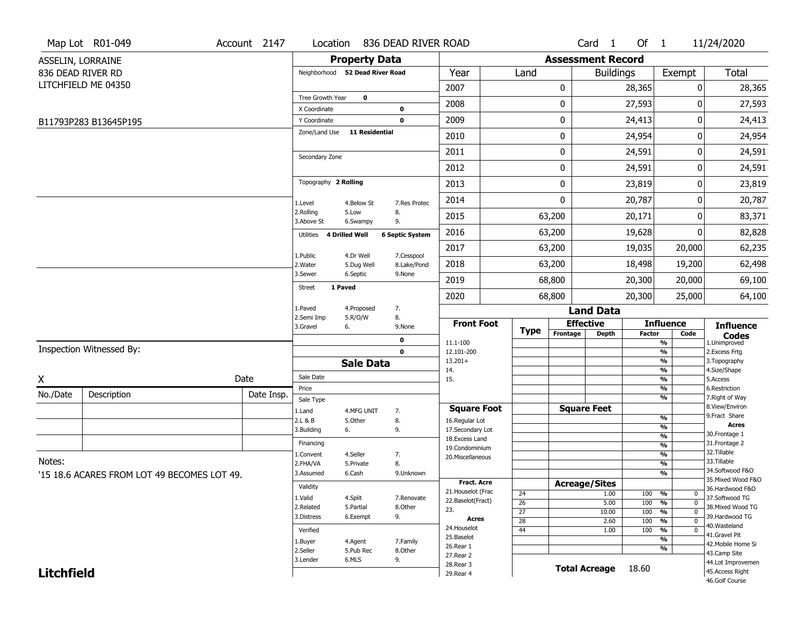|                   | Map Lot R01-049                             | Account 2147 | Location                        |                       | 836 DEAD RIVER ROAD      |                                     |    |                      |                    | Card 1               | Of $1$                       |                               | 11/24/2020                       |  |  |
|-------------------|---------------------------------------------|--------------|---------------------------------|-----------------------|--------------------------|-------------------------------------|----|----------------------|--------------------|----------------------|------------------------------|-------------------------------|----------------------------------|--|--|
|                   | ASSELIN, LORRAINE                           |              |                                 | <b>Property Data</b>  |                          | <b>Assessment Record</b>            |    |                      |                    |                      |                              |                               |                                  |  |  |
|                   | 836 DEAD RIVER RD                           |              | Neighborhood 52 Dead River Road |                       |                          | Year                                |    | Land                 |                    | <b>Buildings</b>     |                              | Exempt                        | <b>Total</b>                     |  |  |
|                   | LITCHFIELD ME 04350                         |              |                                 |                       |                          | 2007                                |    |                      | 0                  |                      | 28,365                       | 0                             | 28,365                           |  |  |
|                   |                                             |              | Tree Growth Year                | $\mathbf 0$           |                          | 2008                                |    |                      | 0                  |                      | 27,593                       | $\Omega$                      | 27,593                           |  |  |
|                   |                                             |              | X Coordinate<br>Y Coordinate    |                       | $\pmb{0}$<br>$\mathbf 0$ | 2009                                |    |                      | 0                  |                      | 24,413                       | 0                             | 24,413                           |  |  |
|                   | B11793P283 B13645P195                       |              | Zone/Land Use                   | <b>11 Residential</b> |                          | 2010                                |    |                      | 0                  |                      | 24,954                       | 0                             | 24,954                           |  |  |
|                   |                                             |              |                                 |                       |                          | 2011                                |    |                      | 0                  |                      | 24,591                       | 0                             |                                  |  |  |
|                   |                                             |              | Secondary Zone                  |                       |                          |                                     |    |                      |                    |                      |                              |                               | 24,591                           |  |  |
|                   |                                             |              |                                 |                       |                          | 2012                                |    |                      | 0                  |                      | 24,591                       | 0                             | 24,591                           |  |  |
|                   |                                             |              | Topography 2 Rolling            |                       |                          | 2013                                |    |                      | 0                  |                      | 23,819                       | 0                             | 23,819                           |  |  |
|                   |                                             |              | 1.Level                         | 4.Below St            | 7.Res Protec             | 2014                                |    | 0                    |                    | 20,787               |                              | 0                             | 20,787                           |  |  |
|                   |                                             |              | 2.Rolling<br>3.Above St         | 5.Low<br>6.Swampy     | 8.<br>9.                 | 2015                                |    |                      | 63,200             | 20,171               |                              | 0                             | 83,371                           |  |  |
|                   |                                             |              | 4 Drilled Well<br>Utilities     |                       | <b>6 Septic System</b>   | 2016                                |    | 63,200               |                    | 19,628               |                              | 0                             | 82,828                           |  |  |
|                   |                                             |              | 1.Public                        | 4.Dr Well             | 7.Cesspool               | 2017                                |    |                      | 63,200             |                      | 19,035                       | 20,000                        | 62,235                           |  |  |
|                   |                                             |              | 2. Water                        | 5.Dug Well            | 8.Lake/Pond              | 2018                                |    |                      | 63,200             |                      | 18,498                       | 19,200                        | 62,498                           |  |  |
|                   |                                             |              | 3.Sewer                         | 6.Septic              | 9.None                   | 2019                                |    |                      | 68,800             |                      | 20,300                       | 20,000                        | 69,100                           |  |  |
|                   |                                             |              | 1 Paved<br><b>Street</b>        |                       |                          | 2020                                |    |                      | 68,800             |                      | 20,300                       | 25,000                        | 64,100                           |  |  |
|                   |                                             |              | 1.Paved                         | 4.Proposed            | 7.                       |                                     |    |                      |                    | <b>Land Data</b>     |                              |                               |                                  |  |  |
|                   |                                             |              | 2.Semi Imp<br>3.Gravel<br>6.    | 5.R/O/W               | 8.<br>9.None             | <b>Front Foot</b>                   |    |                      | <b>Effective</b>   |                      |                              | <b>Influence</b>              | <b>Influence</b>                 |  |  |
|                   |                                             |              |                                 |                       | 0                        | 11.1-100                            |    | <b>Type</b>          | Frontage           | <b>Depth</b>         | <b>Factor</b>                | Code<br>%                     | <b>Codes</b><br>1.Unimproved     |  |  |
|                   | Inspection Witnessed By:                    |              |                                 |                       | $\mathbf 0$              | 12.101-200                          |    |                      |                    |                      |                              | %                             | 2.Excess Frtg                    |  |  |
|                   |                                             |              |                                 | <b>Sale Data</b>      |                          | $13.201+$<br>14.                    |    |                      |                    |                      |                              | %<br>%                        | 3. Topography<br>4.Size/Shape    |  |  |
| X                 |                                             | Date         | Sale Date                       |                       |                          | 15.                                 |    |                      |                    |                      |                              | %                             | 5.Access                         |  |  |
| No./Date          | Description                                 | Date Insp.   | Price<br>Sale Type              |                       |                          |                                     |    |                      |                    |                      |                              | %<br>%                        | 6.Restriction<br>7. Right of Way |  |  |
|                   |                                             |              | 1.Land                          | 4.MFG UNIT            | 7.                       | <b>Square Foot</b>                  |    |                      | <b>Square Feet</b> |                      |                              |                               | 8.View/Environ                   |  |  |
|                   |                                             |              | 2.L & B                         | 5.Other               | 8.                       | 16.Regular Lot                      |    |                      |                    |                      |                              | %<br>%                        | 9.Fract Share<br><b>Acres</b>    |  |  |
|                   |                                             |              | 3.Building<br>6.                |                       | 9.                       | 17.Secondary Lot<br>18. Excess Land |    |                      |                    |                      |                              | $\frac{9}{6}$                 | 30.Frontage 1                    |  |  |
|                   |                                             |              | Financing                       |                       |                          | 19.Condominium                      |    |                      |                    |                      |                              | $\frac{9}{6}$                 | 31. Frontage 2                   |  |  |
| Notes:            |                                             |              | 1.Convent                       | 4.Seller              | 7.                       | 20.Miscellaneous                    |    |                      |                    |                      |                              | $\frac{9}{6}$                 | 32. Tillable<br>33.Tillable      |  |  |
|                   |                                             |              | 2.FHA/VA<br>3.Assumed           | 5.Private<br>6.Cash   | 8.<br>9.Unknown          |                                     |    |                      |                    |                      |                              | $\overline{\frac{9}{6}}$<br>% | 34.Softwood F&O                  |  |  |
|                   | '15 18.6 ACARES FROM LOT 49 BECOMES LOT 49. |              |                                 |                       | <b>Fract. Acre</b>       |                                     |    | <b>Acreage/Sites</b> |                    |                      |                              | 35. Mixed Wood F&O            |                                  |  |  |
|                   |                                             | Validity     |                                 |                       | 21. Houselot (Frac       |                                     | 24 |                      | 1.00               | 100                  | %<br>$\mathbf 0$             | 36.Hardwood F&O               |                                  |  |  |
|                   |                                             | 1.Valid      | 4.Split                         | 7.Renovate            | 22.Baselot(Fract)        |                                     | 26 |                      | 5.00               | 100                  | $\frac{9}{6}$<br>$\mathbf 0$ | 37.Softwood TG                |                                  |  |  |
|                   |                                             |              | 2.Related<br>3.Distress         | 5.Partial<br>6.Exempt | 8.Other<br>9.            | 23.                                 |    | $\overline{27}$      |                    | 10.00                | 100                          | $\frac{9}{6}$<br>$\mathbf 0$  | 38. Mixed Wood TG                |  |  |
|                   |                                             |              |                                 |                       |                          | <b>Acres</b><br>24. Houselot        |    | $\overline{28}$      |                    | 2.60                 | 100                          | $\frac{9}{6}$<br>$\mathbf 0$  | 39.Hardwood TG<br>40.Wasteland   |  |  |
|                   |                                             | Verified     |                                 |                       | 25.Baselot               |                                     | 44 |                      | 1.00               | 100                  | %<br>0<br>$\frac{9}{6}$      | 41.Gravel Pit                 |                                  |  |  |
|                   |                                             |              | 1.Buyer                         | 4.Agent               | 7.Family                 | 26.Rear 1                           |    |                      |                    |                      |                              | %                             | 42. Mobile Home Si               |  |  |
|                   |                                             |              | 2.Seller<br>3.Lender            | 5.Pub Rec<br>6.MLS    | 8.Other<br>9.            | 27.Rear 2                           |    |                      |                    |                      |                              |                               | 43.Camp Site                     |  |  |
| <b>Litchfield</b> |                                             |              |                                 |                       |                          | 28. Rear 3                          |    |                      |                    | <b>Total Acreage</b> | 18.60                        |                               | 44.Lot Improvemen                |  |  |
|                   |                                             |              |                                 |                       |                          | 29. Rear 4                          |    |                      |                    |                      |                              |                               | 45.Access Right                  |  |  |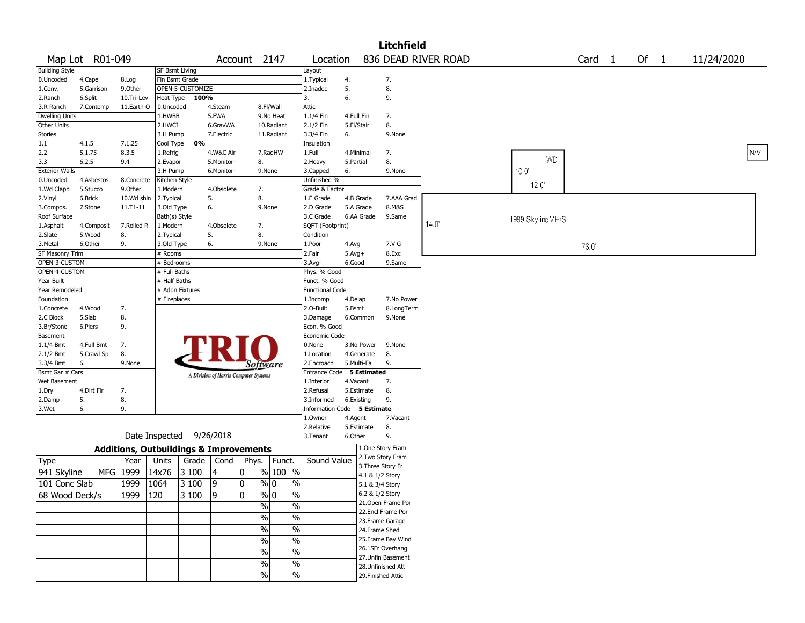|                       |                 |                                                   |                       |                          |            |                                       |             |                             |              |             | <b>Litchfield</b>                    |                     |                   |                   |        |            |
|-----------------------|-----------------|---------------------------------------------------|-----------------------|--------------------------|------------|---------------------------------------|-------------|-----------------------------|--------------|-------------|--------------------------------------|---------------------|-------------------|-------------------|--------|------------|
|                       | Map Lot R01-049 |                                                   |                       |                          |            | Account 2147                          |             | Location                    |              |             |                                      | 836 DEAD RIVER ROAD |                   | Card <sub>1</sub> | Of $1$ | 11/24/2020 |
| <b>Building Style</b> |                 |                                                   | <b>SF Bsmt Living</b> |                          |            |                                       |             | Layout                      |              |             |                                      |                     |                   |                   |        |            |
| 0.Uncoded             | 4.Cape          | 8.Log                                             | Fin Bsmt Grade        |                          |            |                                       |             | 1. Typical                  | 4.           |             | 7.                                   |                     |                   |                   |        |            |
| 1.Conv.               | 5.Garrison      | 9.0ther                                           |                       | OPEN-5-CUSTOMIZE         |            |                                       |             | 2.Inadeg                    | 5.           |             | 8.                                   |                     |                   |                   |        |            |
| 2.Ranch               | 6.Split         | 10.Tri-Lev                                        | Heat Type             | 100%                     |            |                                       |             | 3.                          | 6.           |             | 9.                                   |                     |                   |                   |        |            |
| 3.R Ranch             | 7.Contemp       | 11.Earth O                                        | 0.Uncoded             |                          | 4.Steam    |                                       | 8.Fl/Wall   | <b>Attic</b>                |              |             |                                      |                     |                   |                   |        |            |
| <b>Dwelling Units</b> |                 |                                                   | 1.HWBB                |                          | 5.FWA      |                                       | 9.No Heat   | 1.1/4 Fin                   | 4.Full Fin   |             | 7.                                   |                     |                   |                   |        |            |
| Other Units           |                 |                                                   | 2.HWCI                |                          | 6.GravWA   |                                       | 10.Radiant  | 2.1/2 Fin                   | 5.Fl/Stair   |             | 8.                                   |                     |                   |                   |        |            |
| Stories               |                 |                                                   | 3.H Pump              |                          | 7.Electric |                                       | 11.Radiant  | 3.3/4 Fin                   | 6.           |             | 9.None                               |                     |                   |                   |        |            |
| 1.1                   | 4.1.5           | 7.1.25                                            | Cool Type             | 0%                       |            |                                       |             | Insulation                  |              |             |                                      |                     |                   |                   |        |            |
| 2.2                   | 5.1.75          | 8.3.5                                             | 1.Refrig              |                          | 4.W&C Air  |                                       | 7.RadHW     | 1.Full                      | 4.Minimal    |             | 7.                                   |                     |                   |                   |        | N/V        |
| 3.3                   | 6.2.5           | 9.4                                               | 2.Evapor              |                          | 5.Monitor- | 8.                                    |             | 2. Heavy                    | 5.Partial    |             | 8.                                   |                     | <b>WD</b>         |                   |        |            |
| <b>Exterior Walls</b> |                 |                                                   | 3.H Pump              |                          | 6.Monitor- |                                       | 9.None      | 3.Capped                    | 6.           |             | 9.None                               |                     | $10.0^{\circ}$    |                   |        |            |
| 0.Uncoded             | 4.Asbestos      | 8.Concrete                                        | Kitchen Style         |                          |            |                                       |             | Unfinished %                |              |             |                                      |                     |                   |                   |        |            |
| 1.Wd Clapb            | 5.Stucco        | 9.0ther                                           | 1.Modern              |                          | 4.Obsolete | 7.                                    |             | Grade & Factor              |              |             |                                      |                     | 12.0              |                   |        |            |
| 2.Vinyl               | 6.Brick         | 10.Wd shin                                        | 2. Typical            |                          | 5.         | 8.                                    |             | 1.E Grade                   |              | 4.B Grade   | 7.AAA Grad                           |                     |                   |                   |        |            |
| 3.Compos.             | 7.Stone         | $11.71 - 11$                                      | 3.Old Type            |                          | 6.         |                                       | 9.None      | 2.D Grade                   |              | 5.A Grade   | 8.M&S                                |                     |                   |                   |        |            |
| Roof Surface          |                 |                                                   | Bath(s) Style         |                          |            |                                       |             | 3.C Grade                   |              | 6.AA Grade  | 9.Same                               |                     |                   |                   |        |            |
| 1.Asphalt             | 4.Composit      | 7.Rolled R                                        | 1.Modern              |                          | 4.Obsolete | 7.                                    |             | SQFT (Footprint)            |              |             |                                      | 14.0                | 1999 Skyline MH/S |                   |        |            |
| 2.Slate               | 5.Wood          | 8.                                                | 2. Typical            |                          | 5.         | 8.                                    |             | Condition                   |              |             |                                      |                     |                   |                   |        |            |
| 3.Metal               | 6.Other         | 9.                                                | 3.Old Type            |                          | 6.         |                                       | 9.None      | 1.Poor                      | 4.Avg        |             | 7.V G                                |                     |                   |                   |        |            |
| SF Masonry Trim       |                 |                                                   | # Rooms               |                          |            |                                       |             | 2.Fair                      | $5.$ Avg $+$ |             | 8.Exc                                |                     |                   | 76.0              |        |            |
| OPEN-3-CUSTOM         |                 |                                                   | # Bedrooms            |                          |            |                                       |             | 3.Avg-                      | 6.Good       |             | 9.Same                               |                     |                   |                   |        |            |
| OPEN-4-CUSTOM         |                 |                                                   | # Full Baths          |                          |            |                                       |             | Phys. % Good                |              |             |                                      |                     |                   |                   |        |            |
| Year Built            |                 |                                                   | # Half Baths          |                          |            |                                       |             | Funct. % Good               |              |             |                                      |                     |                   |                   |        |            |
| Year Remodeled        |                 |                                                   |                       | # Addn Fixtures          |            |                                       |             | <b>Functional Code</b>      |              |             |                                      |                     |                   |                   |        |            |
|                       |                 |                                                   |                       |                          |            |                                       |             |                             |              |             |                                      |                     |                   |                   |        |            |
| Foundation            |                 |                                                   | # Fireplaces          |                          |            |                                       |             | 1.Incomp                    | 4.Delap      |             | 7.No Power                           |                     |                   |                   |        |            |
| 1.Concrete            | 4.Wood          | 7.                                                |                       |                          |            |                                       |             | 2.O-Built                   | 5.Bsmt       |             | 8.LongTerm                           |                     |                   |                   |        |            |
| 2.C Block             | 5.Slab          | 8.                                                |                       |                          |            |                                       |             | 3.Damage                    |              | 6.Common    | 9.None                               |                     |                   |                   |        |            |
| 3.Br/Stone            | 6.Piers         | 9.                                                |                       |                          |            |                                       |             | Econ. % Good                |              |             |                                      |                     |                   |                   |        |            |
| Basement              |                 |                                                   |                       |                          |            |                                       |             | Economic Code               |              |             |                                      |                     |                   |                   |        |            |
| 1.1/4 Bmt             | 4.Full Bmt      | 7.                                                |                       |                          |            |                                       |             | 0.None                      |              | 3.No Power  | 9.None                               |                     |                   |                   |        |            |
| 2.1/2 Bmt             | 5.Crawl Sp      | 8.                                                |                       |                          |            |                                       |             | 1.Location                  |              | 4.Generate  | 8.                                   |                     |                   |                   |        |            |
| 3.3/4 Bmt             | 6.              | 9.None                                            |                       |                          |            | <i>Software</i>                       |             | 2.Encroach                  |              | 5.Multi-Fa  | 9.                                   |                     |                   |                   |        |            |
| Bsmt Gar # Cars       |                 |                                                   |                       |                          |            | A Division of Harris Computer Systems |             | Entrance Code               |              | 5 Estimated |                                      |                     |                   |                   |        |            |
| Wet Basement          |                 |                                                   |                       |                          |            |                                       |             | 1.Interior                  | 4.Vacant     |             | 7.                                   |                     |                   |                   |        |            |
| 1.Dry                 | 4.Dirt Flr      | 7.                                                |                       |                          |            |                                       |             | 2.Refusal                   |              | 5.Estimate  | 8.                                   |                     |                   |                   |        |            |
| 2.Damp                | 5.              | 8.                                                |                       |                          |            |                                       |             | 3.Informed                  |              | 6.Existing  | 9.                                   |                     |                   |                   |        |            |
| 3.Wet                 | 6.              | 9.                                                |                       |                          |            |                                       |             | Information Code 5 Estimate |              |             |                                      |                     |                   |                   |        |            |
|                       |                 |                                                   |                       |                          |            |                                       |             | 1.Owner                     | 4.Agent      |             | 7.Vacant                             |                     |                   |                   |        |            |
|                       |                 |                                                   |                       |                          |            |                                       |             | 2.Relative                  |              | 5.Estimate  | 8.                                   |                     |                   |                   |        |            |
|                       |                 |                                                   |                       | Date Inspected 9/26/2018 |            |                                       |             | 9.<br>3.Tenant<br>6.Other   |              |             |                                      |                     |                   |                   |        |            |
|                       |                 | <b>Additions, Outbuildings &amp; Improvements</b> |                       |                          |            |                                       |             |                             |              |             | 1.One Story Fram                     |                     |                   |                   |        |            |
| <b>Type</b>           |                 | Year                                              | Units                 | Grade                    | Cond       | Phys.                                 | Funct.      | Sound Value                 |              |             | 2. Two Story Fram                    |                     |                   |                   |        |            |
| 941 Skyline           |                 | MFG   1999                                        | 14x76                 | 3 100                    | 4          | 0                                     | % 100 %     |                             |              |             | 3. Three Story Fr<br>4.1 & 1/2 Story |                     |                   |                   |        |            |
| 101 Conc Slab         |                 | 1999                                              | 1064                  | 3 100                    | 9          | 0                                     | % 0<br>$\%$ |                             |              |             | 5.1 & 3/4 Story                      |                     |                   |                   |        |            |
| 68 Wood Deck/s        |                 | 1999   120                                        |                       | 3 100                    | - 19       | 10                                    | % 0<br>%    |                             |              |             | 6.2 & 1/2 Story                      |                     |                   |                   |        |            |
|                       |                 |                                                   |                       |                          |            |                                       |             |                             |              |             | 21. Open Frame Por                   |                     |                   |                   |        |            |
|                       |                 |                                                   |                       |                          |            | $\frac{9}{6}$                         | $\sqrt{6}$  |                             |              |             | 22.Encl Frame Por                    |                     |                   |                   |        |            |
|                       |                 |                                                   |                       |                          |            | $\sqrt{2}$                            | $\%$        |                             |              |             | 23. Frame Garage                     |                     |                   |                   |        |            |
|                       |                 |                                                   |                       |                          |            | $\sqrt{6}$                            | $\%$        |                             |              |             | 24.Frame Shed                        |                     |                   |                   |        |            |
|                       |                 |                                                   |                       |                          |            | $\sqrt{6}$                            | $\%$        |                             |              |             | 25. Frame Bay Wind                   |                     |                   |                   |        |            |
|                       |                 |                                                   |                       |                          |            |                                       |             |                             |              |             | 26.1SFr Overhang                     |                     |                   |                   |        |            |
|                       |                 |                                                   |                       |                          |            | %                                     | $\%$        |                             |              |             | 27.Unfin Basement                    |                     |                   |                   |        |            |
|                       |                 |                                                   |                       |                          |            | %                                     | $\%$        |                             |              |             | 28. Unfinished Att                   |                     |                   |                   |        |            |
|                       |                 |                                                   |                       |                          |            | $\sqrt{2}$                            | $\sqrt{6}$  |                             |              |             | 29. Finished Attic                   |                     |                   |                   |        |            |
|                       |                 |                                                   |                       |                          |            |                                       |             |                             |              |             |                                      |                     |                   |                   |        |            |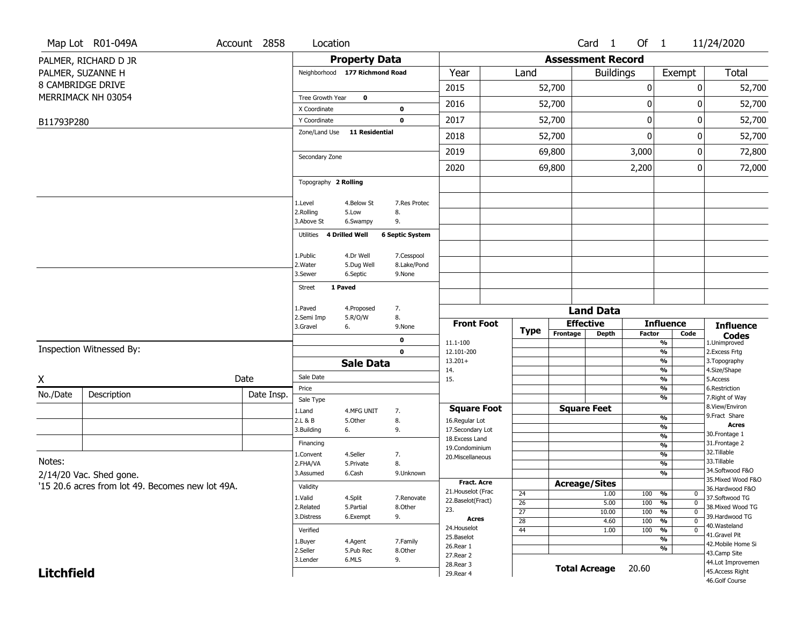|                   | Map Lot R01-049A                                 | Account 2858 | Location                           |                                 |                                   |                                    |                 |                                      | Card <sub>1</sub>    | Of 1                              |                                                      | 11/24/2020                           |
|-------------------|--------------------------------------------------|--------------|------------------------------------|---------------------------------|-----------------------------------|------------------------------------|-----------------|--------------------------------------|----------------------|-----------------------------------|------------------------------------------------------|--------------------------------------|
|                   | PALMER, RICHARD D JR                             |              |                                    | <b>Property Data</b>            |                                   |                                    |                 | <b>Assessment Record</b>             |                      |                                   |                                                      |                                      |
|                   | PALMER, SUZANNE H                                |              |                                    | Neighborhood 177 Richmond Road  |                                   | Year                               | Land            |                                      | <b>Buildings</b>     |                                   | Exempt                                               | Total                                |
|                   | 8 CAMBRIDGE DRIVE                                |              |                                    |                                 |                                   | 2015                               |                 | 52,700                               |                      | 0                                 |                                                      | $\mathbf{0}$<br>52,700               |
|                   | MERRIMACK NH 03054                               |              | Tree Growth Year                   | 0                               |                                   | 2016                               |                 | 52,700                               |                      | 0                                 |                                                      | 52,700<br>0                          |
|                   |                                                  |              | X Coordinate                       |                                 | 0<br>$\mathbf 0$                  | 2017                               |                 |                                      |                      | 0                                 |                                                      | 0                                    |
| B11793P280        |                                                  |              | Y Coordinate<br>Zone/Land Use      | <b>11 Residential</b>           |                                   |                                    |                 | 52,700                               |                      |                                   |                                                      | 52,700                               |
|                   |                                                  |              |                                    |                                 |                                   | 2018                               |                 | 52,700                               |                      | $\boldsymbol{0}$                  |                                                      | 52,700<br>0                          |
|                   |                                                  |              | Secondary Zone                     |                                 |                                   | 2019                               |                 | 69,800                               |                      | 3,000                             |                                                      | 72,800<br>0                          |
|                   |                                                  |              |                                    |                                 |                                   | 2020                               |                 | 69,800                               |                      | 2,200                             |                                                      | 72,000<br>0                          |
|                   |                                                  |              | Topography 2 Rolling               |                                 |                                   |                                    |                 |                                      |                      |                                   |                                                      |                                      |
|                   |                                                  |              | 1.Level<br>2.Rolling<br>3.Above St | 4.Below St<br>5.Low<br>6.Swampy | 7.Res Protec<br>8.<br>9.          |                                    |                 |                                      |                      |                                   |                                                      |                                      |
|                   |                                                  |              | Utilities                          | 4 Drilled Well                  | <b>6 Septic System</b>            |                                    |                 |                                      |                      |                                   |                                                      |                                      |
|                   |                                                  |              | 1.Public                           | 4.Dr Well                       | 7.Cesspool                        |                                    |                 |                                      |                      |                                   |                                                      |                                      |
|                   |                                                  |              | 2. Water<br>3.Sewer                | 5.Dug Well<br>6.Septic          | 8.Lake/Pond<br>9.None             |                                    |                 |                                      |                      |                                   |                                                      |                                      |
|                   |                                                  |              | Street                             | 1 Paved                         |                                   |                                    |                 |                                      |                      |                                   |                                                      |                                      |
|                   |                                                  |              |                                    |                                 |                                   |                                    |                 |                                      |                      |                                   |                                                      |                                      |
|                   |                                                  |              | 1.Paved                            | 4.Proposed                      | 7.<br>8.                          |                                    |                 |                                      | <b>Land Data</b>     |                                   |                                                      |                                      |
|                   |                                                  |              | 2.Semi Imp<br>3.Gravel             | 5.R/O/W<br>6.                   | 9.None                            | <b>Front Foot</b>                  |                 | <b>Effective</b><br><b>Influence</b> |                      |                                   |                                                      | <b>Influence</b>                     |
|                   |                                                  |              |                                    |                                 | 0                                 | 11.1-100                           | Type            | Frontage                             | <b>Depth</b>         | <b>Factor</b>                     | Code<br>%                                            | <b>Codes</b><br>1.Unimproved         |
|                   | Inspection Witnessed By:                         |              |                                    |                                 | $\mathbf 0$                       | 12.101-200                         |                 |                                      |                      |                                   | $\overline{\frac{9}{6}}$                             | 2. Excess Frtg                       |
|                   |                                                  |              |                                    | <b>Sale Data</b>                |                                   | $13.201+$<br>14.                   |                 |                                      |                      |                                   | $\overline{\frac{9}{6}}$<br>$\overline{\frac{9}{6}}$ | 3. Topography<br>4.Size/Shape        |
| X                 |                                                  | Date         | Sale Date                          |                                 |                                   | 15.                                |                 |                                      |                      |                                   | $\frac{9}{6}$                                        | 5.Access                             |
| No./Date          | Description                                      | Date Insp.   | Price<br>Sale Type                 |                                 |                                   |                                    |                 |                                      |                      |                                   | $\frac{9}{6}$<br>%                                   | 6.Restriction<br>7. Right of Way     |
|                   |                                                  |              | 1.Land                             | 4.MFG UNIT                      | 7.                                | <b>Square Foot</b>                 |                 |                                      | <b>Square Feet</b>   |                                   |                                                      | 8.View/Environ                       |
|                   |                                                  |              | 2.L & B                            | 5.Other                         | 8.                                | 16.Regular Lot                     |                 |                                      |                      |                                   | %<br>$\frac{9}{6}$                                   | 9.Fract Share<br>Acres               |
|                   |                                                  |              | 3.Building                         | 6.                              | 9.                                | 17.Secondary Lot<br>18.Excess Land |                 |                                      |                      |                                   | $\frac{9}{6}$                                        | 30. Frontage 1                       |
|                   |                                                  |              | Financing<br>1.Convent             | 4.Seller                        | 7.                                | 19.Condominium                     |                 |                                      |                      |                                   | $\frac{9}{6}$<br>$\overline{\frac{9}{6}}$            | 31. Frontage 2<br>32. Tillable       |
| Notes:            |                                                  |              | 2.FHA/VA                           | 5.Private                       | 8.                                | 20.Miscellaneous                   |                 |                                      |                      |                                   | $\frac{9}{6}$                                        | 33.Tillable                          |
|                   | $2/14/20$ Vac. Shed gone.                        | 3.Assumed    | 6.Cash                             | 9.Unknown                       |                                   |                                    |                 |                                      |                      | $\frac{9}{6}$                     | 34.Softwood F&O<br>35. Mixed Wood F&O                |                                      |
|                   | '15 20.6 acres from lot 49. Becomes new lot 49A. | Validity     |                                    |                                 | Fract. Acre<br>21. Houselot (Frac | 24                                 |                 | <b>Acreage/Sites</b><br>1.00         | 100                  | %<br>U                            | 36.Hardwood F&O                                      |                                      |
|                   |                                                  |              | 1.Valid<br>2.Related               | 4.Split<br>5.Partial            | 7.Renovate<br>8.Other             | 22.Baselot(Fract)                  | $\overline{26}$ |                                      | 5.00                 | 100                               | %<br>$\mathbf 0$                                     | 37.Softwood TG                       |
|                   |                                                  | 3.Distress   | 6.Exempt                           | 9.                              | 23.<br><b>Acres</b>               | $\overline{27}$                    |                 | 10.00                                | 100                  | $\overline{0}$<br>%<br>$\Omega$   | 38. Mixed Wood TG<br>39.Hardwood TG<br>40.Wasteland  |                                      |
|                   |                                                  | Verified     |                                    |                                 | 24. Houselot                      | $\overline{28}$<br>44              |                 | 4.60<br>1.00                         | 100<br>100           | %<br>$\frac{9}{6}$<br>$\mathbf 0$ |                                                      |                                      |
|                   |                                                  |              |                                    |                                 |                                   |                                    |                 |                                      |                      |                                   |                                                      |                                      |
|                   |                                                  |              | 1.Buyer                            | 4.Agent                         | 7.Family                          | 25.Baselot                         |                 |                                      |                      |                                   | %                                                    | 41.Gravel Pit<br>42. Mobile Home Si  |
|                   |                                                  |              | 2.Seller                           | 5.Pub Rec                       | 8.Other                           | 26.Rear 1<br>27. Rear 2            |                 |                                      |                      |                                   | %                                                    | 43.Camp Site                         |
| <b>Litchfield</b> |                                                  |              | 3.Lender                           | 6.MLS                           | 9.                                | 28. Rear 3<br>29. Rear 4           |                 |                                      | <b>Total Acreage</b> | 20.60                             |                                                      | 44.Lot Improvemen<br>45.Access Right |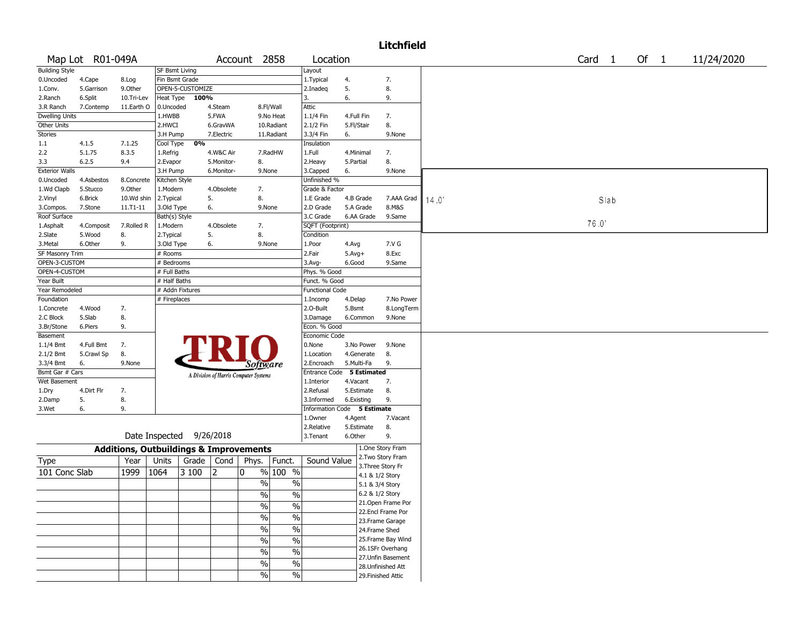|                        |                  |                                                   |                       |                          |                         |                                       |               |                               |                        |                 | <b>Litchfield</b>                     |                  |            |
|------------------------|------------------|---------------------------------------------------|-----------------------|--------------------------|-------------------------|---------------------------------------|---------------|-------------------------------|------------------------|-----------------|---------------------------------------|------------------|------------|
|                        | Map Lot R01-049A |                                                   |                       |                          |                         | Account 2858                          |               | Location                      |                        |                 |                                       | Card 1<br>Of $1$ | 11/24/2020 |
| <b>Building Style</b>  |                  |                                                   | <b>SF Bsmt Living</b> |                          |                         |                                       |               | Layout                        |                        |                 |                                       |                  |            |
| 0.Uncoded              | 4.Cape           | 8.Log                                             | Fin Bsmt Grade        |                          |                         |                                       |               | 1. Typical                    | 4.                     |                 | 7.                                    |                  |            |
| 1.Conv.                | 5.Garrison       | 9.0ther                                           |                       | OPEN-5-CUSTOMIZE         |                         |                                       |               | 2.Inadeg                      | 5.                     |                 | 8.                                    |                  |            |
| 2.Ranch                | 6.Split          | 10.Tri-Lev                                        | Heat Type             | 100%                     |                         |                                       |               | 3.                            | 6.                     |                 | 9.                                    |                  |            |
| 3.R Ranch              | 7.Contemp        | 11.Earth O                                        | 0.Uncoded             |                          | 4.Steam                 |                                       | 8.Fl/Wall     | Attic                         |                        |                 |                                       |                  |            |
| <b>Dwelling Units</b>  |                  |                                                   | 1.HWBB                |                          | 5.FWA                   |                                       | 9.No Heat     | 1.1/4 Fin                     | 4.Full Fin             |                 | 7.                                    |                  |            |
| Other Units            |                  |                                                   | 2.HWCI                |                          | 6.GravWA                |                                       | 10.Radiant    | 2.1/2 Fin                     | 5.Fl/Stair             |                 | 8.                                    |                  |            |
| <b>Stories</b>         |                  |                                                   | 3.H Pump              |                          | 7.Electric              |                                       | 11.Radiant    | 3.3/4 Fin                     | 6.                     |                 | 9.None                                |                  |            |
| 1.1                    | 4.1.5            | 7.1.25                                            | Cool Type             | 0%                       |                         |                                       |               | Insulation                    |                        |                 |                                       |                  |            |
| 2.2<br>3.3             | 5.1.75<br>6.2.5  | 8.3.5<br>9.4                                      | 1.Refrig              |                          | 4.W&C Air<br>5.Monitor- |                                       | 7.RadHW       | 1.Full                        | 4.Minimal<br>5.Partial |                 | 7.<br>8.                              |                  |            |
| <b>Exterior Walls</b>  |                  |                                                   | 2.Evapor<br>3.H Pump  |                          | 6.Monitor-              | 8.<br>9.None                          |               | 2.Heavy<br>3.Capped           | 6.                     |                 | 9.None                                |                  |            |
| 0.Uncoded              | 4.Asbestos       | 8.Concrete                                        | Kitchen Style         |                          |                         |                                       |               | Unfinished %                  |                        |                 |                                       |                  |            |
| 1.Wd Clapb             | 5.Stucco         | 9.0ther                                           | 1.Modern              |                          | 4.Obsolete              | 7.                                    |               | Grade & Factor                |                        |                 |                                       |                  |            |
| 2.Vinyl                | 6.Brick          | 10.Wd shin                                        | 2. Typical            |                          | 5.                      | 8.                                    |               | 1.E Grade                     | 4.B Grade              |                 | 7.AAA Grad                            | 14.0'<br>Slab    |            |
| 3.Compos.              | 7.Stone          | $11. T1 - 11$                                     | 3.Old Type            |                          | 6.                      | 9.None                                |               | 2.D Grade                     | 5.A Grade              |                 | 8.M&S                                 |                  |            |
| Roof Surface           |                  |                                                   | Bath(s) Style         |                          |                         |                                       |               | 3.C Grade                     | 6.AA Grade             |                 | 9.Same                                |                  |            |
| 1.Asphalt              | 4.Composit       | 7.Rolled R                                        | 1.Modern              |                          | 4.Obsolete              | 7.                                    |               | SQFT (Footprint)              |                        |                 |                                       | 76.0             |            |
| 2.Slate                | 5.Wood           | 8.                                                | 2.Typical             |                          | 5.                      | 8.                                    |               | Condition                     |                        |                 |                                       |                  |            |
| 3. Metal               | 6.Other          | 9.                                                | 3.Old Type            |                          | 6.                      | 9.None                                |               | 1.Poor                        | 4.Avg                  |                 | 7.V G                                 |                  |            |
| <b>SF Masonry Trim</b> |                  |                                                   | # Rooms               |                          |                         |                                       |               | 2.Fair                        | $5.$ Avg $+$           |                 | 8.Exc                                 |                  |            |
| OPEN-3-CUSTOM          |                  |                                                   | # Bedrooms            |                          |                         |                                       |               | 3.Avg-                        | 6.Good                 |                 | 9.Same                                |                  |            |
| OPEN-4-CUSTOM          |                  |                                                   | # Full Baths          |                          |                         |                                       |               | Phys. % Good                  |                        |                 |                                       |                  |            |
| Year Built             |                  |                                                   | # Half Baths          |                          |                         |                                       |               | Funct. % Good                 |                        |                 |                                       |                  |            |
| Year Remodeled         |                  |                                                   |                       | # Addn Fixtures          |                         |                                       |               | <b>Functional Code</b>        |                        |                 |                                       |                  |            |
| Foundation             |                  |                                                   | # Fireplaces          |                          |                         |                                       |               | 1.Incomp                      | 4.Delap                |                 | 7.No Power                            |                  |            |
| 1.Concrete             | 4.Wood           | 7.                                                |                       |                          |                         |                                       |               | 2.O-Built                     | 5.Bsmt                 |                 | 8.LongTerm                            |                  |            |
| 2.C Block              | 5.Slab           | 8.                                                |                       |                          |                         |                                       |               | 3.Damage                      | 6.Common               |                 | 9.None                                |                  |            |
| 3.Br/Stone<br>Basement | 6.Piers          | 9.                                                |                       |                          |                         |                                       |               | Econ. % Good<br>Economic Code |                        |                 |                                       |                  |            |
| 1.1/4 Bmt              | 4.Full Bmt       | 7.                                                |                       |                          |                         |                                       |               | 0.None                        | 3.No Power             |                 | 9.None                                |                  |            |
| 2.1/2 Bmt              | 5.Crawl Sp       | 8.                                                |                       |                          |                         |                                       |               | 1.Location                    | 4.Generate             |                 | 8.                                    |                  |            |
| 3.3/4 Bmt              | 6.               | 9.None                                            |                       |                          |                         | Software                              |               | 2.Encroach                    | 5.Multi-Fa             |                 | 9.                                    |                  |            |
| Bsmt Gar # Cars        |                  |                                                   |                       |                          |                         |                                       |               | Entrance Code                 |                        | 5 Estimated     |                                       |                  |            |
| Wet Basement           |                  |                                                   |                       |                          |                         | A Division of Harris Computer Systems |               | 1.Interior                    | 4.Vacant               |                 | 7.                                    |                  |            |
| 1.Dry                  | 4.Dirt Flr       | 7.                                                |                       |                          |                         |                                       |               | 2.Refusal                     | 5.Estimate             |                 | 8.                                    |                  |            |
| 2.Damp                 | 5.               | 8.                                                |                       |                          |                         |                                       |               | 3.Informed                    | 6.Existing             |                 | 9.                                    |                  |            |
| 3.Wet                  | 6.               | 9.                                                |                       |                          |                         |                                       |               | Information Code 5 Estimate   |                        |                 |                                       |                  |            |
|                        |                  |                                                   |                       |                          |                         |                                       |               | 1.0wner                       | 4.Agent                |                 | 7.Vacant                              |                  |            |
|                        |                  |                                                   |                       |                          |                         |                                       |               | 2.Relative                    | 5.Estimate             |                 | 8.                                    |                  |            |
|                        |                  |                                                   |                       | Date Inspected 9/26/2018 |                         |                                       |               | 3.Tenant                      | 6.Other                |                 | 9.                                    |                  |            |
|                        |                  | <b>Additions, Outbuildings &amp; Improvements</b> |                       |                          |                         |                                       |               |                               |                        |                 | 1.One Story Fram                      |                  |            |
| Type                   |                  | Year                                              | Units                 | Grade                    | Cond                    | Phys.                                 | Funct.        | Sound Value                   |                        |                 | 2. Two Story Fram                     |                  |            |
| 101 Conc Slab          |                  |                                                   |                       |                          | 2                       | 0                                     | $%100$ %      |                               |                        |                 | 3. Three Story Fr                     |                  |            |
|                        |                  | 1999                                              | 1064                  | 3 100                    |                         |                                       |               |                               |                        | 4.1 & 1/2 Story |                                       |                  |            |
|                        |                  |                                                   |                       |                          |                         | $\frac{0}{0}$                         | $\%$          |                               |                        | 5.1 & 3/4 Story |                                       |                  |            |
|                        |                  |                                                   |                       |                          |                         | $\frac{9}{6}$                         | $\sqrt{6}$    |                               |                        | 6.2 & 1/2 Story |                                       |                  |            |
|                        |                  |                                                   |                       |                          |                         | $\sqrt{6}$                            | $\%$          |                               |                        |                 | 21. Open Frame Por                    |                  |            |
|                        |                  |                                                   |                       |                          |                         | $\%$                                  | $\%$          |                               |                        |                 | 22.Encl Frame Por                     |                  |            |
|                        |                  |                                                   |                       |                          |                         |                                       |               |                               |                        |                 | 23. Frame Garage                      |                  |            |
|                        |                  |                                                   |                       |                          |                         | $\sqrt{6}$                            | $\frac{1}{2}$ |                               |                        | 24.Frame Shed   |                                       |                  |            |
|                        |                  |                                                   |                       |                          |                         | $\sqrt{6}$                            | $\%$          |                               |                        |                 | 25. Frame Bay Wind                    |                  |            |
|                        |                  |                                                   |                       |                          |                         | $\sqrt{6}$                            | $\frac{1}{2}$ |                               |                        |                 | 26.1SFr Overhang<br>27.Unfin Basement |                  |            |
|                        |                  |                                                   |                       |                          |                         | $\sqrt{6}$                            | $\frac{1}{2}$ |                               |                        |                 | 28. Unfinished Att                    |                  |            |
|                        |                  |                                                   |                       |                          |                         | $\frac{1}{2}$                         | $\frac{1}{2}$ |                               |                        |                 | 29. Finished Attic                    |                  |            |
|                        |                  |                                                   |                       |                          |                         |                                       |               |                               |                        |                 |                                       |                  |            |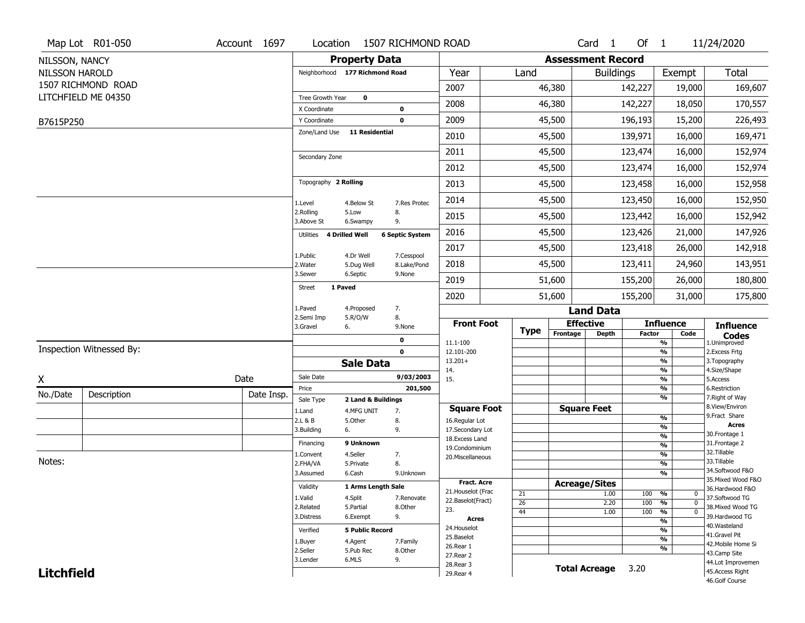|                       | Map Lot R01-050          | Account 1697 | Location                            |                        | 1507 RICHMOND ROAD     |                          |  |             |                          | Card <sub>1</sub> | Of $1$        |                                               | 11/24/2020                                       |  |  |
|-----------------------|--------------------------|--------------|-------------------------------------|------------------------|------------------------|--------------------------|--|-------------|--------------------------|-------------------|---------------|-----------------------------------------------|--------------------------------------------------|--|--|
| NILSSON, NANCY        |                          |              |                                     | <b>Property Data</b>   |                        |                          |  |             | <b>Assessment Record</b> |                   |               |                                               |                                                  |  |  |
| <b>NILSSON HAROLD</b> |                          |              | Neighborhood 177 Richmond Road      |                        |                        | Year                     |  | Land        |                          | <b>Buildings</b>  |               | Exempt                                        | Total                                            |  |  |
|                       | 1507 RICHMOND ROAD       |              |                                     |                        |                        | 2007                     |  |             | 46,380                   |                   | 142,227       | 19,000                                        | 169,607                                          |  |  |
|                       | LITCHFIELD ME 04350      |              | Tree Growth Year                    | $\mathbf 0$            |                        | 2008                     |  |             | 46,380                   |                   |               | 18,050                                        |                                                  |  |  |
|                       |                          |              | X Coordinate                        |                        | $\mathbf 0$            |                          |  |             |                          |                   | 142,227       |                                               | 170,557                                          |  |  |
| B7615P250             |                          |              | Y Coordinate                        |                        | $\mathbf 0$            | 2009                     |  |             | 45,500                   |                   | 196,193       | 15,200                                        | 226,493                                          |  |  |
|                       |                          |              | Zone/Land Use                       | <b>11 Residential</b>  |                        | 2010                     |  |             | 45,500                   |                   | 139,971       | 16,000                                        | 169,471                                          |  |  |
|                       |                          |              | Secondary Zone                      |                        |                        | 2011                     |  |             | 45,500                   |                   | 123,474       | 16,000                                        | 152,974                                          |  |  |
|                       |                          |              |                                     |                        |                        | 2012                     |  |             | 45,500                   |                   | 123,474       | 16,000                                        | 152,974                                          |  |  |
|                       |                          |              | Topography 2 Rolling                |                        |                        | 2013                     |  |             | 45,500                   |                   | 123,458       | 16,000                                        | 152,958                                          |  |  |
|                       |                          |              | 1.Level                             | 4.Below St             | 7.Res Protec           | 2014                     |  |             | 45,500                   |                   | 123,450       | 16,000                                        | 152,950                                          |  |  |
|                       |                          |              | 2.Rolling<br>3.Above St             | 5.Low<br>6.Swampy      | 8.<br>9.               | 2015                     |  |             | 45,500                   |                   | 123,442       | 16,000                                        | 152,942                                          |  |  |
|                       |                          |              | Utilities 4 Drilled Well            |                        | <b>6 Septic System</b> | 2016                     |  |             | 45,500                   | 123,426           |               | 21,000                                        | 147,926                                          |  |  |
|                       |                          |              | 1.Public                            | 4.Dr Well              | 7.Cesspool             | 2017                     |  |             | 45,500                   |                   | 123,418       | 26,000                                        | 142,918<br>143,951                               |  |  |
|                       |                          |              | 2. Water                            | 5.Dug Well             | 8.Lake/Pond            | 2018                     |  |             | 45,500                   |                   | 123,411       | 24,960                                        |                                                  |  |  |
|                       |                          |              | 3.Sewer<br>1 Paved<br><b>Street</b> | 6.Septic               | 9.None                 | 2019                     |  |             | 51,600                   |                   | 155,200       | 26,000                                        | 180,800                                          |  |  |
|                       |                          |              |                                     |                        |                        | 2020                     |  |             | 51,600                   |                   | 155,200       | 31,000                                        | 175,800                                          |  |  |
|                       |                          |              | 1.Paved<br>2.Semi Imp               | 4.Proposed             | 7.<br>8.               |                          |  |             |                          | <b>Land Data</b>  |               |                                               |                                                  |  |  |
|                       |                          |              | 3.Gravel<br>6.                      | 5.R/O/W                | 9.None                 | <b>Front Foot</b>        |  | <b>Type</b> | <b>Effective</b>         |                   |               | <b>Influence</b>                              | <b>Influence</b><br><b>Codes</b><br>1.Unimproved |  |  |
|                       |                          |              |                                     |                        | $\mathbf 0$            | 11.1-100                 |  |             | Frontage                 | <b>Depth</b>      | <b>Factor</b> | Code<br>%                                     |                                                  |  |  |
|                       | Inspection Witnessed By: |              |                                     |                        | $\mathbf 0$            | 12.101-200               |  |             |                          |                   |               | %                                             | 2.Excess Frtg                                    |  |  |
|                       |                          |              |                                     | <b>Sale Data</b>       |                        | $13.201+$<br>14.         |  |             |                          |                   |               | %<br>%                                        | 3. Topography<br>4.Size/Shape                    |  |  |
| χ                     |                          | Date         | Sale Date                           |                        | 9/03/2003              | 15.                      |  |             |                          |                   |               | %                                             | 5.Access                                         |  |  |
| No./Date              | Description              | Date Insp.   | Price                               |                        | 201,500                |                          |  |             |                          |                   |               | %                                             | 6.Restriction                                    |  |  |
|                       |                          |              | Sale Type                           | 2 Land & Buildings     |                        | <b>Square Foot</b>       |  |             | <b>Square Feet</b>       |                   |               | %                                             | 7. Right of Way<br>8.View/Environ                |  |  |
|                       |                          |              | 1.Land<br>2.L & B                   | 4.MFG UNIT<br>5.Other  | 7.<br>8.               | 16.Regular Lot           |  |             |                          |                   |               | %                                             | 9.Fract Share                                    |  |  |
|                       |                          |              | 3.Building<br>6.                    |                        | 9.                     | 17.Secondary Lot         |  |             |                          |                   |               | %                                             | <b>Acres</b>                                     |  |  |
|                       |                          |              | Financing                           | 9 Unknown              |                        | 18. Excess Land          |  |             |                          |                   |               | $\frac{9}{6}$<br>$\frac{9}{6}$                | 30.Frontage 1<br>31. Frontage 2                  |  |  |
|                       |                          |              | 1.Convent                           | 4.Seller               | 7.                     | 19.Condominium           |  |             |                          |                   |               | $\frac{9}{6}$                                 | 32.Tillable                                      |  |  |
| Notes:                |                          |              | 2.FHA/VA                            | 5.Private              | 8.                     | 20.Miscellaneous         |  |             |                          |                   |               | $\frac{9}{6}$                                 | 33.Tillable                                      |  |  |
|                       |                          |              | 3.Assumed                           | 6.Cash                 | 9.Unknown              |                          |  |             |                          |                   |               | %                                             | 34.Softwood F&O                                  |  |  |
|                       |                          |              | Validity                            | 1 Arms Length Sale     |                        | Fract. Acre              |  |             | <b>Acreage/Sites</b>     |                   |               |                                               | 35. Mixed Wood F&O<br>36.Hardwood F&O            |  |  |
|                       |                          |              | 1.Valid                             | 4.Split<br>7.Renovate  |                        | 21. Houselot (Frac       |  | 21          |                          | 1.00              | 100           | %<br>0                                        | 37.Softwood TG                                   |  |  |
|                       |                          |              | 2.Related                           | 5.Partial              | 8.Other                | 22.Baselot(Fract)<br>23. |  | 26          |                          | 2.20              | 100           | %<br>$\mathbf 0$                              | 38. Mixed Wood TG                                |  |  |
|                       |                          |              | 3.Distress                          | 6.Exempt               | 9.                     | <b>Acres</b>             |  | 44          |                          | 1.00              | 100           | $\frac{9}{6}$<br>$\mathbf 0$<br>$\frac{9}{6}$ | 39.Hardwood TG                                   |  |  |
|                       |                          |              | Verified                            | <b>5 Public Record</b> |                        | 24. Houselot             |  |             |                          |                   |               | %                                             | 40. Wasteland                                    |  |  |
|                       |                          | 1.Buyer      | 4.Agent                             | 7.Family               | 25.Baselot             |                          |  |             |                          |                   | $\frac{9}{6}$ | 41.Gravel Pit                                 |                                                  |  |  |
|                       |                          | 2.Seller     | 5.Pub Rec                           | 8.Other                | 26.Rear 1              |                          |  |             |                          |                   | %             | 42. Mobile Home Si                            |                                                  |  |  |
|                       |                          |              |                                     |                        | 27. Rear 2             |                          |  |             |                          |                   |               | 43.Camp Site                                  |                                                  |  |  |
|                       |                          |              | 3.Lender                            | 6.MLS                  | 9.                     |                          |  |             |                          |                   |               |                                               |                                                  |  |  |
| <b>Litchfield</b>     |                          |              |                                     |                        |                        | 28. Rear 3<br>29. Rear 4 |  |             | <b>Total Acreage</b>     |                   | 3.20          |                                               | 44.Lot Improvemen<br>45.Access Right             |  |  |